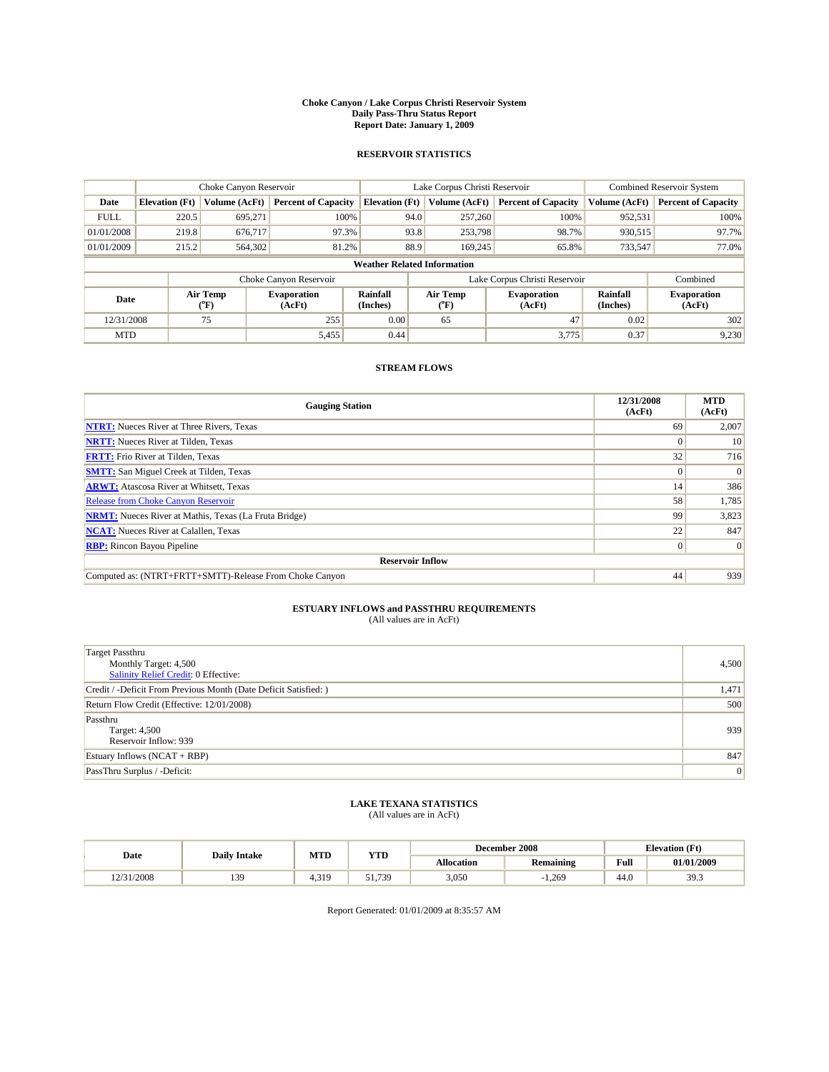#### **Choke Canyon / Lake Corpus Christi Reservoir System Daily Pass-Thru Status Report Report Date: January 1, 2009**

#### **RESERVOIR STATISTICS**

|             | Choke Canyon Reservoir             |                  |                              |                       | Lake Corpus Christi Reservoir | <b>Combined Reservoir System</b> |                      |                              |  |  |
|-------------|------------------------------------|------------------|------------------------------|-----------------------|-------------------------------|----------------------------------|----------------------|------------------------------|--|--|
| Date        | <b>Elevation</b> (Ft)              | Volume (AcFt)    | <b>Percent of Capacity</b>   | <b>Elevation</b> (Ft) | Volume (AcFt)                 | <b>Percent of Capacity</b>       | Volume (AcFt)        | <b>Percent of Capacity</b>   |  |  |
| <b>FULL</b> | 220.5                              | 695,271          | 100%                         | 94.0                  | 257,260                       | 100%                             | 952,531              | 100%                         |  |  |
| 01/01/2008  | 219.8                              | 676.717          | 97.3%                        | 93.8                  | 253,798                       | 98.7%                            | 930,515              | 97.7%                        |  |  |
| 01/01/2009  | 215.2                              | 564,302          | 81.2%                        | 88.9                  | 169,245                       | 65.8%                            | 733,547              | 77.0%                        |  |  |
|             | <b>Weather Related Information</b> |                  |                              |                       |                               |                                  |                      |                              |  |  |
|             |                                    |                  | Choke Canyon Reservoir       |                       |                               | Lake Corpus Christi Reservoir    |                      | Combined                     |  |  |
| Date        |                                    | Air Temp<br>(°F) | <b>Evaporation</b><br>(AcFt) | Rainfall<br>(Inches)  | Air Temp<br>("F)              | <b>Evaporation</b><br>(AcFt)     | Rainfall<br>(Inches) | <b>Evaporation</b><br>(AcFt) |  |  |
| 12/31/2008  |                                    | 75               | 255                          | 0.00                  | 65                            | 47                               | 0.02                 | 302                          |  |  |
| <b>MTD</b>  |                                    |                  | 5,455                        | 0.44                  |                               | 3,775                            | 0.37                 | 9,230                        |  |  |

#### **STREAM FLOWS**

| <b>Gauging Station</b>                                       | 12/31/2008<br>(AcFt) | <b>MTD</b><br>(AcFt) |  |  |  |  |
|--------------------------------------------------------------|----------------------|----------------------|--|--|--|--|
| <b>NTRT:</b> Nueces River at Three Rivers, Texas             | 69                   | 2,007                |  |  |  |  |
| <b>NRTT:</b> Nueces River at Tilden, Texas                   | $\Omega$             | 10                   |  |  |  |  |
| <b>FRTT:</b> Frio River at Tilden, Texas                     | 32                   | 716                  |  |  |  |  |
| <b>SMTT:</b> San Miguel Creek at Tilden, Texas               | $\Omega$             | $\Omega$             |  |  |  |  |
| <b>ARWT:</b> Atascosa River at Whitsett, Texas               | 14                   | 386                  |  |  |  |  |
| <b>Release from Choke Canyon Reservoir</b>                   | 58                   | 1,785                |  |  |  |  |
| <b>NRMT:</b> Nueces River at Mathis, Texas (La Fruta Bridge) | 99                   | 3,823                |  |  |  |  |
| <b>NCAT:</b> Nueces River at Calallen, Texas                 | 22                   | 847                  |  |  |  |  |
| <b>RBP:</b> Rincon Bayou Pipeline                            | $\overline{0}$       | $\Omega$             |  |  |  |  |
| <b>Reservoir Inflow</b>                                      |                      |                      |  |  |  |  |
| Computed as: (NTRT+FRTT+SMTT)-Release From Choke Canyon      | 44                   | 939                  |  |  |  |  |

# **ESTUARY INFLOWS and PASSTHRU REQUIREMENTS**<br>(All values are in AcFt)

| <b>Target Passthru</b><br>Monthly Target: 4,500<br>Salinity Relief Credit: 0 Effective: | 4,500 |
|-----------------------------------------------------------------------------------------|-------|
| Credit / -Deficit From Previous Month (Date Deficit Satisfied: )                        | 1,471 |
| Return Flow Credit (Effective: 12/01/2008)                                              | 500   |
| Passthru<br>Target: 4,500<br>Reservoir Inflow: 939                                      | 939   |
| Estuary Inflows (NCAT + RBP)                                                            | 847   |
| PassThru Surplus / -Deficit:                                                            | 0     |

## **LAKE TEXANA STATISTICS** (All values are in AcFt)

|           | <b>Daily Intake</b> | MTD   | <b>YTD</b>      |                   | December 2008    | <b>Elevation</b> (Ft)                       |            |
|-----------|---------------------|-------|-----------------|-------------------|------------------|---------------------------------------------|------------|
| Date      |                     |       |                 | <b>Allocation</b> | <b>Remaining</b> | Full<br>the contract of the contract of the | 01/01/2009 |
| 2/31/2008 | 139                 | 4.319 | .739<br>51<br>. | 3,050             | 1.269            | 44.0                                        | 39.3       |

Report Generated: 01/01/2009 at 8:35:57 AM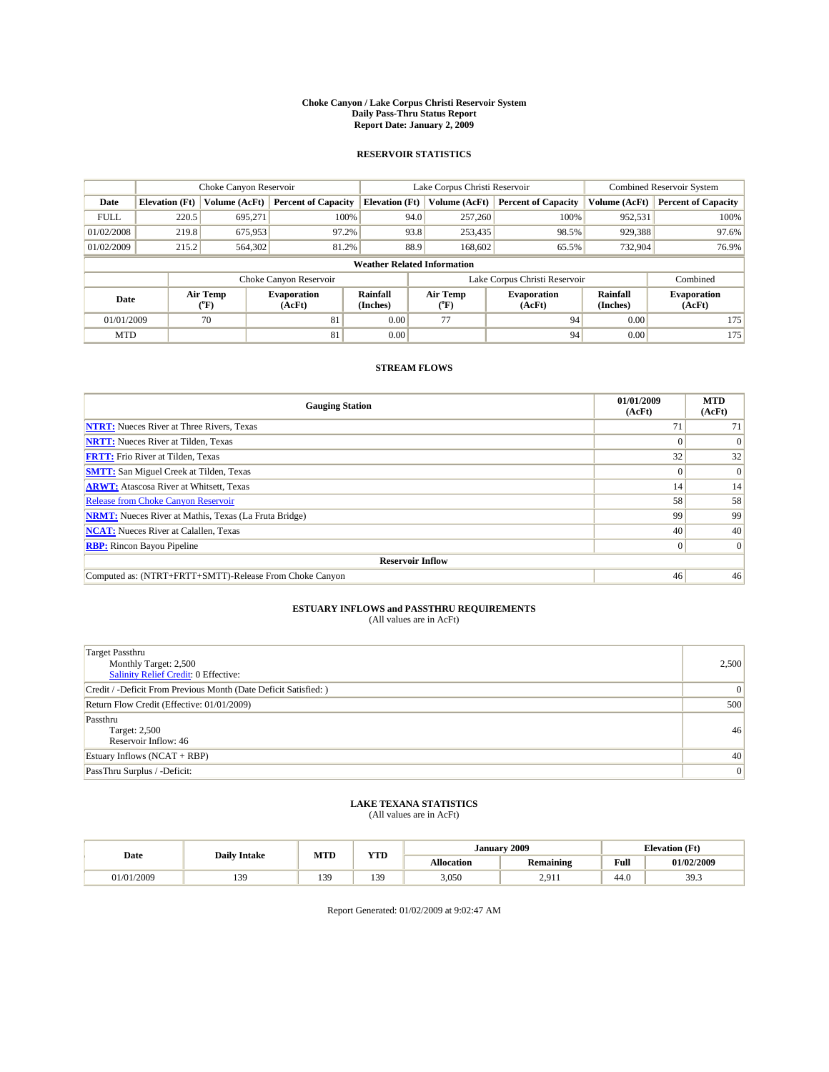#### **Choke Canyon / Lake Corpus Christi Reservoir System Daily Pass-Thru Status Report Report Date: January 2, 2009**

#### **RESERVOIR STATISTICS**

|             | Choke Canyon Reservoir             |                  |                              |                       | Lake Corpus Christi Reservoir | <b>Combined Reservoir System</b> |                      |                              |  |
|-------------|------------------------------------|------------------|------------------------------|-----------------------|-------------------------------|----------------------------------|----------------------|------------------------------|--|
| Date        | <b>Elevation</b> (Ft)              | Volume (AcFt)    | <b>Percent of Capacity</b>   | <b>Elevation</b> (Ft) | Volume (AcFt)                 | <b>Percent of Capacity</b>       | Volume (AcFt)        | <b>Percent of Capacity</b>   |  |
| <b>FULL</b> | 220.5                              | 695,271          | 100%                         |                       | 257,260<br>94.0               | 100%                             | 952,531              | 100%                         |  |
| 01/02/2008  | 219.8                              | 675,953          | 97.2%                        |                       | 93.8<br>253,435               | 98.5%                            | 929,388              | 97.6%                        |  |
| 01/02/2009  | 215.2                              | 564,302          | 81.2%                        |                       | 88.9<br>168,602               | 65.5%                            | 732,904              | 76.9%                        |  |
|             | <b>Weather Related Information</b> |                  |                              |                       |                               |                                  |                      |                              |  |
|             |                                    |                  | Choke Canyon Reservoir       |                       |                               | Lake Corpus Christi Reservoir    |                      | Combined                     |  |
| Date        |                                    | Air Temp<br>(°F) | <b>Evaporation</b><br>(AcFt) | Rainfall<br>(Inches)  | Air Temp<br>(°F)              | <b>Evaporation</b><br>(AcFt)     | Rainfall<br>(Inches) | <b>Evaporation</b><br>(AcFt) |  |
| 01/01/2009  |                                    | 70               | 81                           | 0.00                  | 77                            | 94                               | 0.00                 | 175                          |  |
| <b>MTD</b>  |                                    |                  | 81                           | 0.00                  |                               | 94                               | 0.00                 | 175                          |  |

#### **STREAM FLOWS**

| <b>Gauging Station</b>                                       | 01/01/2009<br>(AcFt) | <b>MTD</b><br>(AcFt) |  |  |  |  |  |
|--------------------------------------------------------------|----------------------|----------------------|--|--|--|--|--|
| <b>NTRT:</b> Nueces River at Three Rivers, Texas             | 71                   | 71                   |  |  |  |  |  |
| <b>NRTT:</b> Nueces River at Tilden, Texas                   |                      | $\Omega$             |  |  |  |  |  |
| <b>FRTT:</b> Frio River at Tilden, Texas                     | 32                   | 32                   |  |  |  |  |  |
| <b>SMTT:</b> San Miguel Creek at Tilden, Texas               | $\theta$             | $\vert 0 \vert$      |  |  |  |  |  |
| <b>ARWT:</b> Atascosa River at Whitsett, Texas               | 14                   | 14                   |  |  |  |  |  |
| <b>Release from Choke Canyon Reservoir</b>                   | 58                   | 58                   |  |  |  |  |  |
| <b>NRMT:</b> Nueces River at Mathis, Texas (La Fruta Bridge) | 99                   | 99                   |  |  |  |  |  |
| <b>NCAT:</b> Nueces River at Calallen, Texas                 | 40                   | 40                   |  |  |  |  |  |
| <b>RBP:</b> Rincon Bayou Pipeline                            | $\overline{0}$       | $\Omega$             |  |  |  |  |  |
| <b>Reservoir Inflow</b>                                      |                      |                      |  |  |  |  |  |
| Computed as: (NTRT+FRTT+SMTT)-Release From Choke Canyon      | 46                   | 46                   |  |  |  |  |  |

# **ESTUARY INFLOWS and PASSTHRU REQUIREMENTS**<br>(All values are in AcFt)

| <b>Target Passthru</b><br>Monthly Target: 2,500<br>Salinity Relief Credit: 0 Effective: | 2,500    |
|-----------------------------------------------------------------------------------------|----------|
| Credit / -Deficit From Previous Month (Date Deficit Satisfied: )                        | $\Omega$ |
| Return Flow Credit (Effective: 01/01/2009)                                              | 500      |
| Passthru<br>Target: 2,500<br>Reservoir Inflow: 46                                       | 46       |
| Estuary Inflows (NCAT + RBP)                                                            | 40       |
| PassThru Surplus / -Deficit:                                                            | 0        |

# **LAKE TEXANA STATISTICS** (All values are in AcFt)

|           | <b>Daily Intake</b> | MTD | VTD   | <b>January 2009</b> |                |                                         | <b>Elevation</b> (Ft) |
|-----------|---------------------|-----|-------|---------------------|----------------|-----------------------------------------|-----------------------|
| Date      |                     |     | 1 I.D | Allocation          | Remaining      | Full<br>the contract of the contract of | 01/02/2009            |
| 1/01/2009 | 20<br>13,           | 139 | 139   | 3,050               | ን 011<br>$-11$ | 44.0                                    | 39.3                  |

Report Generated: 01/02/2009 at 9:02:47 AM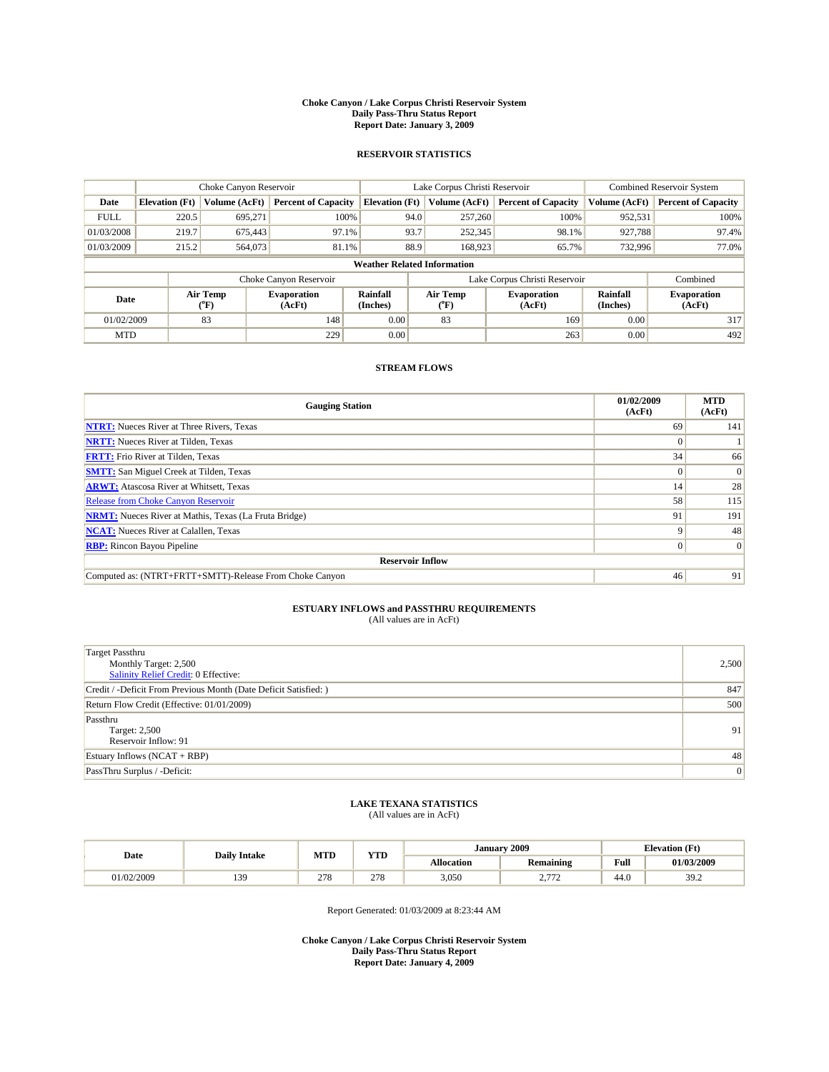#### **Choke Canyon / Lake Corpus Christi Reservoir System Daily Pass-Thru Status Report Report Date: January 3, 2009**

#### **RESERVOIR STATISTICS**

|             | Choke Canyon Reservoir             |                  | Lake Corpus Christi Reservoir |                       |      |                  | <b>Combined Reservoir System</b> |                      |                              |
|-------------|------------------------------------|------------------|-------------------------------|-----------------------|------|------------------|----------------------------------|----------------------|------------------------------|
| Date        | <b>Elevation</b> (Ft)              | Volume (AcFt)    | <b>Percent of Capacity</b>    | <b>Elevation</b> (Ft) |      | Volume (AcFt)    | <b>Percent of Capacity</b>       | Volume (AcFt)        | <b>Percent of Capacity</b>   |
| <b>FULL</b> | 220.5                              | 695,271          | 100%                          |                       | 94.0 | 257,260          | 100%                             | 952,531              | 100%                         |
| 01/03/2008  | 219.7                              | 675,443          | 97.1%                         |                       | 93.7 | 252,345          | 98.1%                            | 927,788              | 97.4%                        |
| 01/03/2009  | 215.2                              | 564,073          | 81.1%                         |                       | 88.9 | 168,923          | 65.7%                            | 732,996              | 77.0%                        |
|             | <b>Weather Related Information</b> |                  |                               |                       |      |                  |                                  |                      |                              |
|             |                                    |                  | Choke Canyon Reservoir        |                       |      |                  | Lake Corpus Christi Reservoir    |                      | Combined                     |
| Date        |                                    | Air Temp<br>(°F) | <b>Evaporation</b><br>(AcFt)  | Rainfall<br>(Inches)  |      | Air Temp<br>(°F) | <b>Evaporation</b><br>(AcFt)     | Rainfall<br>(Inches) | <b>Evaporation</b><br>(AcFt) |
| 01/02/2009  |                                    | 83               | 148                           | 0.00                  |      | 83               | 169                              | 0.00                 | 317                          |
| <b>MTD</b>  |                                    |                  | 229                           | 0.00                  |      |                  | 263                              | 0.00                 | 492                          |

#### **STREAM FLOWS**

| <b>Gauging Station</b>                                       | 01/02/2009<br>(AcFt) | <b>MTD</b><br>(AcFt) |  |  |  |  |  |
|--------------------------------------------------------------|----------------------|----------------------|--|--|--|--|--|
| <b>NTRT:</b> Nueces River at Three Rivers, Texas             | 69                   | 141                  |  |  |  |  |  |
| <b>NRTT:</b> Nueces River at Tilden, Texas                   | $\Omega$             |                      |  |  |  |  |  |
| <b>FRTT:</b> Frio River at Tilden, Texas                     | 34                   | 66                   |  |  |  |  |  |
| <b>SMTT:</b> San Miguel Creek at Tilden, Texas               | $\Omega$             | $\Omega$             |  |  |  |  |  |
| <b>ARWT:</b> Atascosa River at Whitsett, Texas               | 14                   | 28                   |  |  |  |  |  |
| <b>Release from Choke Canyon Reservoir</b>                   | 58                   | 115                  |  |  |  |  |  |
| <b>NRMT:</b> Nueces River at Mathis, Texas (La Fruta Bridge) | 91                   | 191                  |  |  |  |  |  |
| <b>NCAT:</b> Nueces River at Calallen, Texas                 | 9                    | 48                   |  |  |  |  |  |
| <b>RBP:</b> Rincon Bayou Pipeline                            | $\overline{0}$       | $\Omega$             |  |  |  |  |  |
| <b>Reservoir Inflow</b>                                      |                      |                      |  |  |  |  |  |
| Computed as: (NTRT+FRTT+SMTT)-Release From Choke Canyon      | 46                   | 91                   |  |  |  |  |  |

# **ESTUARY INFLOWS and PASSTHRU REQUIREMENTS**<br>(All values are in AcFt)

| <b>Target Passthru</b><br>Monthly Target: 2,500<br>Salinity Relief Credit: 0 Effective: | 2,500 |
|-----------------------------------------------------------------------------------------|-------|
| Credit / -Deficit From Previous Month (Date Deficit Satisfied: )                        | 847   |
| Return Flow Credit (Effective: 01/01/2009)                                              | 500   |
| Passthru<br>Target: 2,500<br>Reservoir Inflow: 91                                       | 91    |
| Estuary Inflows $(NCAT + RBP)$                                                          | 48    |
| PassThru Surplus / -Deficit:                                                            | 0     |

## **LAKE TEXANA STATISTICS** (All values are in AcFt)

|            | <b>Daily Intake</b>   | MTD | <b>WITH</b> | 2009<br><b>January</b> |                                                           |      | <b>Elevation</b> (Ft) |
|------------|-----------------------|-----|-------------|------------------------|-----------------------------------------------------------|------|-----------------------|
| Date       |                       |     | .           | <b>Allocation</b>      | Remaining                                                 | Full | 01/03/2009            |
| -1/02/2009 | 120<br>$\overline{ }$ | 278 | 270<br>210  | 3,050                  | $\overline{a}$<br>$\sim\cdot$<br>$\overline{\phantom{0}}$ | 44.0 | 39.2                  |

Report Generated: 01/03/2009 at 8:23:44 AM

**Choke Canyon / Lake Corpus Christi Reservoir System Daily Pass-Thru Status Report Report Date: January 4, 2009**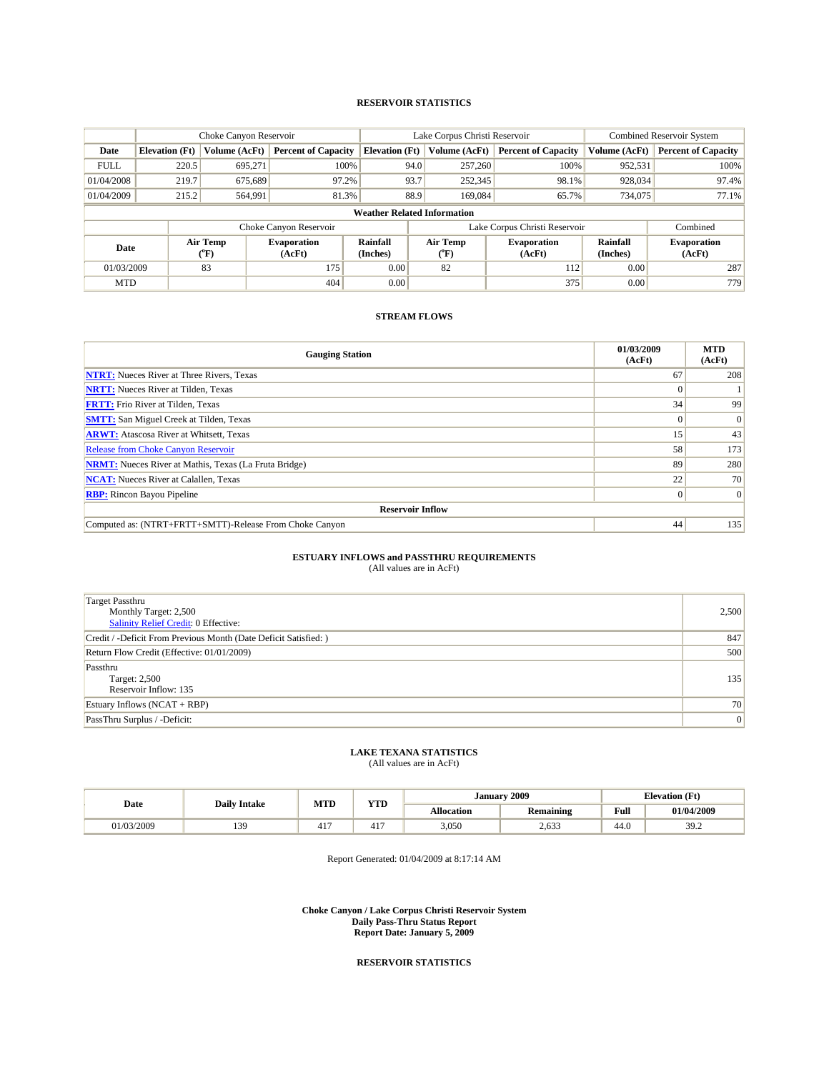#### **RESERVOIR STATISTICS**

|             |                       | Choke Canyon Reservoir |                              | Lake Corpus Christi Reservoir      |                                         |         |                               | <b>Combined Reservoir System</b> |                              |
|-------------|-----------------------|------------------------|------------------------------|------------------------------------|-----------------------------------------|---------|-------------------------------|----------------------------------|------------------------------|
| Date        | <b>Elevation</b> (Ft) | Volume (AcFt)          | <b>Percent of Capacity</b>   | <b>Elevation</b> (Ft)              | Volume (AcFt)                           |         | <b>Percent of Capacity</b>    | Volume (AcFt)                    | <b>Percent of Capacity</b>   |
| <b>FULL</b> | 220.5                 | 695,271                | 100%                         |                                    | 94.0                                    | 257,260 | 100%                          | 952,531                          | 100%                         |
| 01/04/2008  | 219.7                 | 675,689                | 97.2%                        | 93.7                               |                                         | 252,345 | 98.1%                         | 928,034                          | 97.4%                        |
| 01/04/2009  | 215.2                 | 564,991                | 81.3%                        | 88.9                               |                                         | 169,084 | 65.7%                         | 734,075                          | 77.1%                        |
|             |                       |                        |                              | <b>Weather Related Information</b> |                                         |         |                               |                                  |                              |
|             |                       |                        | Choke Canyon Reservoir       |                                    |                                         |         | Lake Corpus Christi Reservoir |                                  | Combined                     |
| Date        |                       | Air Temp<br>(°F)       | <b>Evaporation</b><br>(AcFt) | Rainfall<br>(Inches)               | Air Temp<br>$(^{\mathrm{o}}\mathrm{F})$ |         | <b>Evaporation</b><br>(AcFt)  | Rainfall<br>(Inches)             | <b>Evaporation</b><br>(AcFt) |
| 01/03/2009  |                       | 83                     | 175                          | 0.00                               | 82                                      |         | 112                           | 0.00                             | 287                          |
| <b>MTD</b>  |                       |                        | 404                          | 0.00                               |                                         |         | 375                           | 0.00                             | 779                          |

### **STREAM FLOWS**

| <b>Gauging Station</b>                                       | 01/03/2009<br>(AcFt) | <b>MTD</b><br>(AcFt) |  |  |  |  |
|--------------------------------------------------------------|----------------------|----------------------|--|--|--|--|
| <b>NTRT:</b> Nueces River at Three Rivers, Texas             | 67                   | 208                  |  |  |  |  |
| <b>NRTT:</b> Nueces River at Tilden, Texas                   |                      |                      |  |  |  |  |
| <b>FRTT:</b> Frio River at Tilden, Texas                     | 34                   | 99                   |  |  |  |  |
| <b>SMTT:</b> San Miguel Creek at Tilden, Texas               |                      | $\mathbf{0}$         |  |  |  |  |
| <b>ARWT:</b> Atascosa River at Whitsett, Texas               | 15                   | 43                   |  |  |  |  |
| <b>Release from Choke Canyon Reservoir</b>                   | 58                   | 173                  |  |  |  |  |
| <b>NRMT:</b> Nueces River at Mathis, Texas (La Fruta Bridge) | 89                   | 280                  |  |  |  |  |
| <b>NCAT:</b> Nueces River at Calallen, Texas                 | 22                   | 70                   |  |  |  |  |
| <b>RBP:</b> Rincon Bayou Pipeline                            | $\overline{0}$       | $\overline{0}$       |  |  |  |  |
| <b>Reservoir Inflow</b>                                      |                      |                      |  |  |  |  |
| Computed as: (NTRT+FRTT+SMTT)-Release From Choke Canyon      | 44                   | 135                  |  |  |  |  |

#### **ESTUARY INFLOWS and PASSTHRU REQUIREMENTS**

(All values are in AcFt)

| <b>Target Passthru</b><br>Monthly Target: 2,500<br><b>Salinity Relief Credit: 0 Effective:</b> | 2,500 |
|------------------------------------------------------------------------------------------------|-------|
| Credit / -Deficit From Previous Month (Date Deficit Satisfied: )                               | 847   |
| Return Flow Credit (Effective: 01/01/2009)                                                     | 500   |
| Passthru<br>Target: 2,500<br>Reservoir Inflow: 135                                             | 135   |
| Estuary Inflows (NCAT + RBP)                                                                   | 70    |
| PassThru Surplus / -Deficit:                                                                   | 0     |

### **LAKE TEXANA STATISTICS**

(All values are in AcFt)

|            | <b>Daily Intake</b> | <b>MTD</b>   | <b>YTD</b> | Januarv    | 2009             | <b>Elevation</b> (Ft) |                       |
|------------|---------------------|--------------|------------|------------|------------------|-----------------------|-----------------------|
| Date       |                     |              |            | Allocation | <b>Remaining</b> | Full                  | 01/04/2009            |
| 01/03/2009 | 130                 | 117<br>- 41. | - 41.      | 3,050      | 2,633            | 44.0                  | $30^{\circ}$<br>ے ۔ ر |

Report Generated: 01/04/2009 at 8:17:14 AM

**Choke Canyon / Lake Corpus Christi Reservoir System Daily Pass-Thru Status Report Report Date: January 5, 2009**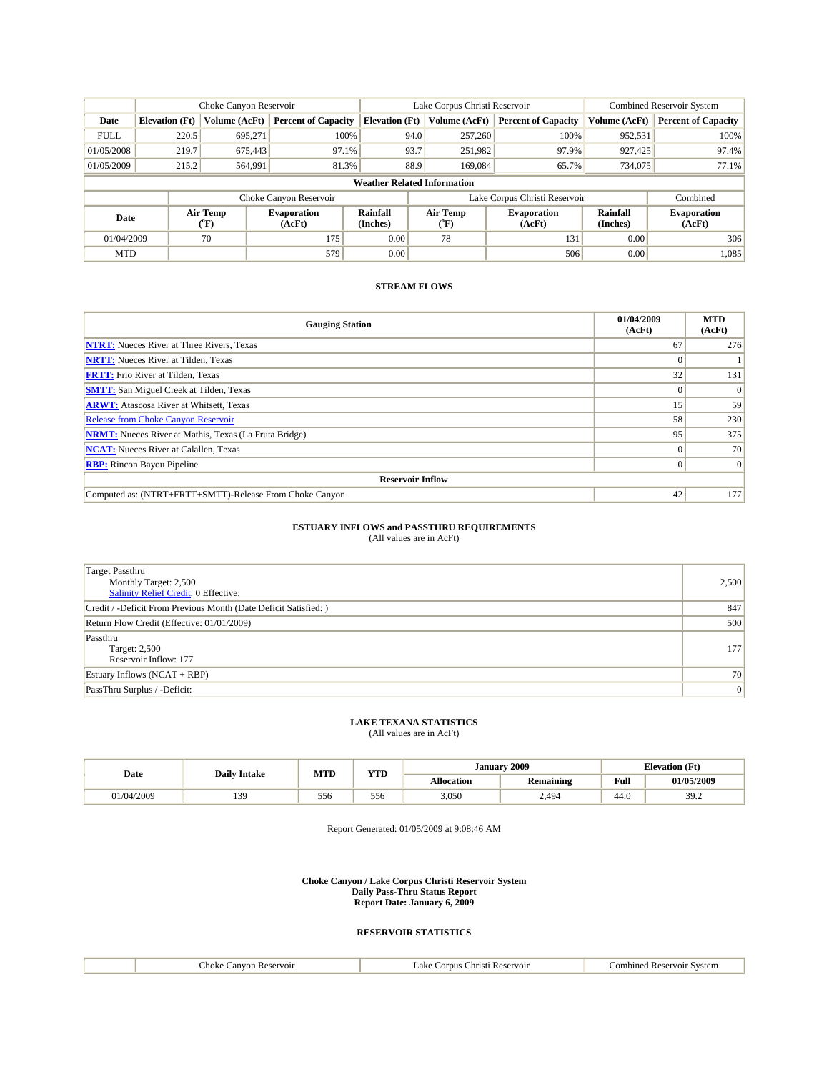|             |                                    | Choke Canyon Reservoir |                              |                       | Lake Corpus Christi Reservoir | <b>Combined Reservoir System</b> |                      |                              |  |
|-------------|------------------------------------|------------------------|------------------------------|-----------------------|-------------------------------|----------------------------------|----------------------|------------------------------|--|
| Date        | <b>Elevation</b> (Ft)              | Volume (AcFt)          | <b>Percent of Capacity</b>   | <b>Elevation</b> (Ft) | Volume (AcFt)                 | <b>Percent of Capacity</b>       | Volume (AcFt)        | <b>Percent of Capacity</b>   |  |
| <b>FULL</b> | 220.5                              | 695.271                | 100%                         | 94.0                  | 257,260                       | 100%                             | 952,531              | 100%                         |  |
| 01/05/2008  | 219.7                              | 675.443                | 97.1%                        | 93.7                  | 251.982                       | 97.9%                            | 927.425              | 97.4%                        |  |
| 01/05/2009  | 215.2                              | 564,991                | 81.3%                        | 88.9                  | 169,084                       | 65.7%                            | 734,075              | 77.1%                        |  |
|             | <b>Weather Related Information</b> |                        |                              |                       |                               |                                  |                      |                              |  |
|             |                                    |                        | Choke Canyon Reservoir       |                       |                               | Lake Corpus Christi Reservoir    |                      | Combined                     |  |
| Date        |                                    | Air Temp<br>(°F)       | <b>Evaporation</b><br>(AcFt) | Rainfall<br>(Inches)  | Air Temp<br>$(^oF)$           | <b>Evaporation</b><br>(AcFt)     | Rainfall<br>(Inches) | <b>Evaporation</b><br>(AcFt) |  |
| 01/04/2009  |                                    | 70                     | 175                          | 0.00                  | 78                            | 131                              | 0.00                 | 306                          |  |
| <b>MTD</b>  |                                    |                        | 579                          | 0.00                  |                               | 506                              | 0.00                 | 1,085                        |  |

| <b>Gauging Station</b>                                       | 01/04/2009<br>(AcFt) | <b>MTD</b><br>(AcFt) |  |  |  |  |
|--------------------------------------------------------------|----------------------|----------------------|--|--|--|--|
| <b>NTRT:</b> Nueces River at Three Rivers, Texas             | 67                   | 276                  |  |  |  |  |
| <b>NRTT:</b> Nueces River at Tilden, Texas                   |                      |                      |  |  |  |  |
| <b>FRTT:</b> Frio River at Tilden, Texas                     | 32                   | 131                  |  |  |  |  |
| <b>SMTT:</b> San Miguel Creek at Tilden, Texas               |                      | $\Omega$             |  |  |  |  |
| <b>ARWT:</b> Atascosa River at Whitsett, Texas               | 15                   | 59                   |  |  |  |  |
| Release from Choke Canyon Reservoir                          | 58                   | 230                  |  |  |  |  |
| <b>NRMT:</b> Nueces River at Mathis, Texas (La Fruta Bridge) | 95                   | 375                  |  |  |  |  |
| <b>NCAT:</b> Nueces River at Calallen, Texas                 | $\Omega$             | 70                   |  |  |  |  |
| <b>RBP:</b> Rincon Bayou Pipeline                            | $\overline{0}$       | $\Omega$             |  |  |  |  |
| <b>Reservoir Inflow</b>                                      |                      |                      |  |  |  |  |
| Computed as: (NTRT+FRTT+SMTT)-Release From Choke Canyon      | 42                   | 177                  |  |  |  |  |

### **ESTUARY INFLOWS and PASSTHRU REQUIREMENTS**

(All values are in AcFt)

| <b>Target Passthru</b><br>Monthly Target: 2,500<br><b>Salinity Relief Credit: 0 Effective:</b> | 2,500 |
|------------------------------------------------------------------------------------------------|-------|
| Credit / -Deficit From Previous Month (Date Deficit Satisfied: )                               | 847   |
| Return Flow Credit (Effective: 01/01/2009)                                                     | 500   |
| Passthru<br><b>Target: 2,500</b><br>Reservoir Inflow: 177                                      | 177   |
| Estuary Inflows $(NCAT + RBP)$                                                                 | 70    |
| PassThru Surplus / -Deficit:                                                                   | 0     |

### **LAKE TEXANA STATISTICS**

(All values are in AcFt)

| Date       | <b>Daily Intake</b> | MTD | VTD<br>1 I.D | <b>January</b> | 2009             | <b>Elevation (Ft)</b> |                   |
|------------|---------------------|-----|--------------|----------------|------------------|-----------------------|-------------------|
|            |                     |     |              | Allocation     | <b>Remaining</b> | Full<br>_____         | <b>01/05/2009</b> |
| 01/04/2009 | 30                  | 556 | 556          | 3,050          | 2.494            | 44.U                  | 39.2              |

Report Generated: 01/05/2009 at 9:08:46 AM

**Choke Canyon / Lake Corpus Christi Reservoir System Daily Pass-Thru Status Report Report Date: January 6, 2009** 

| :hoke<br>anv<br>ervoir<br>. | .ak<br>arnus<br>:hris<br>$\mathbf{r}$ | $\sqrt{1}$<br>svstem<br>uned<br>$\sim$<br>n. |
|-----------------------------|---------------------------------------|----------------------------------------------|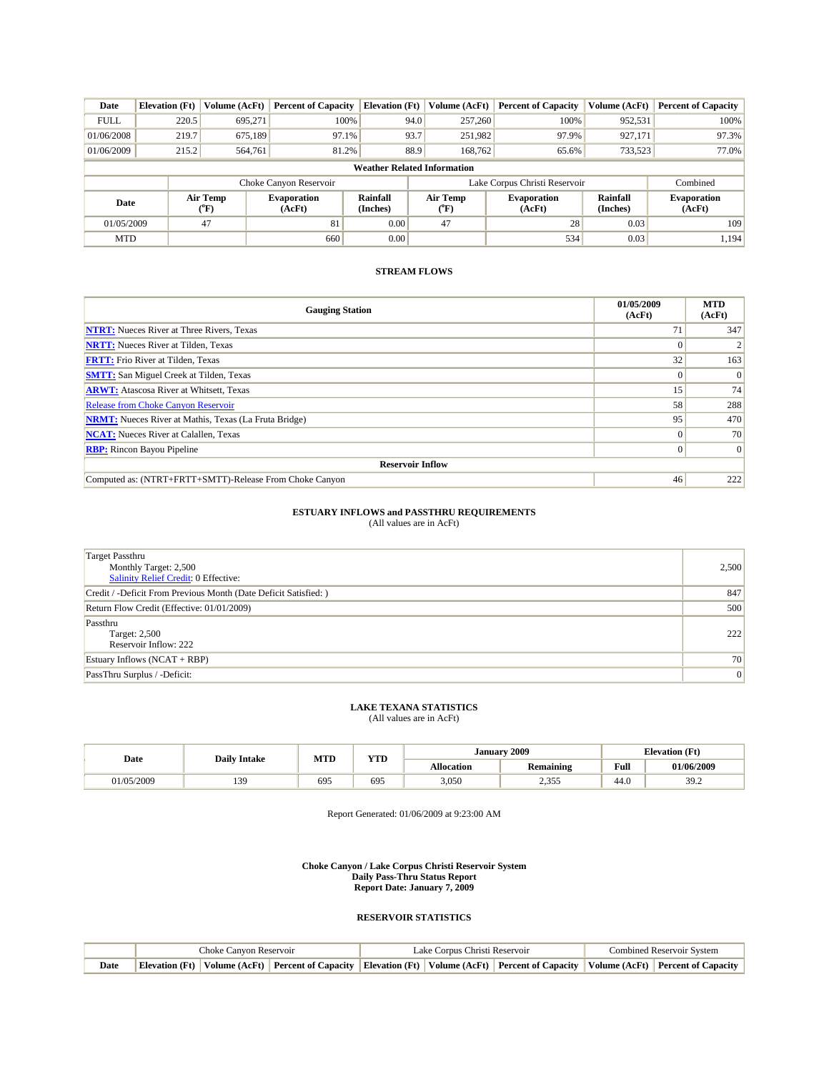| Date                               | <b>Elevation</b> (Ft) | Volume (AcFt)                  | <b>Percent of Capacity</b> | <b>Elevation</b> (Ft) | Volume (AcFt)    | <b>Percent of Capacity</b>                           | Volume (AcFt) | <b>Percent of Capacity</b>   |
|------------------------------------|-----------------------|--------------------------------|----------------------------|-----------------------|------------------|------------------------------------------------------|---------------|------------------------------|
| <b>FULL</b>                        | 220.5                 | 695,271                        | 100%                       | 94.0                  | 257,260          | 100%                                                 | 952,531       | 100%                         |
| 01/06/2008                         | 219.7                 | 675,189                        | 97.1%                      | 93.7                  | 251,982          | 97.9%                                                | 927,171       | 97.3%                        |
| 01/06/2009                         | 215.2                 | 564,761                        | 81.2%                      | 88.9                  | 168,762          | 65.6%                                                | 733,523       | 77.0%                        |
| <b>Weather Related Information</b> |                       |                                |                            |                       |                  |                                                      |               |                              |
|                                    |                       |                                | Choke Canyon Reservoir     |                       |                  | Lake Corpus Christi Reservoir                        |               | Combined                     |
| Date                               |                       | Air Temp<br>$({}^o\mathbf{F})$ | Evaporation<br>(AcFt)      | Rainfall<br>(Inches)  | Air Temp<br>(°F) | <b>Rainfall</b><br>Evaporation<br>(Inches)<br>(AcFt) |               | <b>Evaporation</b><br>(AcFt) |
| 01/05/2009                         |                       | 47                             | 81                         | 0.00                  | 47               | 28                                                   | 0.03          | 109                          |
| <b>MTD</b>                         |                       |                                | 660                        | 0.00                  |                  | 534                                                  | 0.03          | 1,194                        |

| <b>Gauging Station</b>                                       | 01/05/2009<br>(AcFt) | <b>MTD</b><br>(AcFt) |  |  |  |  |
|--------------------------------------------------------------|----------------------|----------------------|--|--|--|--|
| <b>NTRT:</b> Nueces River at Three Rivers, Texas             | $\mathcal{L}$        | 347                  |  |  |  |  |
| <b>NRTT:</b> Nueces River at Tilden, Texas                   |                      |                      |  |  |  |  |
| <b>FRTT:</b> Frio River at Tilden, Texas                     | 32                   | 163                  |  |  |  |  |
| <b>SMTT:</b> San Miguel Creek at Tilden, Texas               |                      | $\Omega$             |  |  |  |  |
| <b>ARWT:</b> Atascosa River at Whitsett, Texas               | 15 <sup>′</sup>      | 74                   |  |  |  |  |
| <b>Release from Choke Canyon Reservoir</b>                   | 58                   | 288                  |  |  |  |  |
| <b>NRMT:</b> Nueces River at Mathis, Texas (La Fruta Bridge) | 95                   | 470                  |  |  |  |  |
| <b>NCAT:</b> Nueces River at Calallen, Texas                 |                      | 70                   |  |  |  |  |
| <b>RBP:</b> Rincon Bayou Pipeline                            |                      | $\vert 0 \vert$      |  |  |  |  |
| <b>Reservoir Inflow</b>                                      |                      |                      |  |  |  |  |
| Computed as: (NTRT+FRTT+SMTT)-Release From Choke Canyon      | 46                   | 222                  |  |  |  |  |

## **ESTUARY INFLOWS and PASSTHRU REQUIREMENTS**<br>(All values are in AcFt)

| <b>Target Passthru</b><br>Monthly Target: 2,500<br><b>Salinity Relief Credit: 0 Effective:</b> | 2,500 |
|------------------------------------------------------------------------------------------------|-------|
| Credit / -Deficit From Previous Month (Date Deficit Satisfied: )                               | 847   |
| Return Flow Credit (Effective: 01/01/2009)                                                     | 500   |
| Passthru<br>Target: 2,500<br>Reservoir Inflow: 222                                             | 222   |
| Estuary Inflows $(NCAT + RBP)$                                                                 | 70    |
| PassThru Surplus / -Deficit:                                                                   | 0     |

## **LAKE TEXANA STATISTICS** (All values are in AcFt)

|           | <b>Daily Intake</b> | MTD | <b>TIMP</b> | January    | 2009                    | <b>Elevation</b> (Ft) |              |
|-----------|---------------------|-----|-------------|------------|-------------------------|-----------------------|--------------|
| Date      |                     |     | 1 I D       | Allocation | . .<br><b>Remaining</b> | Full                  | 01/06/2009   |
| 1/05/2009 | 130<br>             | 695 | 695         | 3,050      | 1.355<br>ر ر د د        | 44.0                  | 30'<br>ے ۔ ر |

Report Generated: 01/06/2009 at 9:23:00 AM

**Choke Canyon / Lake Corpus Christi Reservoir System Daily Pass-Thru Status Report Report Date: January 7, 2009** 

|      | Choke Canvon Reservoir |  |  | Lake Corpus Christi Reservoir | Combined Reservoir System                                                                                                                         |  |  |
|------|------------------------|--|--|-------------------------------|---------------------------------------------------------------------------------------------------------------------------------------------------|--|--|
| Date |                        |  |  |                               | Elevation (Ft)   Volume (AcFt)   Percent of Capacity   Elevation (Ft)   Volume (AcFt)   Percent of Capacity   Volume (AcFt)   Percent of Capacity |  |  |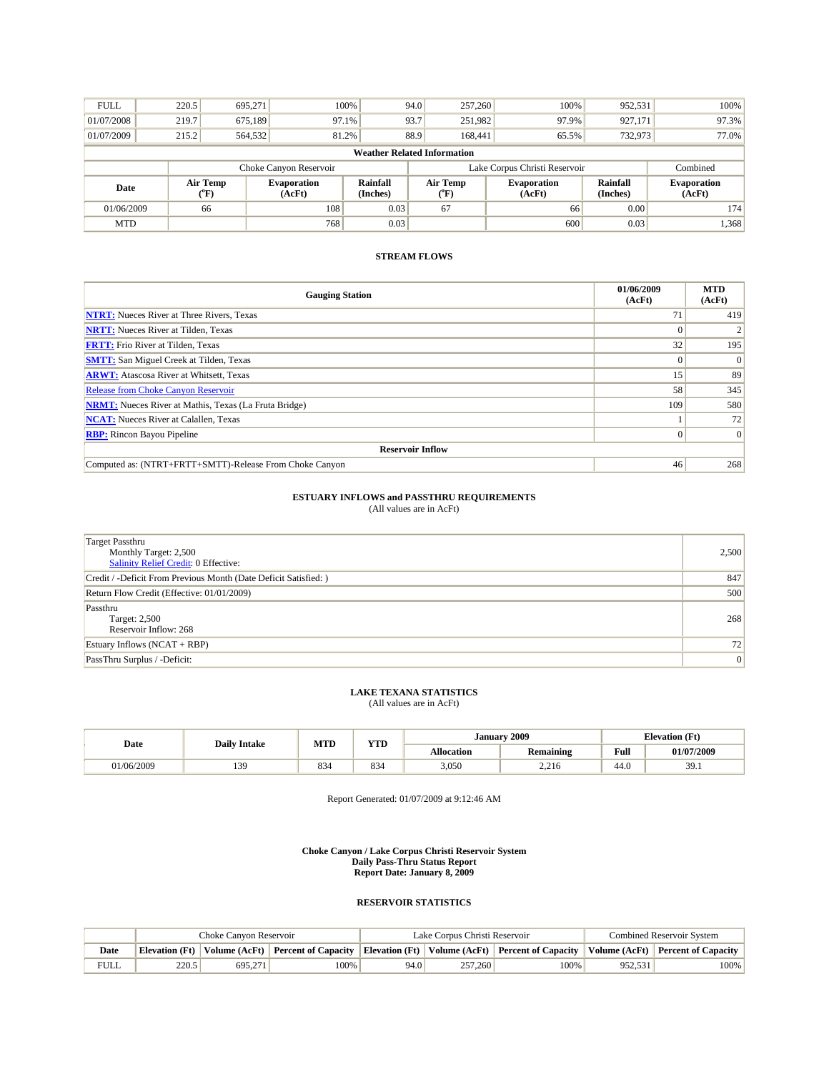| <b>FULL</b>                        | 220.5 | 695,271                                   |                              | 100%                 | 94.0 | 257,260                                                                                          | 100%  | 952,531  | 100%                         |
|------------------------------------|-------|-------------------------------------------|------------------------------|----------------------|------|--------------------------------------------------------------------------------------------------|-------|----------|------------------------------|
| 01/07/2008                         | 219.7 | 675,189                                   | 97.1%                        |                      | 93.7 | 251,982                                                                                          | 97.9% | 927,171  | 97.3%                        |
| 01/07/2009                         | 215.2 | 564,532                                   | 81.2%                        |                      | 88.9 | 168,441                                                                                          | 65.5% | 732,973  | 77.0%                        |
| <b>Weather Related Information</b> |       |                                           |                              |                      |      |                                                                                                  |       |          |                              |
|                                    |       |                                           | Choke Canyon Reservoir       |                      |      | Lake Corpus Christi Reservoir                                                                    |       | Combined |                              |
| Date                               |       | Air Temp<br>$({}^{\mathrm{o}}\mathrm{F})$ | <b>Evaporation</b><br>(AcFt) | Rainfall<br>(Inches) |      | Air Temp<br><b>Rainfall</b><br><b>Evaporation</b><br>(AcFt)<br>(Inches)<br>$({}^{\circ}{\rm F})$ |       |          | <b>Evaporation</b><br>(AcFt) |
| 01/06/2009                         |       | 66                                        | 108                          | 0.03                 |      | 67                                                                                               | 66    | 0.00     | 174                          |
| <b>MTD</b>                         |       |                                           | 768                          | 0.03                 |      |                                                                                                  | 600   | 0.03     | 1,368                        |

| <b>Gauging Station</b>                                       | 01/06/2009<br>(AcFt) | <b>MTD</b><br>(AcFt) |
|--------------------------------------------------------------|----------------------|----------------------|
| <b>NTRT:</b> Nueces River at Three Rivers, Texas             | 71                   | 419                  |
| <b>NRTT:</b> Nueces River at Tilden, Texas                   |                      |                      |
| <b>FRTT:</b> Frio River at Tilden, Texas                     | 32                   | 195                  |
| <b>SMTT:</b> San Miguel Creek at Tilden, Texas               |                      | $\mathbf{0}$         |
| <b>ARWT:</b> Atascosa River at Whitsett, Texas               | 15                   | 89                   |
| <b>Release from Choke Canyon Reservoir</b>                   | 58                   | 345                  |
| <b>NRMT:</b> Nueces River at Mathis, Texas (La Fruta Bridge) | 109                  | 580                  |
| <b>NCAT:</b> Nueces River at Calallen, Texas                 |                      | 72                   |
| <b>RBP:</b> Rincon Bayou Pipeline                            |                      | $\Omega$             |
| <b>Reservoir Inflow</b>                                      |                      |                      |
| Computed as: (NTRT+FRTT+SMTT)-Release From Choke Canyon      | 46                   | 268                  |

# **ESTUARY INFLOWS and PASSTHRU REQUIREMENTS**<br>(All values are in AcFt)

| <b>Target Passthru</b><br>Monthly Target: 2,500<br><b>Salinity Relief Credit: 0 Effective:</b> | 2,500           |
|------------------------------------------------------------------------------------------------|-----------------|
| Credit / -Deficit From Previous Month (Date Deficit Satisfied: )                               | 847             |
| Return Flow Credit (Effective: 01/01/2009)                                                     | 500             |
| Passthru<br>Target: 2,500<br>Reservoir Inflow: 268                                             | 268             |
| Estuary Inflows $(NCAT + RBP)$                                                                 | 72 <sub>1</sub> |
| PassThru Surplus / -Deficit:                                                                   | 0               |

## **LAKE TEXANA STATISTICS** (All values are in AcFt)

| Date      | <b>Daily Intake</b>   | MTD | VTD | Januarv    | 2009             | <b>Elevation</b> (Ft)                   |            |
|-----------|-----------------------|-----|-----|------------|------------------|-----------------------------------------|------------|
|           |                       |     | .   | Allocation | <b>Remaining</b> | Full<br>the contract of the contract of | 01/07/2009 |
| 1/06/2009 | 120<br>$\overline{ }$ | 834 | 834 | 3,050      | ን ን16<br>2.210   | 44.0                                    | 39.1       |

Report Generated: 01/07/2009 at 9:12:46 AM

**Choke Canyon / Lake Corpus Christi Reservoir System Daily Pass-Thru Status Report Report Date: January 8, 2009** 

|             |       | Choke Canvon Reservoir |      |                                                                                                             | Lake Corpus Christi Reservoir |      |         | <b>Combined Reservoir System</b>    |  |
|-------------|-------|------------------------|------|-------------------------------------------------------------------------------------------------------------|-------------------------------|------|---------|-------------------------------------|--|
| Date        |       |                        |      | Elevation (Ft)   Volume (AcFt)   Percent of Capacity   Elevation (Ft)   Volume (AcFt)   Percent of Capacity |                               |      |         | Volume (AcFt)   Percent of Capacity |  |
| <b>FULL</b> | 220.5 | 695.271                | 100% | 94.0                                                                                                        | 257,260                       | 100% | 952.531 | 100%                                |  |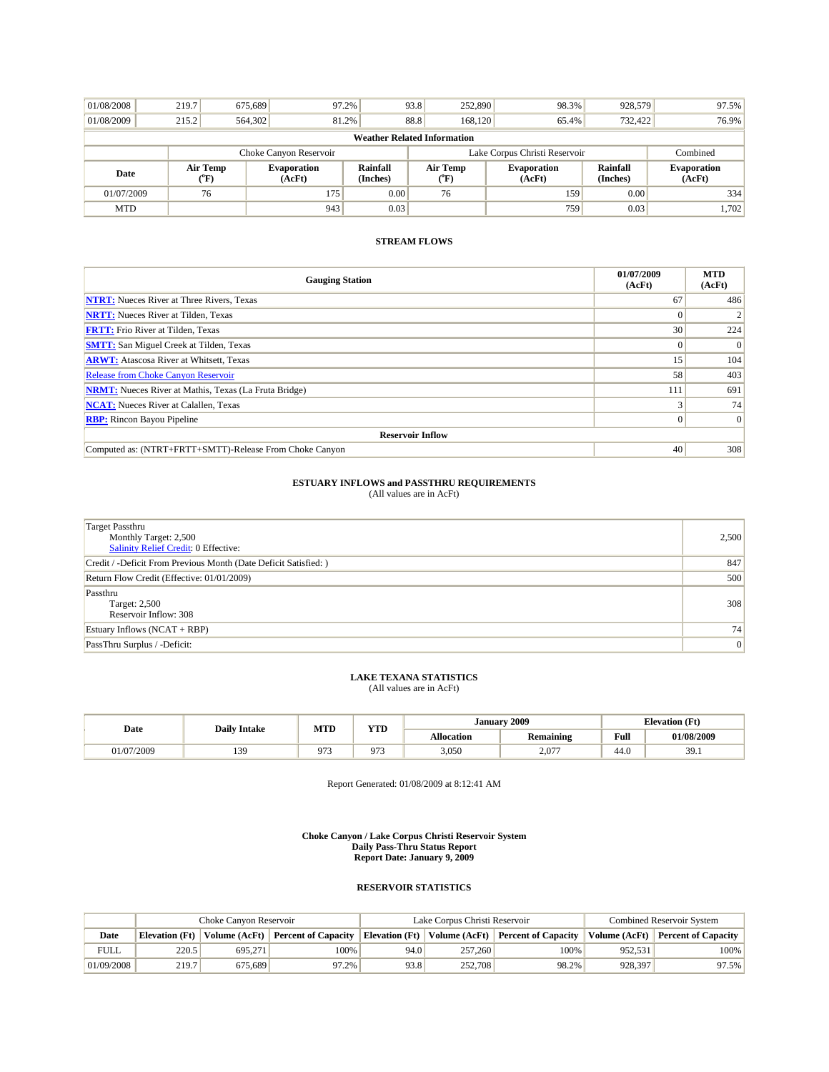| 01/08/2008                         | 219.7                  | 675.689         | 97.2%                        |                      | 93.8<br>252,890                                                                                 | 98.3%    | 928.579 | 97.5%                        |
|------------------------------------|------------------------|-----------------|------------------------------|----------------------|-------------------------------------------------------------------------------------------------|----------|---------|------------------------------|
| 01/08/2009                         | 215.2                  | 564,302         | 81.2%                        |                      | 88.8<br>168.120                                                                                 | 65.4%    | 732,422 | 76.9%                        |
| <b>Weather Related Information</b> |                        |                 |                              |                      |                                                                                                 |          |         |                              |
|                                    | Choke Canyon Reservoir |                 |                              |                      | Lake Corpus Christi Reservoir                                                                   | Combined |         |                              |
|                                    |                        |                 |                              |                      | Air Temp<br>Rainfall<br><b>Evaporation</b><br>(Inches)<br>(AcFt)<br>$(^{\mathrm{o}}\mathrm{F})$ |          |         |                              |
| Date                               |                        | Air Temp<br>"F) | <b>Evaporation</b><br>(AcFt) | Rainfall<br>(Inches) |                                                                                                 |          |         | <b>Evaporation</b><br>(AcFt) |
| 01/07/2009                         |                        | 76              | 175                          | 0.00                 | 76                                                                                              | 159      | 0.00    | 334                          |

| <b>Gauging Station</b>                                       | 01/07/2009<br>(AcFt) | <b>MTD</b><br>(AcFt) |
|--------------------------------------------------------------|----------------------|----------------------|
| <b>NTRT:</b> Nueces River at Three Rivers, Texas             | 67                   | 486                  |
| <b>NRTT:</b> Nueces River at Tilden, Texas                   |                      | $\overline{2}$       |
| <b>FRTT:</b> Frio River at Tilden, Texas                     | 30 <sup>°</sup>      | 224                  |
| <b>SMTT:</b> San Miguel Creek at Tilden, Texas               |                      | $\mathbf{0}$         |
| <b>ARWT:</b> Atascosa River at Whitsett, Texas               | 15                   | 104                  |
| <b>Release from Choke Canyon Reservoir</b>                   | 58                   | 403                  |
| <b>NRMT:</b> Nueces River at Mathis, Texas (La Fruta Bridge) | 111                  | 691                  |
| <b>NCAT:</b> Nueces River at Calallen, Texas                 |                      | 74                   |
| <b>RBP:</b> Rincon Bayou Pipeline                            |                      | $\mathbf{0}$         |
| <b>Reservoir Inflow</b>                                      |                      |                      |
| Computed as: (NTRT+FRTT+SMTT)-Release From Choke Canyon      | 40                   | 308                  |

# **ESTUARY INFLOWS and PASSTHRU REQUIREMENTS**<br>(All values are in AcFt)

| <b>Target Passthru</b><br>Monthly Target: 2,500<br><b>Salinity Relief Credit: 0 Effective:</b> | 2,500 |
|------------------------------------------------------------------------------------------------|-------|
| Credit / -Deficit From Previous Month (Date Deficit Satisfied: )                               | 847   |
| Return Flow Credit (Effective: 01/01/2009)                                                     | 500   |
| Passthru<br>Target: 2,500<br>Reservoir Inflow: 308                                             | 308   |
| Estuary Inflows $(NCAT + RBP)$                                                                 | 74    |
| PassThru Surplus / -Deficit:                                                                   | 0     |

## **LAKE TEXANA STATISTICS** (All values are in AcFt)

|           | MTD<br><b>Daily Intake</b><br>Date |     | <b>YTD</b> | January           | 2009      | <b>Elevation</b> (Ft) |            |
|-----------|------------------------------------|-----|------------|-------------------|-----------|-----------------------|------------|
|           |                                    |     |            | <b>Allocation</b> | Remaining | Full                  | 01/08/2009 |
| 1/07/2009 | 139                                | 072 | 973        | 3.050             | 2.077     | 44.0                  | 39.1       |

Report Generated: 01/08/2009 at 8:12:41 AM

**Choke Canyon / Lake Corpus Christi Reservoir System Daily Pass-Thru Status Report Report Date: January 9, 2009** 

|             | Choke Canvon Reservoir |                 |                            |                | Lake Corpus Christi Reservoir | <b>Combined Reservoir System</b>  |         |                                   |
|-------------|------------------------|-----------------|----------------------------|----------------|-------------------------------|-----------------------------------|---------|-----------------------------------|
| Date        | Elevation (Ft)         | Volume $(AcFt)$ | <b>Percent of Capacity</b> | Elevation (Ft) |                               | Volume (AcFt) Percent of Capacity |         | Volume (AcFt) Percent of Capacity |
| <b>FULL</b> | 220.5                  | 695.271         | 100%                       | 94.0           | 257,260                       | 100%                              | 952.531 | $100\%$                           |
| 01/09/2008  | 219.7                  | 675.689         | 97.2%                      | 93.8           | 252,708                       | 98.2%                             | 928.397 | 97.5%                             |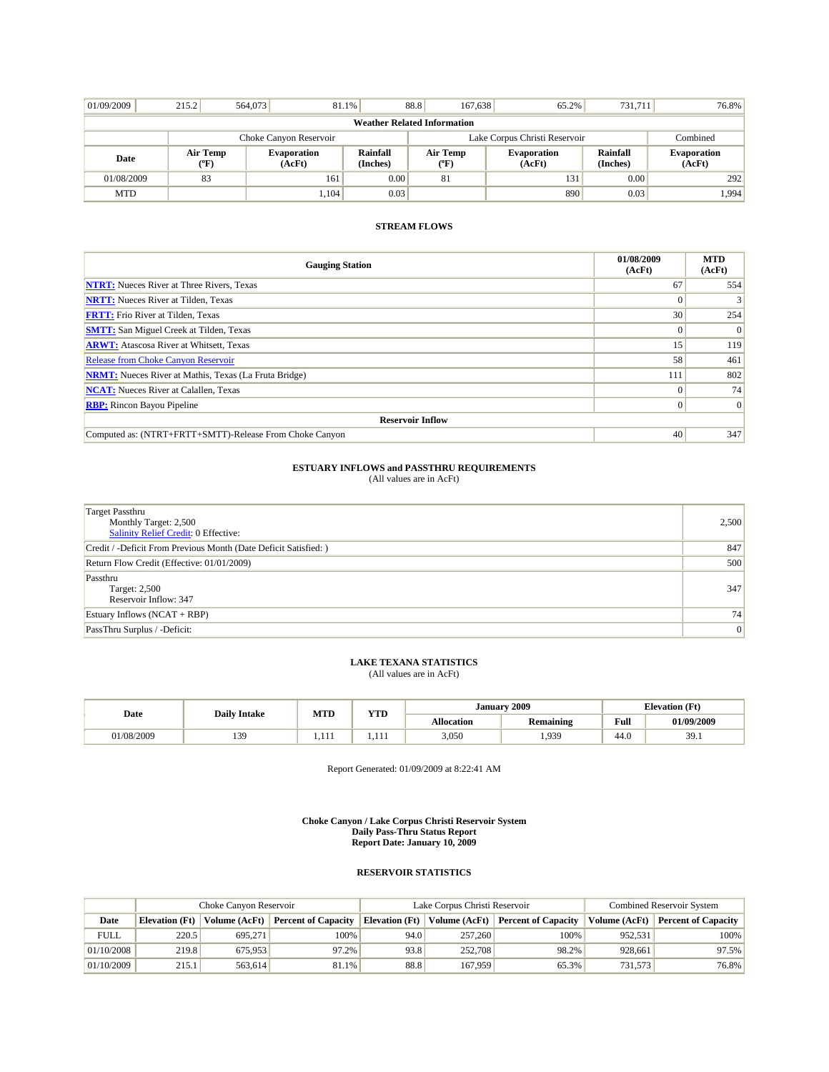| 01/09/2009                         | 215.2                  | 564,073 | 81.1%                        |                      | 88.8<br>167,638                         | 65.2%                        | 731.711              | 76.8%                        |  |  |
|------------------------------------|------------------------|---------|------------------------------|----------------------|-----------------------------------------|------------------------------|----------------------|------------------------------|--|--|
| <b>Weather Related Information</b> |                        |         |                              |                      |                                         |                              |                      |                              |  |  |
|                                    | Choke Canyon Reservoir |         |                              |                      | Lake Corpus Christi Reservoir           | Combined                     |                      |                              |  |  |
| Date                               | Air Temp<br>(°F)       |         | <b>Evaporation</b><br>(AcFt) | Rainfall<br>(Inches) | Air Temp<br>$(^{\mathrm{o}}\mathrm{F})$ | <b>Evaporation</b><br>(AcFt) | Rainfall<br>(Inches) | <b>Evaporation</b><br>(AcFt) |  |  |
| 01/08/2009                         | 83                     |         | 161                          | 0.00                 | 81                                      | 131                          | 0.00                 | 292                          |  |  |
| <b>MTD</b>                         |                        |         | 1,104                        | 0.03                 |                                         | 890                          | 0.03                 | 1,994                        |  |  |

| <b>Gauging Station</b>                                       | 01/08/2009<br>(AcFt) | <b>MTD</b><br>(AcFt) |
|--------------------------------------------------------------|----------------------|----------------------|
| <b>NTRT:</b> Nueces River at Three Rivers, Texas             | 67                   | 554                  |
| <b>NRTT:</b> Nueces River at Tilden, Texas                   | $\Omega$             | 3 <sup>1</sup>       |
| <b>FRTT:</b> Frio River at Tilden, Texas                     | 30                   | 254                  |
| <b>SMTT:</b> San Miguel Creek at Tilden, Texas               | $\Omega$             | $\vert$ 0            |
| <b>ARWT:</b> Atascosa River at Whitsett, Texas               | 15                   | 119                  |
| <b>Release from Choke Canyon Reservoir</b>                   | 58                   | 461                  |
| <b>NRMT:</b> Nueces River at Mathis, Texas (La Fruta Bridge) | 111                  | 802                  |
| <b>NCAT:</b> Nueces River at Calallen, Texas                 | $\Omega$             | 74                   |
| <b>RBP:</b> Rincon Bayou Pipeline                            | $\Omega$             | $\vert 0 \vert$      |
| <b>Reservoir Inflow</b>                                      |                      |                      |
| Computed as: (NTRT+FRTT+SMTT)-Release From Choke Canyon      | 40                   | 347                  |

## **ESTUARY INFLOWS and PASSTHRU REQUIREMENTS**<br>(All values are in AcFt)

| Target Passthru<br>Monthly Target: 2,500<br>Salinity Relief Credit: 0 Effective: | 2,500 |
|----------------------------------------------------------------------------------|-------|
| Credit / -Deficit From Previous Month (Date Deficit Satisfied: )                 | 847   |
| Return Flow Credit (Effective: 01/01/2009)                                       | 500   |
| Passthru<br>Target: 2,500<br>Reservoir Inflow: 347                               | 347   |
| Estuary Inflows $(NCAT + RBP)$                                                   | 74    |
| PassThru Surplus / -Deficit:                                                     | 0     |

## **LAKE TEXANA STATISTICS** (All values are in AcFt)

| Date      | <b>Daily Intake</b> | <b>MTD</b> | <b>WITH</b><br>1.I.D | January           | 2009             | <b>Elevation</b> (Ft) |            |
|-----------|---------------------|------------|----------------------|-------------------|------------------|-----------------------|------------|
|           |                     |            |                      | <b>Allocation</b> | <b>Remaining</b> | Full                  | 01/09/2009 |
| 1/08/2009 | 13G                 | .          | .                    | 3,050             | .939             | 44.C                  | 39.1       |

Report Generated: 01/09/2009 at 8:22:41 AM

**Choke Canyon / Lake Corpus Christi Reservoir System Daily Pass-Thru Status Report Report Date: January 10, 2009** 

|            | Choke Canyon Reservoir |         |                                   |      | Lake Corpus Christi Reservoir  | <b>Combined Reservoir System</b> |               |                            |
|------------|------------------------|---------|-----------------------------------|------|--------------------------------|----------------------------------|---------------|----------------------------|
| Date       | Elevation (Ft)         |         | Volume (AcFt) Percent of Capacity |      | Elevation (Ft)   Volume (AcFt) | <b>Percent of Capacity</b>       | Volume (AcFt) | <b>Percent of Capacity</b> |
| FULL       | 220.5                  | 695.271 | 100%                              | 94.0 | 257,260                        | 100%                             | 952.531       | $100\%$                    |
| 01/10/2008 | 219.8                  | 675.953 | 97.2%                             | 93.8 | 252,708                        | 98.2%                            | 928.661       | $97.5\%$                   |
| 01/10/2009 | 215.1                  | 563,614 | 81.1%                             | 88.8 | 167.959                        | 65.3%                            | 731,573       | 76.8%                      |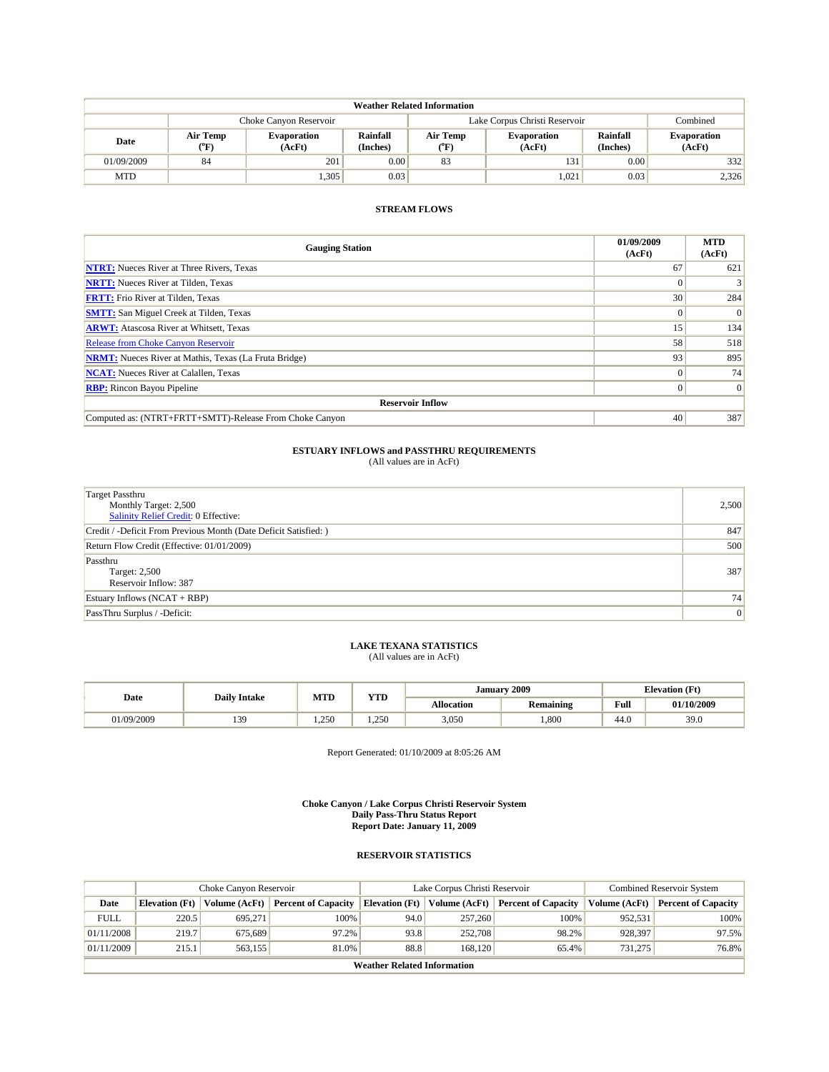| <b>Weather Related Information</b> |                        |                              |                      |                               |                       |                      |                              |  |  |  |
|------------------------------------|------------------------|------------------------------|----------------------|-------------------------------|-----------------------|----------------------|------------------------------|--|--|--|
|                                    | Choke Canyon Reservoir |                              |                      | Lake Corpus Christi Reservoir | Combined              |                      |                              |  |  |  |
| Date                               | Air Temp<br>(°F)       | <b>Evaporation</b><br>(AcFt) | Rainfall<br>(Inches) | Air Temp<br>^"F)              | Evaporation<br>(AcFt) | Rainfall<br>(Inches) | <b>Evaporation</b><br>(AcFt) |  |  |  |
| 01/09/2009                         | 84                     | 201                          | 0.00                 | 83                            | 131                   | 0.00                 | 332                          |  |  |  |
| <b>MTD</b>                         |                        | .305                         | 0.03                 |                               | 1,021                 | 0.03                 | 2,326                        |  |  |  |

| <b>Gauging Station</b>                                       | 01/09/2009<br>(AcFt) | <b>MTD</b><br>(AcFt) |
|--------------------------------------------------------------|----------------------|----------------------|
| <b>NTRT:</b> Nueces River at Three Rivers, Texas             | 67                   | 621                  |
| <b>NRTT:</b> Nueces River at Tilden, Texas                   |                      |                      |
| <b>FRTT:</b> Frio River at Tilden, Texas                     | 30                   | 284                  |
| <b>SMTT:</b> San Miguel Creek at Tilden, Texas               |                      | $\Omega$             |
| <b>ARWT:</b> Atascosa River at Whitsett, Texas               | 15 <sup>1</sup>      | 134                  |
| <b>Release from Choke Canyon Reservoir</b>                   | 58                   | 518                  |
| <b>NRMT:</b> Nueces River at Mathis, Texas (La Fruta Bridge) | 93                   | 895                  |
| <b>NCAT:</b> Nueces River at Calallen, Texas                 |                      | 74                   |
| <b>RBP:</b> Rincon Bayou Pipeline                            |                      | $\vert 0 \vert$      |
| <b>Reservoir Inflow</b>                                      |                      |                      |
| Computed as: (NTRT+FRTT+SMTT)-Release From Choke Canyon      | 40                   | 387                  |

### **ESTUARY INFLOWS and PASSTHRU REQUIREMENTS**

(All values are in AcFt)

| <b>Target Passthru</b><br>Monthly Target: 2,500<br>Salinity Relief Credit: 0 Effective: | 2,500          |
|-----------------------------------------------------------------------------------------|----------------|
| Credit / -Deficit From Previous Month (Date Deficit Satisfied: )                        | 847            |
| Return Flow Credit (Effective: 01/01/2009)                                              | 500            |
| Passthru<br><b>Target: 2,500</b><br>Reservoir Inflow: 387                               | 387            |
| Estuary Inflows $(NCAT + RBP)$                                                          | 74             |
| PassThru Surplus / -Deficit:                                                            | $\overline{0}$ |

### **LAKE TEXANA STATISTICS**

(All values are in AcFt)

|            | <b>Daily Intake</b> | MTD          | $\mathbf{v}$ | January    | 2009      |      | <b>Elevation</b> (Ft) |
|------------|---------------------|--------------|--------------|------------|-----------|------|-----------------------|
| Date       |                     |              | 1 I.D        | Allocation | Remaining | Full | 01/10/2009            |
| 01/09/2009 | 130<br>ر ب د        | 250<br>1.230 | 1.250        | 3,050      | 1,800     | 44.0 | 39.0                  |

Report Generated: 01/10/2009 at 8:05:26 AM

**Choke Canyon / Lake Corpus Christi Reservoir System Daily Pass-Thru Status Report Report Date: January 11, 2009** 

#### **RESERVOIR STATISTICS**

|             | Choke Canvon Reservoir |               |                            |                             | Lake Corpus Christi Reservoir | <b>Combined Reservoir System</b> |                      |                            |
|-------------|------------------------|---------------|----------------------------|-----------------------------|-------------------------------|----------------------------------|----------------------|----------------------------|
| Date        | <b>Elevation</b> (Ft)  | Volume (AcFt) | <b>Percent of Capacity</b> | <b>Elevation</b> (Ft)       | Volume $(AcFt)$               | <b>Percent of Capacity</b>       | <b>Volume (AcFt)</b> | <b>Percent of Capacity</b> |
| <b>FULL</b> | 220.5                  | 695.271       | 100%                       | 94.0                        | 257,260                       | 100%                             | 952.531              | 100%                       |
| 01/11/2008  | 219.7                  | 675.689       | 97.2%                      | 93.8                        | 252,708                       | 98.2%                            | 928.397              | 97.5%                      |
| 01/11/2009  | 215.1                  | 563.155       | 81.0%                      | 88.8                        | 168,120                       | 65.4%                            | 731.275              | 76.8%                      |
|             |                        |               |                            | Weather Related Information |                               |                                  |                      |                            |

**Weather Related Information**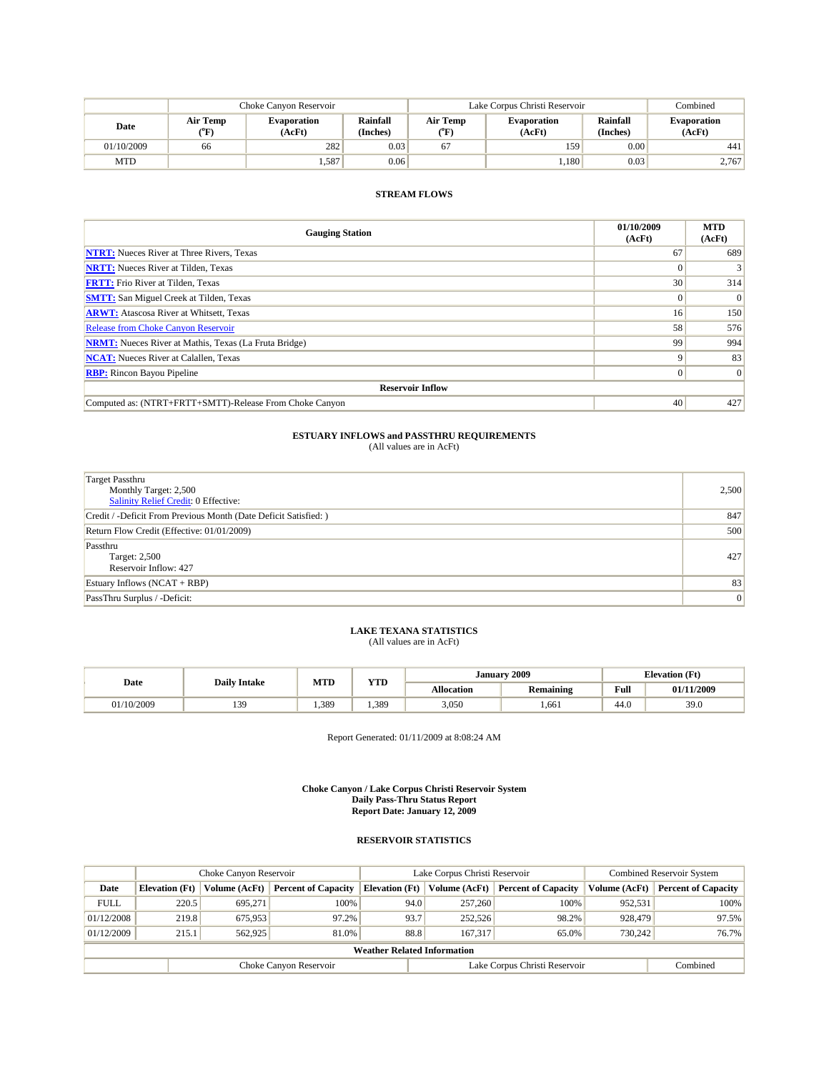|            | Choke Canvon Reservoir |                              |                      | Lake Corpus Christi Reservoir |                              | Combined                    |                              |
|------------|------------------------|------------------------------|----------------------|-------------------------------|------------------------------|-----------------------------|------------------------------|
| Date       | Air Temp<br>(°F)       | <b>Evaporation</b><br>(AcFt) | Rainfall<br>(Inches) | Air Temp<br>(°F)              | <b>Evaporation</b><br>(AcFt) | <b>Rainfall</b><br>(Inches) | <b>Evaporation</b><br>(AcFt) |
| 01/10/2009 | 66                     | 282                          | 0.03                 | 67                            | 159                          | 0.00                        | 441                          |
| <b>MTD</b> |                        | 1.587                        | 0.06                 |                               | 1.180                        | 0.03                        | 2.767                        |

| <b>Gauging Station</b>                                       | 01/10/2009<br>(AcFt) | <b>MTD</b><br>(AcFt) |
|--------------------------------------------------------------|----------------------|----------------------|
| <b>NTRT:</b> Nueces River at Three Rivers, Texas             | 67                   | 689                  |
| <b>NRTT:</b> Nueces River at Tilden, Texas                   |                      | 3                    |
| <b>FRTT:</b> Frio River at Tilden, Texas                     | 30                   | 314                  |
| <b>SMTT:</b> San Miguel Creek at Tilden, Texas               |                      | $\Omega$             |
| <b>ARWT:</b> Atascosa River at Whitsett, Texas               | 16                   | 150                  |
| <b>Release from Choke Canyon Reservoir</b>                   | 58                   | 576                  |
| <b>NRMT:</b> Nueces River at Mathis, Texas (La Fruta Bridge) | 99                   | 994                  |
| <b>NCAT:</b> Nueces River at Calallen, Texas                 | Q                    | 83                   |
| <b>RBP:</b> Rincon Bayou Pipeline                            | $\Omega$             | $\Omega$             |
| <b>Reservoir Inflow</b>                                      |                      |                      |
| Computed as: (NTRT+FRTT+SMTT)-Release From Choke Canyon      | 40                   | 427                  |

### **ESTUARY INFLOWS and PASSTHRU REQUIREMENTS**<br>(All values are in AcFt)

| <b>Target Passthru</b><br>Monthly Target: 2,500<br><b>Salinity Relief Credit: 0 Effective:</b> | 2,500           |
|------------------------------------------------------------------------------------------------|-----------------|
| Credit / -Deficit From Previous Month (Date Deficit Satisfied: )                               | 847             |
| Return Flow Credit (Effective: 01/01/2009)                                                     | 500             |
| Passthru<br>Target: 2,500<br>Reservoir Inflow: 427                                             | 427             |
| Estuary Inflows $(NCAT + RBP)$                                                                 | 83              |
| PassThru Surplus / -Deficit:                                                                   | $\vert 0 \vert$ |

## **LAKE TEXANA STATISTICS** (All values are in AcFt)

|  | Date       | <b>Daily Intake</b> | MTD  | <b>YTD</b> | January           | 2009             |      | <b>Elevation</b> (Ft) |
|--|------------|---------------------|------|------------|-------------------|------------------|------|-----------------------|
|  |            |                     |      |            | <b>Allocation</b> | <b>Remaining</b> | Full | 01/11/2009            |
|  | 11/10/2009 | 130<br>13,          | .389 | .389       | 3,050             | ,661             | 44.0 | 39.0                  |

Report Generated: 01/11/2009 at 8:08:24 AM

**Choke Canyon / Lake Corpus Christi Reservoir System Daily Pass-Thru Status Report Report Date: January 12, 2009** 

|                                    | Choke Canyon Reservoir |               |                            |                       | Lake Corpus Christi Reservoir | <b>Combined Reservoir System</b> |               |                            |  |  |
|------------------------------------|------------------------|---------------|----------------------------|-----------------------|-------------------------------|----------------------------------|---------------|----------------------------|--|--|
| Date                               | <b>Elevation</b> (Ft)  | Volume (AcFt) | <b>Percent of Capacity</b> | <b>Elevation</b> (Ft) | Volume (AcFt)                 | <b>Percent of Capacity</b>       | Volume (AcFt) | <b>Percent of Capacity</b> |  |  |
| <b>FULL</b>                        | 220.5                  | 695.271       | 100%                       | 94.0                  | 257,260                       | 100%                             | 952.531       | 100%                       |  |  |
| 01/12/2008                         | 219.8                  | 675.953       | 97.2%                      | 93.7                  | 252,526                       | 98.2%                            | 928,479       | 97.5%                      |  |  |
| 01/12/2009                         | 215.1                  | 562,925       | 81.0%                      | 88.8                  | 167.317                       | 65.0%                            | 730.242       | 76.7%                      |  |  |
| <b>Weather Related Information</b> |                        |               |                            |                       |                               |                                  |               |                            |  |  |
|                                    |                        |               | Choke Canyon Reservoir     |                       |                               | Lake Corpus Christi Reservoir    |               | Combined                   |  |  |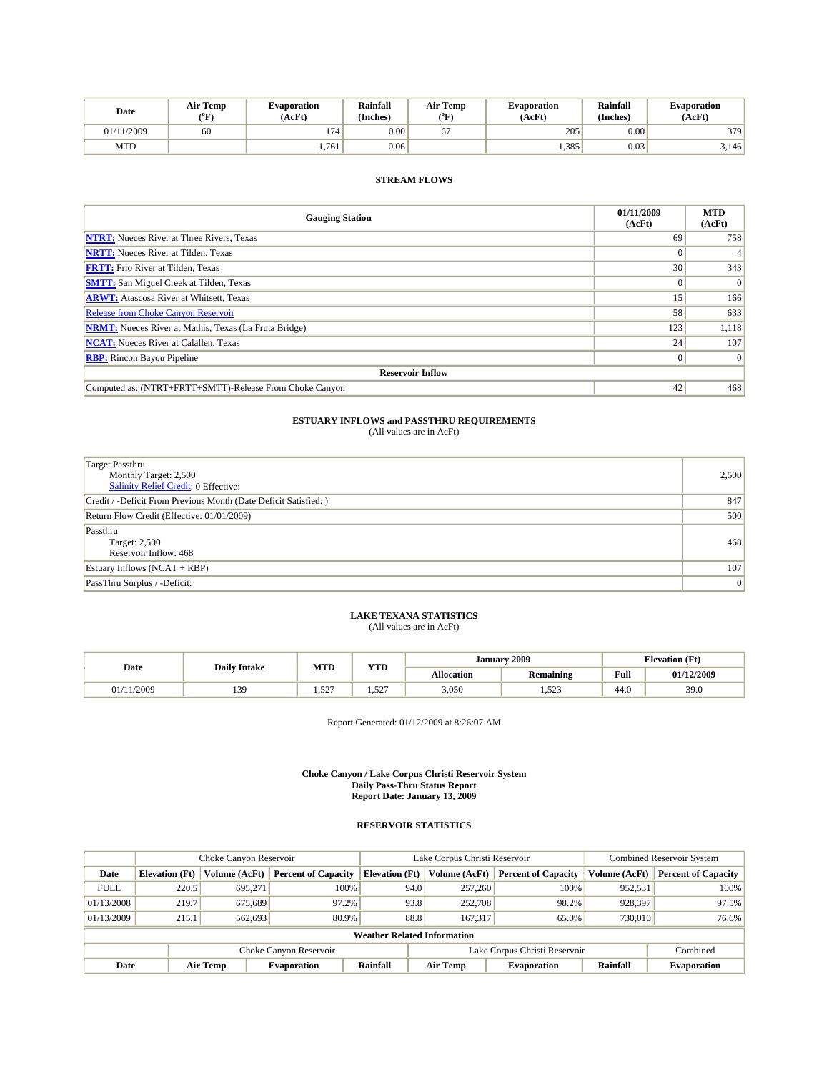| Date       | <b>Air Temp</b><br>(°F | Evaporation<br>(AcFt) | <b>Rainfall</b><br>(Inches) | Air Temp<br>$\rm ^{(^o}\!F)$ | <b>Evaporation</b><br>'AcFt | Rainfall<br>(Inches) | <b>Evaporation</b><br>(AcFt) |
|------------|------------------------|-----------------------|-----------------------------|------------------------------|-----------------------------|----------------------|------------------------------|
| 01/11/2009 | 60                     | 174                   | 0.00                        |                              | 205                         | 0.00                 | 379                          |
| MTD        |                        | 1,761                 | 0.06                        |                              | 1,385                       | 0.03                 | 3.146                        |

| <b>Gauging Station</b>                                       | 01/11/2009<br>(AcFt) | <b>MTD</b><br>(AcFt) |
|--------------------------------------------------------------|----------------------|----------------------|
| <b>NTRT:</b> Nueces River at Three Rivers, Texas             | 69                   | 758                  |
| <b>NRTT:</b> Nueces River at Tilden, Texas                   |                      |                      |
| <b>FRTT:</b> Frio River at Tilden, Texas                     | 30                   | 343                  |
| <b>SMTT:</b> San Miguel Creek at Tilden, Texas               |                      | $\Omega$             |
| <b>ARWT:</b> Atascosa River at Whitsett, Texas               | 15                   | 166                  |
| <b>Release from Choke Canyon Reservoir</b>                   | 58                   | 633                  |
| <b>NRMT:</b> Nueces River at Mathis, Texas (La Fruta Bridge) | 123                  | 1,118                |
| <b>NCAT:</b> Nueces River at Calallen, Texas                 | 24                   | 107                  |
| <b>RBP:</b> Rincon Bayou Pipeline                            | $\Omega$             | $\vert 0 \vert$      |
| <b>Reservoir Inflow</b>                                      |                      |                      |
| Computed as: (NTRT+FRTT+SMTT)-Release From Choke Canvon      | 42                   | 468                  |

## **ESTUARY INFLOWS and PASSTHRU REQUIREMENTS**<br>(All values are in AcFt)

| <b>Target Passthru</b><br>Monthly Target: 2,500<br>Salinity Relief Credit: 0 Effective: | 2,500          |
|-----------------------------------------------------------------------------------------|----------------|
| Credit / -Deficit From Previous Month (Date Deficit Satisfied: )                        | 847            |
| Return Flow Credit (Effective: 01/01/2009)                                              | 500            |
| Passthru<br>Target: 2,500<br>Reservoir Inflow: 468                                      | 468            |
| Estuary Inflows (NCAT + RBP)                                                            | 107            |
| PassThru Surplus / -Deficit:                                                            | $\overline{0}$ |

## **LAKE TEXANA STATISTICS** (All values are in AcFt)

|        | <b>Daily Intake</b> |            | <b>YTD</b>       | January 2009      |                  | <b>Elevation</b> (Ft) |            |
|--------|---------------------|------------|------------------|-------------------|------------------|-----------------------|------------|
| Date   |                     | <b>MTD</b> |                  | <b>Allocation</b> | <b>Remaining</b> | Full                  | 01/12/2009 |
| 1/2009 | 139<br>1J.          | 1.527      | 527<br>المستشفية | 3,050             | 52<br>1.929      | 44.0                  | 39.0       |

Report Generated: 01/12/2009 at 8:26:07 AM

**Choke Canyon / Lake Corpus Christi Reservoir System Daily Pass-Thru Status Report Report Date: January 13, 2009** 

| Choke Canyon Reservoir             |                       |               |                            |                       | Lake Corpus Christi Reservoir | <b>Combined Reservoir System</b> |               |                            |  |  |
|------------------------------------|-----------------------|---------------|----------------------------|-----------------------|-------------------------------|----------------------------------|---------------|----------------------------|--|--|
| Date                               | <b>Elevation</b> (Ft) | Volume (AcFt) | <b>Percent of Capacity</b> | <b>Elevation</b> (Ft) | Volume (AcFt)                 | <b>Percent of Capacity</b>       | Volume (AcFt) | <b>Percent of Capacity</b> |  |  |
| <b>FULL</b>                        | 220.5                 | 695.271       | 100%                       | 94.0                  | 257,260                       | 100%                             | 952.531       | 100%                       |  |  |
| 01/13/2008                         | 219.7                 | 675.689       | 97.2%                      | 93.8                  | 252,708                       | 98.2%                            | 928,397       | 97.5%                      |  |  |
| 01/13/2009                         | 215.1                 | 562,693       | 80.9%                      | 88.8                  | 167,317                       | 65.0%                            | 730,010       | 76.6%                      |  |  |
| <b>Weather Related Information</b> |                       |               |                            |                       |                               |                                  |               |                            |  |  |
|                                    |                       |               | Choke Canyon Reservoir     |                       | Lake Corpus Christi Reservoir |                                  |               | Combined                   |  |  |
| Date                               |                       | Air Temp      | <b>Evaporation</b>         | Rainfall              | Air Temp                      | <b>Evaporation</b>               | Rainfall      | <b>Evaporation</b>         |  |  |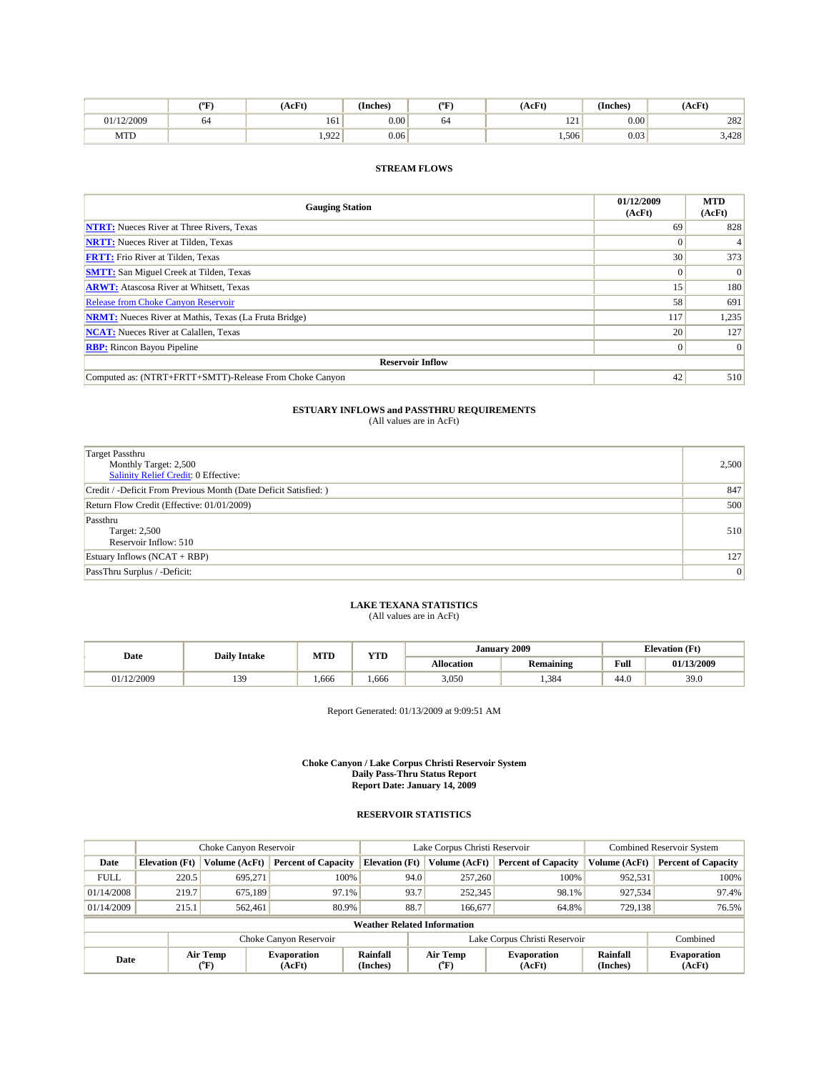|            | °F | AcFt) | œ.<br>(Inches) | (°F | (AcFt)                   | (Inches)  | (AcFt)         |
|------------|----|-------|----------------|-----|--------------------------|-----------|----------------|
| 01/12/2009 | 64 | 161   | $0.00\,$       | 04  | $\sim$<br>$\overline{1}$ | $_{0.00}$ | 282            |
| <b>MTD</b> |    | 1.922 | 0.06           |     | 1,506                    | 0.03      | 2.420<br>3.428 |

| <b>Gauging Station</b>                                       | 01/12/2009<br>(AcFt) | <b>MTD</b><br>(AcFt) |
|--------------------------------------------------------------|----------------------|----------------------|
| <b>NTRT:</b> Nueces River at Three Rivers, Texas             | 69                   | 828                  |
| <b>NRTT:</b> Nueces River at Tilden, Texas                   |                      | 4                    |
| <b>FRTT:</b> Frio River at Tilden, Texas                     | 30                   | 373                  |
| <b>SMTT:</b> San Miguel Creek at Tilden, Texas               |                      | $\overline{0}$       |
| <b>ARWT:</b> Atascosa River at Whitsett, Texas               | 15                   | 180                  |
| <b>Release from Choke Canyon Reservoir</b>                   | 58                   | 691                  |
| <b>NRMT:</b> Nueces River at Mathis, Texas (La Fruta Bridge) | 117                  | 1,235                |
| <b>NCAT:</b> Nueces River at Calallen, Texas                 | 20                   | 127                  |
| <b>RBP:</b> Rincon Bayou Pipeline                            |                      | $\overline{0}$       |
| <b>Reservoir Inflow</b>                                      |                      |                      |
| Computed as: (NTRT+FRTT+SMTT)-Release From Choke Canyon      | 42                   | 510                  |

# **ESTUARY INFLOWS and PASSTHRU REQUIREMENTS**<br>(All values are in AcFt)

| <b>Target Passthru</b><br>Monthly Target: 2,500<br>Salinity Relief Credit: 0 Effective: | 2,500 |
|-----------------------------------------------------------------------------------------|-------|
| Credit / -Deficit From Previous Month (Date Deficit Satisfied: )                        | 847   |
| Return Flow Credit (Effective: 01/01/2009)                                              | 500   |
| Passthru<br>Target: 2,500<br>Reservoir Inflow: 510                                      | 510   |
| Estuary Inflows (NCAT + RBP)                                                            | 127   |
| PassThru Surplus / -Deficit:                                                            | 0     |

### **LAKE TEXANA STATISTICS**

(All values are in AcFt)

| Date       | <b>Daily Intake</b> | MTD  | <b>YTD</b> |                   | January 2009     | Elevation (Ft) |            |
|------------|---------------------|------|------------|-------------------|------------------|----------------|------------|
|            |                     |      |            | <b>Allocation</b> | <b>Remaining</b> | Full           | 01/13/2009 |
| 01/12/2009 | 139<br>.            | .666 | .666       | 3,050             | 1.384            | 44.0           | 39.0       |

Report Generated: 01/13/2009 at 9:09:51 AM

**Choke Canyon / Lake Corpus Christi Reservoir System Daily Pass-Thru Status Report Report Date: January 14, 2009** 

|                                    | Choke Canyon Reservoir |                                  |                              |                               | Lake Corpus Christi Reservoir | <b>Combined Reservoir System</b> |                      |                              |
|------------------------------------|------------------------|----------------------------------|------------------------------|-------------------------------|-------------------------------|----------------------------------|----------------------|------------------------------|
| Date                               | <b>Elevation</b> (Ft)  | Volume (AcFt)                    | <b>Percent of Capacity</b>   | <b>Elevation (Ft)</b>         | Volume (AcFt)                 | <b>Percent of Capacity</b>       | Volume (AcFt)        | <b>Percent of Capacity</b>   |
| <b>FULL</b>                        | 220.5                  | 695.271                          | 100%                         | 94.0                          | 257,260                       | 100%                             | 952,531              | 100%                         |
| 01/14/2008                         | 219.7                  | 675.189                          | 97.1%                        | 93.7                          | 252,345                       | 98.1%                            | 927,534              | 97.4%                        |
| 01/14/2009                         | 215.1                  | 562,461                          | 80.9%                        | 88.7                          | 166,677                       | 64.8%                            | 729.138              | 76.5%                        |
| <b>Weather Related Information</b> |                        |                                  |                              |                               |                               |                                  |                      |                              |
| Choke Canyon Reservoir             |                        |                                  |                              | Lake Corpus Christi Reservoir |                               |                                  |                      | Combined                     |
| Date                               |                        | Air Temp<br>$^{\prime\prime}$ F) | <b>Evaporation</b><br>(AcFt) | Rainfall<br>(Inches)          | Air Temp<br>°F)               | <b>Evaporation</b><br>(AcFt)     | Rainfall<br>(Inches) | <b>Evaporation</b><br>(AcFt) |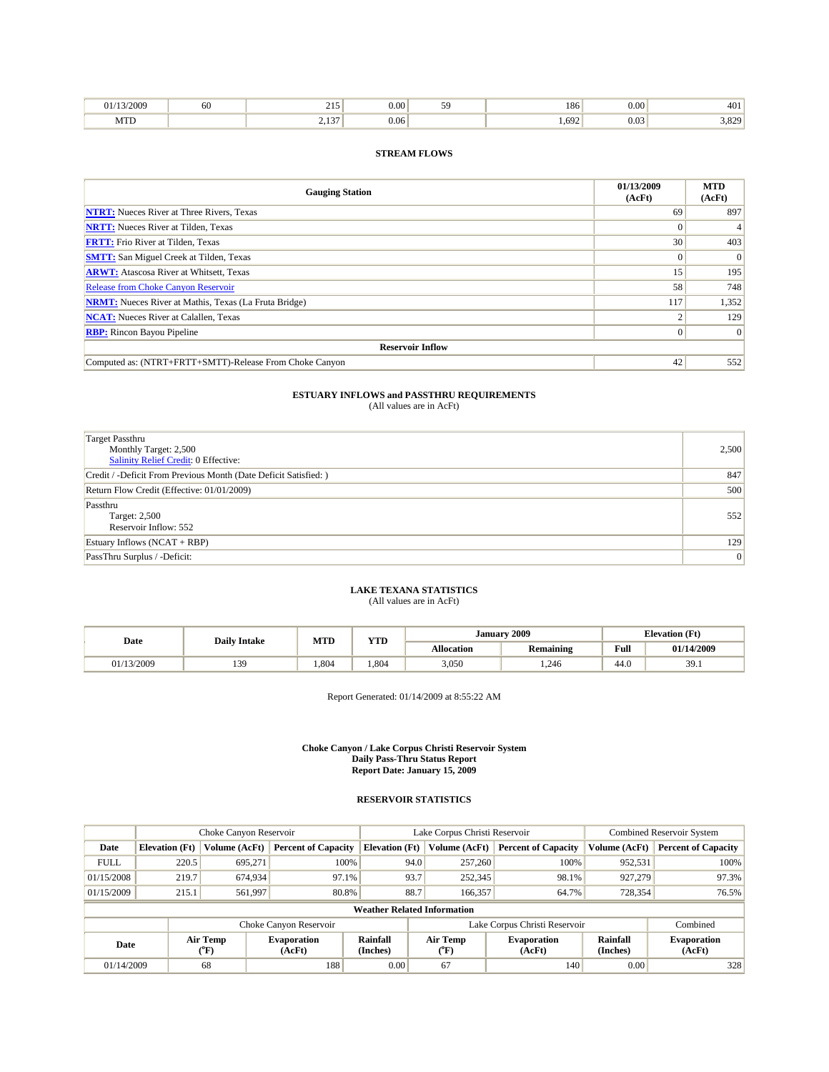| /2009                   | -OU | --                          | $\sim$<br>J.UU | 186         | $\sim$<br>v.vv |                    |
|-------------------------|-----|-----------------------------|----------------|-------------|----------------|--------------------|
| $A^T T T$<br><b>MID</b> |     | $\sim$<br>ر د و پ<br>$\sim$ | 0.06<br>.      | 692<br>., . | $\sim$<br>U.UJ | 222<br>3.04<br>. . |

| <b>Gauging Station</b>                                       | 01/13/2009<br>(AcFt) | <b>MTD</b><br>(AcFt) |
|--------------------------------------------------------------|----------------------|----------------------|
| <b>NTRT:</b> Nueces River at Three Rivers, Texas             | 69                   | 897                  |
| <b>NRTT:</b> Nueces River at Tilden, Texas                   |                      |                      |
| <b>FRTT:</b> Frio River at Tilden, Texas                     | 30                   | 403                  |
| <b>SMTT:</b> San Miguel Creek at Tilden, Texas               |                      | $\Omega$             |
| <b>ARWT:</b> Atascosa River at Whitsett, Texas               | 15                   | 195                  |
| <b>Release from Choke Canyon Reservoir</b>                   | 58                   | 748                  |
| <b>NRMT:</b> Nueces River at Mathis, Texas (La Fruta Bridge) | 117                  | 1,352                |
| <b>NCAT:</b> Nueces River at Calallen, Texas                 |                      | 129                  |
| <b>RBP:</b> Rincon Bayou Pipeline                            |                      | $\Omega$             |
| <b>Reservoir Inflow</b>                                      |                      |                      |
| Computed as: (NTRT+FRTT+SMTT)-Release From Choke Canyon      | 42                   | 552                  |

### **ESTUARY INFLOWS and PASSTHRU REQUIREMENTS**<br>(All values are in AcFt)

| <b>Target Passthru</b><br>Monthly Target: 2,500<br><b>Salinity Relief Credit: 0 Effective:</b> | 2,500          |
|------------------------------------------------------------------------------------------------|----------------|
| Credit / -Deficit From Previous Month (Date Deficit Satisfied: )                               | 847            |
| Return Flow Credit (Effective: 01/01/2009)                                                     | 500            |
| Passthru<br><b>Target: 2,500</b><br>Reservoir Inflow: 552                                      | 552            |
| Estuary Inflows $(NCAT + RBP)$                                                                 | 129            |
| PassThru Surplus / -Deficit:                                                                   | $\overline{0}$ |

### **LAKE TEXANA STATISTICS** (All values are in AcFt)

|            | <b>Daily Intake</b> | MTD  | <b>XZOD</b> | January           | 2009             | <b>Elevation</b> (Ft) |            |
|------------|---------------------|------|-------------|-------------------|------------------|-----------------------|------------|
| Date       |                     |      | .           | <b>Allocation</b> | <b>Remaining</b> | Full                  | 01/14/2009 |
| 01/13/2009 | 130<br>.            | .804 | .804        | 3,050             | .246             | 44.0                  | 39.1       |

Report Generated: 01/14/2009 at 8:55:22 AM

#### **Choke Canyon / Lake Corpus Christi Reservoir System Daily Pass-Thru Status Report Report Date: January 15, 2009**

|                                    |                       | Choke Canyon Reservoir         |                              |                       | Lake Corpus Christi Reservoir | <b>Combined Reservoir System</b> |                      |                              |
|------------------------------------|-----------------------|--------------------------------|------------------------------|-----------------------|-------------------------------|----------------------------------|----------------------|------------------------------|
| Date                               | <b>Elevation</b> (Ft) | Volume (AcFt)                  | <b>Percent of Capacity</b>   | <b>Elevation</b> (Ft) | Volume (AcFt)                 | <b>Percent of Capacity</b>       | Volume (AcFt)        | <b>Percent of Capacity</b>   |
| <b>FULL</b>                        | 220.5                 | 695.271                        | 100%                         | 94.0                  | 257,260                       | 100%                             | 952,531              | 100%                         |
| 01/15/2008                         | 219.7                 | 674,934                        | 97.1%                        | 93.7                  | 252,345                       | 98.1%                            | 927,279              | 97.3%                        |
| 01/15/2009                         | 215.1                 | 561,997                        | 80.8%                        | 88.7                  | 166,357                       | 64.7%                            | 728,354              | 76.5%                        |
| <b>Weather Related Information</b> |                       |                                |                              |                       |                               |                                  |                      |                              |
|                                    |                       |                                | Choke Canyon Reservoir       |                       | Lake Corpus Christi Reservoir |                                  |                      |                              |
| Date                               |                       | Air Temp<br>$(^{o}\mathrm{F})$ | <b>Evaporation</b><br>(AcFt) | Rainfall<br>(Inches)  | Air Temp<br>("F)              | <b>Evaporation</b><br>(AcFt)     | Rainfall<br>(Inches) | <b>Evaporation</b><br>(AcFt) |
| 01/14/2009                         |                       | 68                             | 188                          | 0.00                  | 67                            | 140                              | $0.00\vert$          | 328                          |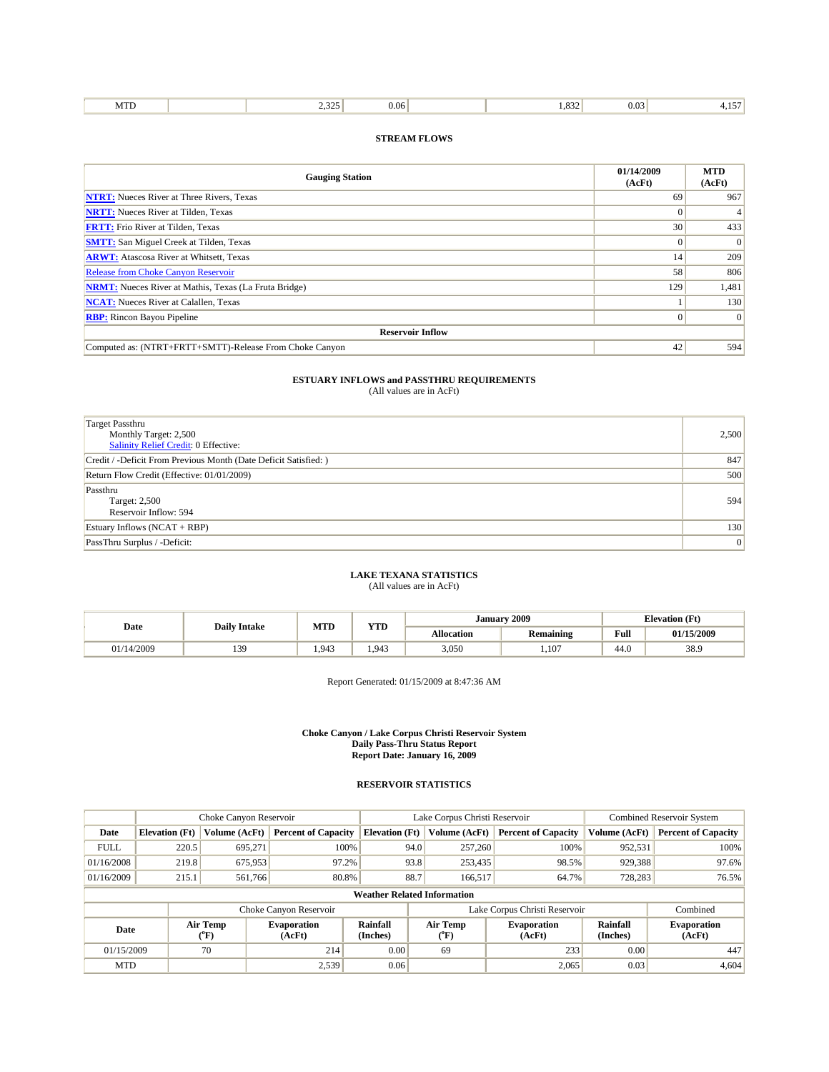| <b>STOP</b><br>225<br>.<br>- ה<br>M<br>J.UU<br>1.11.<br>. <i>.</i><br> |
|------------------------------------------------------------------------|
|------------------------------------------------------------------------|

| <b>Gauging Station</b>                                       | 01/14/2009<br>(AcFt) | <b>MTD</b><br>(AcFt) |  |  |  |  |  |
|--------------------------------------------------------------|----------------------|----------------------|--|--|--|--|--|
| <b>NTRT:</b> Nueces River at Three Rivers, Texas             | 69                   | 967                  |  |  |  |  |  |
| <b>NRTT:</b> Nueces River at Tilden, Texas                   |                      | $\overline{4}$       |  |  |  |  |  |
| <b>FRTT:</b> Frio River at Tilden, Texas                     | 30                   | 433                  |  |  |  |  |  |
| <b>SMTT:</b> San Miguel Creek at Tilden, Texas               | $\Omega$             | $\overline{0}$       |  |  |  |  |  |
| <b>ARWT:</b> Atascosa River at Whitsett, Texas               | 14                   | 209                  |  |  |  |  |  |
| <b>Release from Choke Canyon Reservoir</b>                   | 58                   | 806                  |  |  |  |  |  |
| <b>NRMT:</b> Nueces River at Mathis, Texas (La Fruta Bridge) | 129                  | 1,481                |  |  |  |  |  |
| <b>NCAT:</b> Nueces River at Calallen, Texas                 |                      | 130                  |  |  |  |  |  |
| <b>RBP:</b> Rincon Bayou Pipeline                            | $\Omega$             | $\overline{0}$       |  |  |  |  |  |
| <b>Reservoir Inflow</b>                                      |                      |                      |  |  |  |  |  |
| Computed as: (NTRT+FRTT+SMTT)-Release From Choke Canyon      | 42                   | 594                  |  |  |  |  |  |

## **ESTUARY INFLOWS and PASSTHRU REQUIREMENTS**<br>(All values are in AcFt)

| Target Passthru<br>Monthly Target: 2,500<br><b>Salinity Relief Credit: 0 Effective:</b> | 2,500 |
|-----------------------------------------------------------------------------------------|-------|
| Credit / -Deficit From Previous Month (Date Deficit Satisfied: )                        | 847   |
| Return Flow Credit (Effective: 01/01/2009)                                              | 500   |
| Passthru<br>Target: 2,500<br>Reservoir Inflow: 594                                      | 594   |
| Estuary Inflows $(NCAT + RBP)$                                                          | 130   |
| PassThru Surplus / -Deficit:                                                            | 0     |

### **LAKE TEXANA STATISTICS** (All values are in AcFt)

| Date       | <b>Daily Intake</b> | MTD   | <b>TIMP</b> |            | January 2009     | <b>Elevation</b> (Ft) |            |
|------------|---------------------|-------|-------------|------------|------------------|-----------------------|------------|
|            |                     |       | 1 I D       | Allocation | <b>Remaining</b> | <b>Full</b>           | 01/15/2009 |
| 01/14/2009 | 130<br>ر ر د        | 1.943 | 1.943       | 3,050      | 1.107            | $\sim$<br>44.U        | 38.9       |

Report Generated: 01/15/2009 at 8:47:36 AM

#### **Choke Canyon / Lake Corpus Christi Reservoir System Daily Pass-Thru Status Report Report Date: January 16, 2009**

|                                    | Choke Canyon Reservoir |                  | Lake Corpus Christi Reservoir |                       |      |                         | <b>Combined Reservoir System</b> |                      |                              |
|------------------------------------|------------------------|------------------|-------------------------------|-----------------------|------|-------------------------|----------------------------------|----------------------|------------------------------|
| Date                               | <b>Elevation</b> (Ft)  | Volume (AcFt)    | <b>Percent of Capacity</b>    | <b>Elevation</b> (Ft) |      | Volume (AcFt)           | <b>Percent of Capacity</b>       | Volume (AcFt)        | <b>Percent of Capacity</b>   |
| <b>FULL</b>                        | 220.5                  | 695.271          | 100%                          |                       | 94.0 | 257,260                 | 100%                             | 952.531              | 100%                         |
| 01/16/2008                         | 219.8                  | 675,953          | 97.2%                         |                       | 93.8 | 253,435                 | 98.5%                            | 929,388              | 97.6%                        |
| 01/16/2009                         | 215.1                  | 561,766          | 80.8%                         |                       | 88.7 | 166,517                 | 64.7%                            | 728,283              | 76.5%                        |
| <b>Weather Related Information</b> |                        |                  |                               |                       |      |                         |                                  |                      |                              |
|                                    |                        |                  | Choke Canyon Reservoir        |                       |      |                         | Lake Corpus Christi Reservoir    |                      | Combined                     |
| Date                               |                        | Air Temp<br>(°F) | <b>Evaporation</b><br>(AcFt)  | Rainfall<br>(Inches)  |      | <b>Air Temp</b><br>(°F) | <b>Evaporation</b><br>(AcFt)     | Rainfall<br>(Inches) | <b>Evaporation</b><br>(AcFt) |
| 01/15/2009                         | 70<br>214              |                  | 0.00                          | 69                    |      | 233                     | 0.00                             | 447                  |                              |
| <b>MTD</b>                         |                        |                  | 2,539                         | 0.06                  |      |                         | 2,065                            | 0.03                 | 4,604                        |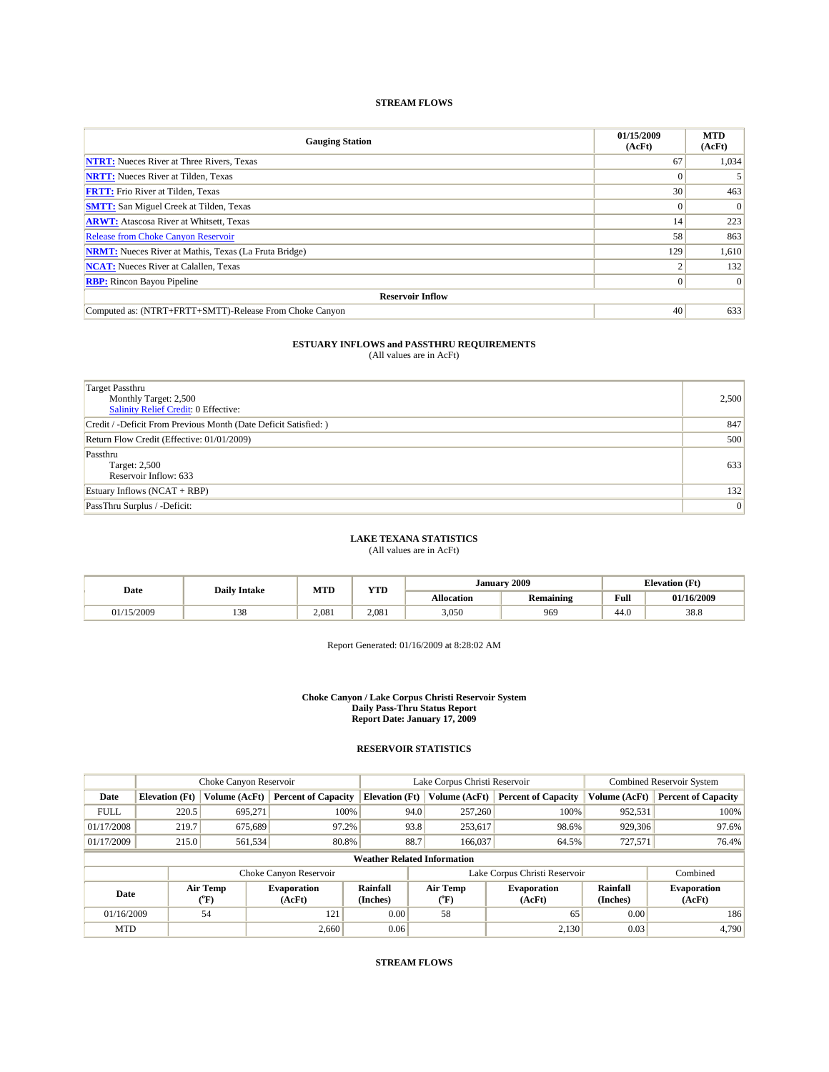| <b>Gauging Station</b>                                       | 01/15/2009<br>(AcFt) | <b>MTD</b><br>(AcFt) |
|--------------------------------------------------------------|----------------------|----------------------|
| <b>NTRT:</b> Nueces River at Three Rivers, Texas             | 67                   | 1,034                |
| <b>NRTT:</b> Nueces River at Tilden, Texas                   |                      |                      |
| <b>FRTT:</b> Frio River at Tilden, Texas                     | 30                   | 463                  |
| <b>SMTT:</b> San Miguel Creek at Tilden, Texas               |                      | $\Omega$             |
| <b>ARWT:</b> Atascosa River at Whitsett, Texas               | 14                   | 223                  |
| <b>Release from Choke Canyon Reservoir</b>                   | 58                   | 863                  |
| <b>NRMT:</b> Nueces River at Mathis, Texas (La Fruta Bridge) | 129                  | 1,610                |
| <b>NCAT:</b> Nueces River at Calallen, Texas                 |                      | 132                  |
| <b>RBP:</b> Rincon Bayou Pipeline                            | $\Omega$             | $\vert 0 \vert$      |
| <b>Reservoir Inflow</b>                                      |                      |                      |
| Computed as: (NTRT+FRTT+SMTT)-Release From Choke Canyon      | 40                   | 633                  |

## **ESTUARY INFLOWS and PASSTHRU REQUIREMENTS**<br>(All values are in AcFt)

| <b>Target Passthru</b><br>Monthly Target: 2,500<br>Salinity Relief Credit: 0 Effective: | 2,500           |
|-----------------------------------------------------------------------------------------|-----------------|
| Credit / -Deficit From Previous Month (Date Deficit Satisfied: )                        | 847             |
| Return Flow Credit (Effective: 01/01/2009)                                              | 500             |
| Passthru<br>Target: 2,500<br>Reservoir Inflow: 633                                      | 633             |
| Estuary Inflows (NCAT + RBP)                                                            | 132             |
| PassThru Surplus / -Deficit:                                                            | $\vert 0 \vert$ |

### **LAKE TEXANA STATISTICS**

(All values are in AcFt)

| Date    | <b>Daily Intake</b> | <b>MTD</b> | <b>YTD</b> | January           | 2009             | <b>Elevation</b> (Ft) |            |
|---------|---------------------|------------|------------|-------------------|------------------|-----------------------|------------|
| .       |                     |            |            | <b>Allocation</b> | <b>Remaining</b> | Full                  | 01/16/2009 |
| 15/2009 | 138                 | 2.081      | 2.081      | 3,050             | 969              | 44.0                  | 38.8       |

Report Generated: 01/16/2009 at 8:28:02 AM

#### **Choke Canyon / Lake Corpus Christi Reservoir System Daily Pass-Thru Status Report Report Date: January 17, 2009**

|             | Choke Canyon Reservoir |                     |                              |                                    | Lake Corpus Christi Reservoir |                                         |                              |                      | <b>Combined Reservoir System</b> |  |
|-------------|------------------------|---------------------|------------------------------|------------------------------------|-------------------------------|-----------------------------------------|------------------------------|----------------------|----------------------------------|--|
| Date        | <b>Elevation</b> (Ft)  | Volume (AcFt)       | <b>Percent of Capacity</b>   | <b>Elevation</b> (Ft)              |                               | Volume (AcFt)                           | <b>Percent of Capacity</b>   | Volume (AcFt)        | <b>Percent of Capacity</b>       |  |
| <b>FULL</b> | 220.5                  | 695,271             | 100%                         |                                    | 94.0                          | 257,260                                 | 100%                         | 952,531              | 100%                             |  |
| 01/17/2008  | 219.7                  | 675,689             | 97.2%                        |                                    | 93.8                          | 253,617                                 | 98.6%                        | 929,306              | 97.6%                            |  |
| 01/17/2009  | 215.0                  | 561,534             | 80.8%                        |                                    | 88.7                          | 166,037                                 | 64.5%                        | 727,571              | 76.4%                            |  |
|             |                        |                     |                              | <b>Weather Related Information</b> |                               |                                         |                              |                      |                                  |  |
|             |                        |                     | Choke Canyon Reservoir       |                                    | Lake Corpus Christi Reservoir |                                         |                              |                      | Combined                         |  |
| Date        |                        | Air Temp<br>$(^oF)$ | <b>Evaporation</b><br>(AcFt) | Rainfall<br>(Inches)               |                               | Air Temp<br>$(^{\mathrm{o}}\mathrm{F})$ | <b>Evaporation</b><br>(AcFt) | Rainfall<br>(Inches) | <b>Evaporation</b><br>(AcFt)     |  |
| 01/16/2009  |                        | 54                  | 121                          | 0.00                               |                               | 58                                      | 65                           | 0.00                 | 186                              |  |
| <b>MTD</b>  |                        |                     | 2.660                        | 0.06                               |                               |                                         | 2.130                        | 0.03                 | 4.790                            |  |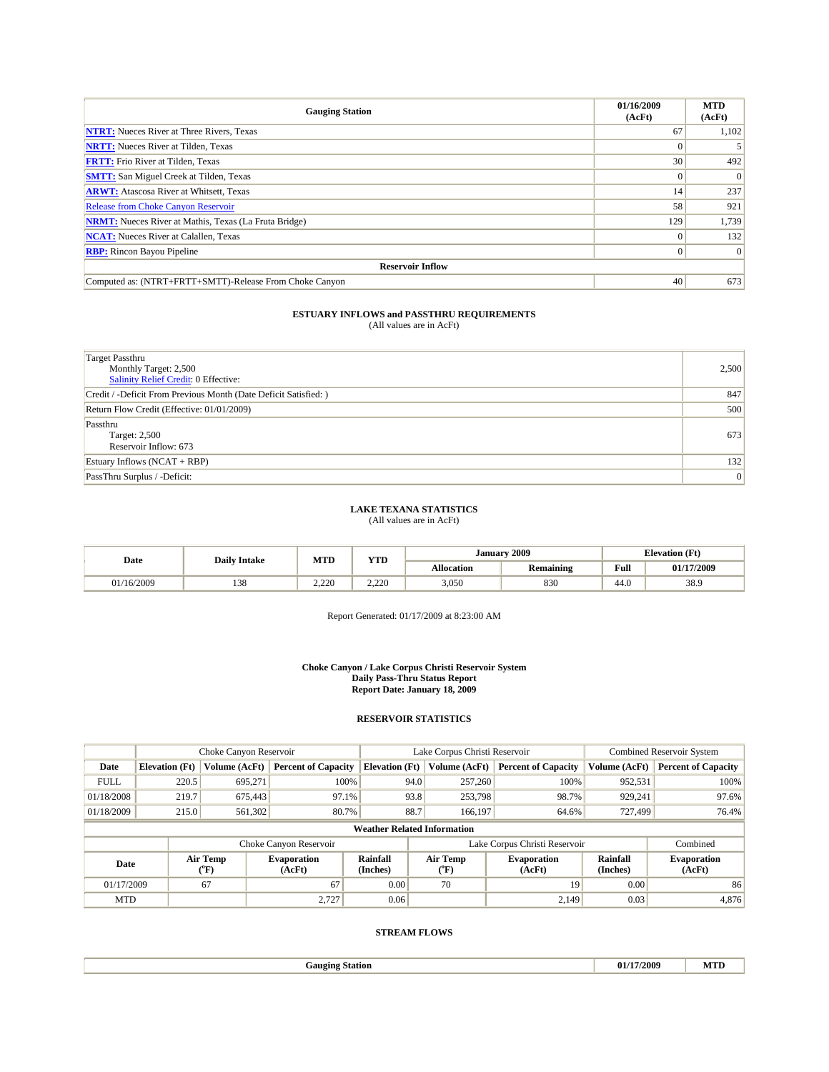| <b>Gauging Station</b>                                       | 01/16/2009<br>(AcFt) | <b>MTD</b><br>(AcFt) |
|--------------------------------------------------------------|----------------------|----------------------|
| <b>NTRT:</b> Nueces River at Three Rivers, Texas             | 67                   | 1,102                |
| <b>NRTT:</b> Nueces River at Tilden, Texas                   |                      |                      |
| <b>FRTT:</b> Frio River at Tilden, Texas                     | 30                   | 492                  |
| <b>SMTT:</b> San Miguel Creek at Tilden, Texas               |                      | $\Omega$             |
| <b>ARWT:</b> Atascosa River at Whitsett, Texas               | 14                   | 237                  |
| <b>Release from Choke Canyon Reservoir</b>                   | 58                   | 921                  |
| <b>NRMT:</b> Nueces River at Mathis, Texas (La Fruta Bridge) | 129                  | 1,739                |
| <b>NCAT:</b> Nueces River at Calallen, Texas                 |                      | 132                  |
| <b>RBP:</b> Rincon Bayou Pipeline                            | 0                    | $\vert 0 \vert$      |
| <b>Reservoir Inflow</b>                                      |                      |                      |
| Computed as: (NTRT+FRTT+SMTT)-Release From Choke Canyon      | 40                   | 673                  |

| Target Passthru<br>Monthly Target: 2,500<br><b>Salinity Relief Credit: 0 Effective:</b> | 2,500 |
|-----------------------------------------------------------------------------------------|-------|
| Credit / -Deficit From Previous Month (Date Deficit Satisfied: )                        | 847   |
| Return Flow Credit (Effective: 01/01/2009)                                              | 500   |
| Passthru<br>Target: 2,500<br>Reservoir Inflow: 673                                      | 673   |
| Estuary Inflows $(NCAT + RBP)$                                                          | 132   |
| PassThru Surplus / -Deficit:                                                            | 0     |

### **LAKE TEXANA STATISTICS**

(All values are in AcFt)

| Date       | <b>Daily Intake</b> | MTD   | <b>YTD</b>    | Januarv           | 2009             | <b>Elevation</b> (Ft) |            |
|------------|---------------------|-------|---------------|-------------------|------------------|-----------------------|------------|
|            |                     |       |               | <b>Allocation</b> | <b>Remaining</b> | Full                  | 01/17/2009 |
| 01/16/2009 | 120<br>158          | 2.220 | 0.22<br>4.440 | 3,050             | 830              | 44.U                  | 38.9       |

Report Generated: 01/17/2009 at 8:23:00 AM

**Choke Canyon / Lake Corpus Christi Reservoir System Daily Pass-Thru Status Report Report Date: January 18, 2009** 

#### **RESERVOIR STATISTICS**

|             | Choke Canyon Reservoir |                  | Lake Corpus Christi Reservoir |                                    |                                           |         | Combined Reservoir System    |                             |                              |
|-------------|------------------------|------------------|-------------------------------|------------------------------------|-------------------------------------------|---------|------------------------------|-----------------------------|------------------------------|
| Date        | <b>Elevation</b> (Ft)  | Volume (AcFt)    | <b>Percent of Capacity</b>    | <b>Elevation</b> (Ft)              | Volume (AcFt)                             |         | <b>Percent of Capacity</b>   | Volume (AcFt)               | <b>Percent of Capacity</b>   |
| <b>FULL</b> | 220.5                  | 695,271          | 100%                          |                                    | 94.0                                      | 257,260 | 100%                         | 952,531                     | 100%                         |
| 01/18/2008  | 219.7                  | 675,443          | 97.1%                         | 93.8                               |                                           | 253,798 | 98.7%                        | 929,241                     | 97.6%                        |
| 01/18/2009  | 215.0                  | 561,302          | 80.7%                         | 88.7                               |                                           | 166,197 | 64.6%                        | 727,499                     | 76.4%                        |
|             |                        |                  |                               | <b>Weather Related Information</b> |                                           |         |                              |                             |                              |
|             |                        |                  | Choke Canyon Reservoir        |                                    | Lake Corpus Christi Reservoir             |         |                              | Combined                    |                              |
| Date        |                        | Air Temp<br>(°F) | <b>Evaporation</b><br>(AcFt)  | Rainfall<br>(Inches)               | <b>Air Temp</b><br>$(^{\circ}\mathrm{F})$ |         | <b>Evaporation</b><br>(AcFt) | <b>Rainfall</b><br>(Inches) | <b>Evaporation</b><br>(AcFt) |
| 01/17/2009  |                        | 67               | 67                            | 0.00                               | 70                                        |         | 19                           | 0.00                        | 86                           |
| <b>MTD</b>  |                        |                  | 2,727                         | 0.06                               |                                           |         | 2,149                        | 0.03                        | 4,876                        |

| 'anoino'<br>Station<br>. | 1/17/2009<br>$\mathbf{u}$<br>. | <b>SUPPORT</b><br>11.1.1 |
|--------------------------|--------------------------------|--------------------------|
|                          |                                |                          |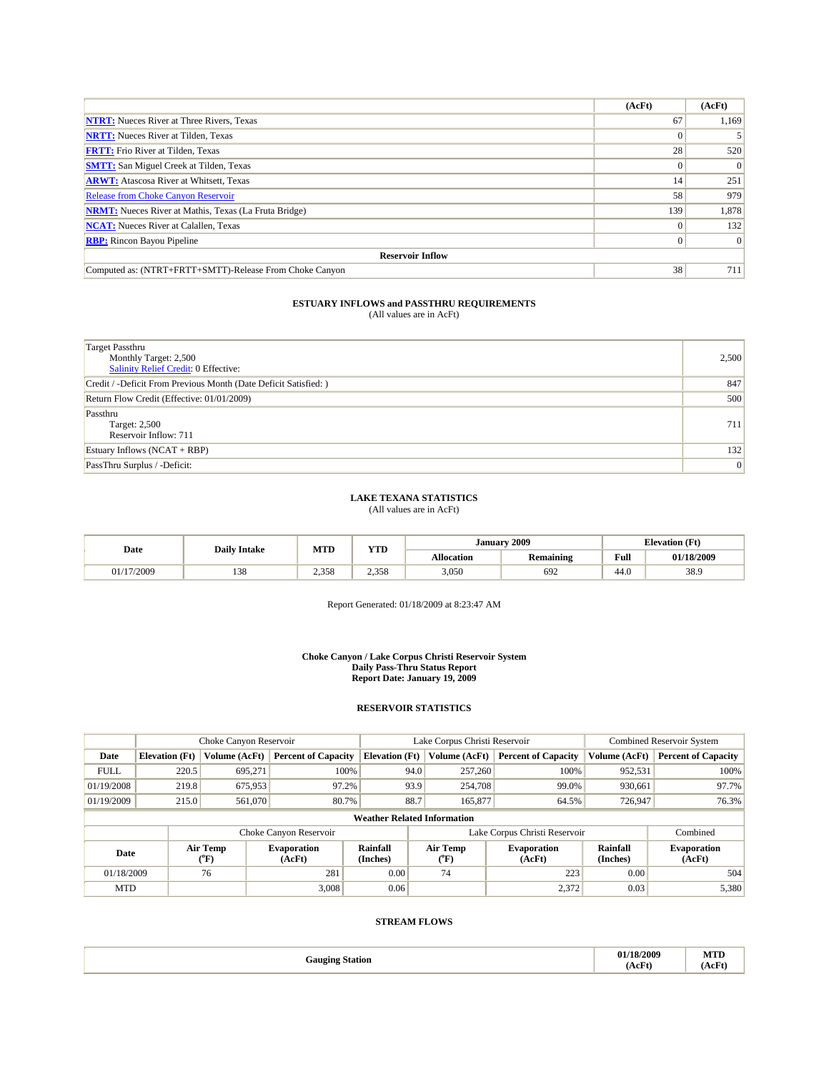|                                                              | (AcFt)   | (AcFt)   |
|--------------------------------------------------------------|----------|----------|
| <b>NTRT:</b> Nueces River at Three Rivers, Texas             | 67       | 1,169    |
| <b>NRTT:</b> Nueces River at Tilden, Texas                   |          |          |
| <b>FRTT:</b> Frio River at Tilden, Texas                     | 28       | 520      |
| <b>SMTT:</b> San Miguel Creek at Tilden, Texas               |          | $\Omega$ |
| <b>ARWT:</b> Atascosa River at Whitsett, Texas               | 14       | 251      |
| Release from Choke Canyon Reservoir                          | 58       | 979      |
| <b>NRMT:</b> Nueces River at Mathis, Texas (La Fruta Bridge) | 139      | 1,878    |
| <b>NCAT:</b> Nueces River at Calallen, Texas                 |          | 132      |
| <b>RBP:</b> Rincon Bayou Pipeline                            | $^{(1)}$ | $\Omega$ |
| <b>Reservoir Inflow</b>                                      |          |          |
| Computed as: (NTRT+FRTT+SMTT)-Release From Choke Canyon      | 38       | 711      |

| <b>Target Passthru</b><br>Monthly Target: 2,500<br><b>Salinity Relief Credit: 0 Effective:</b> | 2,500           |
|------------------------------------------------------------------------------------------------|-----------------|
| Credit / -Deficit From Previous Month (Date Deficit Satisfied: )                               | 847             |
| Return Flow Credit (Effective: 01/01/2009)                                                     | 500             |
| Passthru<br>Target: 2,500<br>Reservoir Inflow: 711                                             | 711             |
| Estuary Inflows $(NCAT + RBP)$                                                                 | 132             |
| PassThru Surplus / -Deficit:                                                                   | $\vert 0 \vert$ |

#### **LAKE TEXANA STATISTICS** (All values are in AcFt)

| Date     | <b>Daily Intake</b>   | <b>MTD</b> | T/TD  | Januarv           | 2009             | <b>Elevation (Ft)</b> |            |
|----------|-----------------------|------------|-------|-------------------|------------------|-----------------------|------------|
|          |                       |            | 1 I D | <b>Allocation</b> | <b>Remaining</b> | Full                  | 01/18/2009 |
| /17/2009 | 0 <sup>2</sup><br>158 | 2,358      | 2.358 | 3,050             | 692              | 44.U                  | 38.9       |

Report Generated: 01/18/2009 at 8:23:47 AM

**Choke Canyon / Lake Corpus Christi Reservoir System Daily Pass-Thru Status Report Report Date: January 19, 2009** 

### **RESERVOIR STATISTICS**

|             | Choke Canyon Reservoir |                  | Lake Corpus Christi Reservoir |                                    |                               |                  | <b>Combined Reservoir System</b> |                             |                              |
|-------------|------------------------|------------------|-------------------------------|------------------------------------|-------------------------------|------------------|----------------------------------|-----------------------------|------------------------------|
| Date        | <b>Elevation</b> (Ft)  | Volume (AcFt)    | <b>Percent of Capacity</b>    | <b>Elevation</b> (Ft)              |                               | Volume (AcFt)    | <b>Percent of Capacity</b>       | Volume (AcFt)               | <b>Percent of Capacity</b>   |
| <b>FULL</b> | 220.5                  | 695.271          | 100%                          |                                    | 94.0                          | 257,260          | 100%                             | 952,531                     | 100%                         |
| 01/19/2008  | 219.8                  | 675,953          | 97.2%                         |                                    | 93.9                          | 254,708          | 99.0%                            | 930,661                     | 97.7%                        |
| 01/19/2009  | 215.0                  | 561,070          | 80.7%                         |                                    | 88.7                          | 165,877          | 64.5%                            | 726,947                     | 76.3%                        |
|             |                        |                  |                               | <b>Weather Related Information</b> |                               |                  |                                  |                             |                              |
|             |                        |                  | Choke Canyon Reservoir        |                                    | Lake Corpus Christi Reservoir |                  |                                  |                             | Combined                     |
| Date        |                        | Air Temp<br>(°F) | <b>Evaporation</b><br>(AcFt)  | <b>Rainfall</b><br>(Inches)        |                               | Air Temp<br>("F) | <b>Evaporation</b><br>(AcFt)     | <b>Rainfall</b><br>(Inches) | <b>Evaporation</b><br>(AcFt) |
| 01/18/2009  |                        | 76               | 281                           | 0.00                               |                               | 74               | 223                              | 0.00                        | 504                          |
| <b>MTD</b>  |                        |                  | 3.008                         | 0.06                               |                               |                  | 2,372                            | 0.03                        | 5,380                        |

| 18/2009<br><b>MTD</b><br>.<br>Gauging Station<br>(AcFt<br>(AcFt<br>---- |
|-------------------------------------------------------------------------|
|-------------------------------------------------------------------------|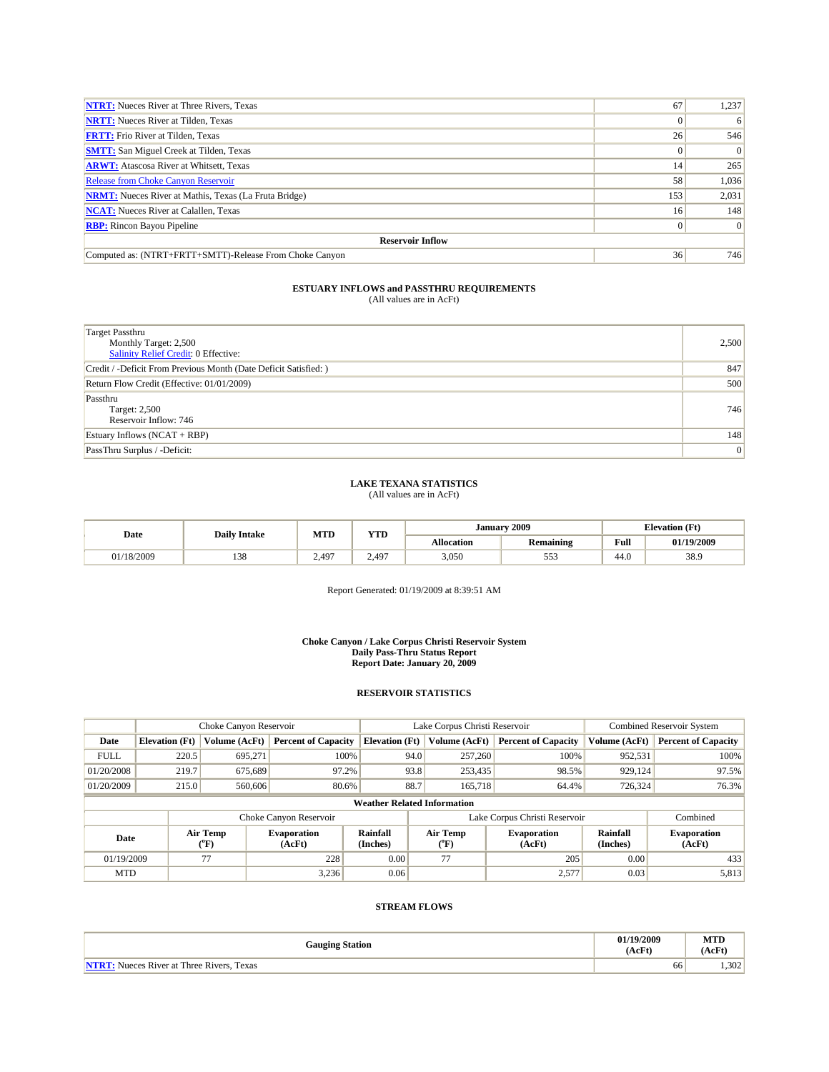| <b>NTRT:</b> Nueces River at Three Rivers, Texas             | 67  | 1,237    |  |  |  |  |
|--------------------------------------------------------------|-----|----------|--|--|--|--|
| <b>NRTT:</b> Nueces River at Tilden, Texas                   |     | 6        |  |  |  |  |
| <b>FRTT:</b> Frio River at Tilden, Texas                     | 26  | 546      |  |  |  |  |
| <b>SMTT:</b> San Miguel Creek at Tilden, Texas               |     | $\Omega$ |  |  |  |  |
| <b>ARWT:</b> Atascosa River at Whitsett, Texas               | 14  | 265      |  |  |  |  |
| <b>Release from Choke Canyon Reservoir</b>                   | 58  | 1,036    |  |  |  |  |
| <b>NRMT:</b> Nueces River at Mathis, Texas (La Fruta Bridge) | 153 | 2,031    |  |  |  |  |
| <b>NCAT:</b> Nueces River at Calallen, Texas                 | 16  | 148      |  |  |  |  |
| <b>RBP:</b> Rincon Bayou Pipeline                            |     | $\Omega$ |  |  |  |  |
| <b>Reservoir Inflow</b>                                      |     |          |  |  |  |  |
| Computed as: (NTRT+FRTT+SMTT)-Release From Choke Canyon      | 36  | 746      |  |  |  |  |

| Target Passthru<br>Monthly Target: 2,500<br>Salinity Relief Credit: 0 Effective: | 2,500 |
|----------------------------------------------------------------------------------|-------|
| Credit / -Deficit From Previous Month (Date Deficit Satisfied: )                 | 847   |
| Return Flow Credit (Effective: 01/01/2009)                                       | 500   |
| Passthru<br>Target: 2,500<br>Reservoir Inflow: 746                               | 746   |
| Estuary Inflows $(NCAT + RBP)$                                                   | 148   |
| PassThru Surplus / -Deficit:                                                     | 0     |

#### **LAKE TEXANA STATISTICS**

(All values are in AcFt)

| Date       | <b>Daily Intake</b> | MTD   | <b>YTD</b> | January    | 2009             | <b>Elevation</b> (Ft) |            |  |
|------------|---------------------|-------|------------|------------|------------------|-----------------------|------------|--|
|            |                     |       |            | Allocation | <b>Remaining</b> | Full                  | 01/19/2009 |  |
| 01/18/2009 | 120<br>138          | 2.497 | 2.497      | 3,050      | 553              | 44.0                  | 38.9       |  |

Report Generated: 01/19/2009 at 8:39:51 AM

#### **Choke Canyon / Lake Corpus Christi Reservoir System Daily Pass-Thru Status Report Report Date: January 20, 2009**

#### **RESERVOIR STATISTICS**

|             |                       | Choke Canyon Reservoir |                              |                                    | Lake Corpus Christi Reservoir |                           |                               |                             | <b>Combined Reservoir System</b> |
|-------------|-----------------------|------------------------|------------------------------|------------------------------------|-------------------------------|---------------------------|-------------------------------|-----------------------------|----------------------------------|
| Date        | <b>Elevation</b> (Ft) | Volume (AcFt)          | <b>Percent of Capacity</b>   | <b>Elevation</b> (Ft)              |                               | Volume (AcFt)             | <b>Percent of Capacity</b>    | Volume (AcFt)               | <b>Percent of Capacity</b>       |
| <b>FULL</b> | 220.5                 | 695.271                | 100%                         |                                    | 94.0                          | 257,260                   | 100%                          | 952,531                     | 100%                             |
| 01/20/2008  | 219.7                 | 675,689                | 97.2%                        |                                    | 93.8                          | 253,435                   | 98.5%                         | 929,124                     | 97.5%                            |
| 01/20/2009  | 215.0                 | 560,606                | 80.6%                        |                                    | 88.7                          | 165,718                   | 64.4%                         | 726,324                     | 76.3%                            |
|             |                       |                        |                              | <b>Weather Related Information</b> |                               |                           |                               |                             |                                  |
|             |                       |                        | Choke Canyon Reservoir       |                                    |                               |                           | Lake Corpus Christi Reservoir |                             | Combined                         |
| Date        |                       | Air Temp<br>("F)       | <b>Evaporation</b><br>(AcFt) | Rainfall<br>(Inches)               |                               | Air Temp<br>$(^{\circ}F)$ | <b>Evaporation</b><br>(AcFt)  | <b>Rainfall</b><br>(Inches) | <b>Evaporation</b><br>(AcFt)     |
| 01/19/2009  |                       | 77                     | 228                          | 0.00                               |                               | 77                        | 205                           | 0.00                        | 433                              |
| <b>MTD</b>  |                       |                        | 3,236                        | 0.06                               |                               |                           | 2,577                         | 0.03                        | 5,813                            |

| <b>Gauging Station</b>                 | 1/19/2009<br>(AcFt) | MTD<br>(AcFt) |
|----------------------------------------|---------------------|---------------|
| Texas<br>Nueces River at Three Rivers. | 66                  | 1,302         |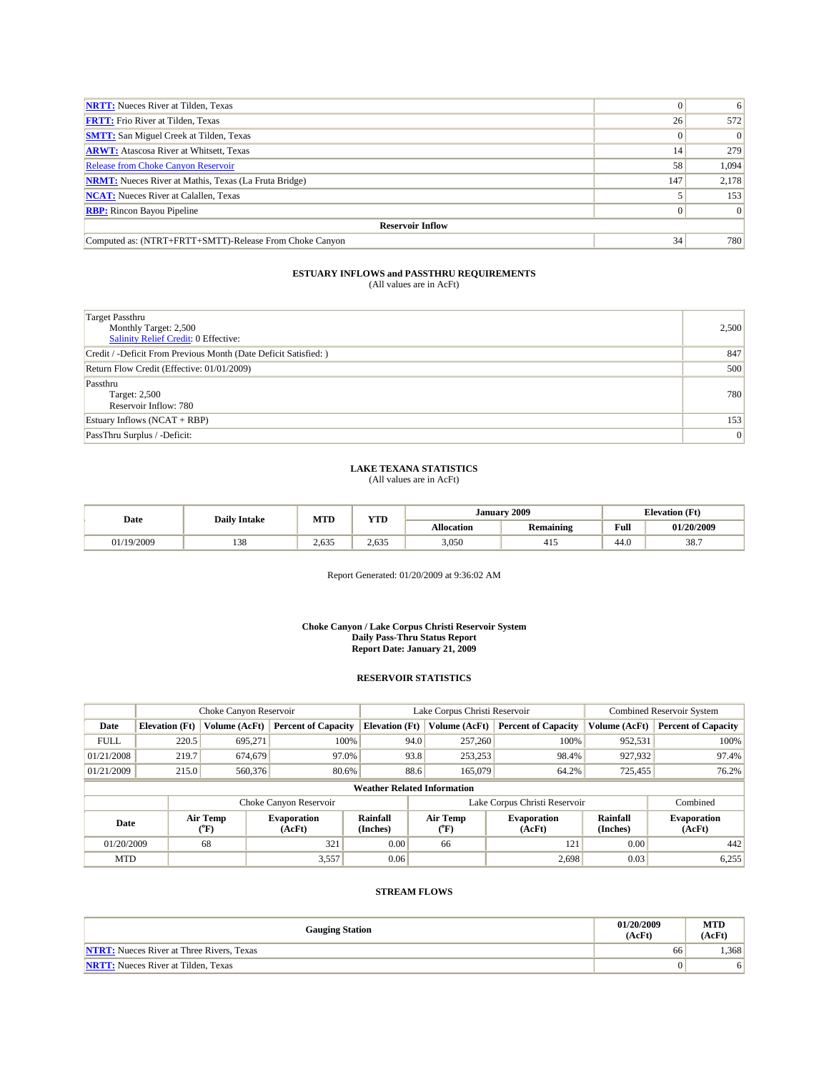| <b>NRTT:</b> Nueces River at Tilden, Texas                   |     | 6        |
|--------------------------------------------------------------|-----|----------|
| <b>FRTT:</b> Frio River at Tilden, Texas                     | 26  | 572      |
| <b>SMTT:</b> San Miguel Creek at Tilden, Texas               |     | $\Omega$ |
| <b>ARWT:</b> Atascosa River at Whitsett, Texas               | 14  | 279      |
| <b>Release from Choke Canyon Reservoir</b>                   | 58  | 1,094    |
| <b>NRMT:</b> Nueces River at Mathis, Texas (La Fruta Bridge) | 147 | 2,178    |
| <b>NCAT:</b> Nueces River at Calallen, Texas                 |     | 153      |
| <b>RBP:</b> Rincon Bayou Pipeline                            |     | $\Omega$ |
| <b>Reservoir Inflow</b>                                      |     |          |
| Computed as: (NTRT+FRTT+SMTT)-Release From Choke Canyon      | 34  | 780      |

| <b>Target Passthru</b><br>Monthly Target: 2,500<br>Salinity Relief Credit: 0 Effective: | 2,500 |
|-----------------------------------------------------------------------------------------|-------|
| Credit / -Deficit From Previous Month (Date Deficit Satisfied: )                        | 847   |
| Return Flow Credit (Effective: 01/01/2009)                                              | 500   |
| Passthru<br>Target: 2,500<br>Reservoir Inflow: 780                                      | 780   |
| Estuary Inflows $(NCAT + RBP)$                                                          | 153   |
| PassThru Surplus / -Deficit:                                                            | 0     |

### **LAKE TEXANA STATISTICS** (All values are in AcFt)

|           | <b>Daily Intake</b> | <b>YTD</b><br><b>MTD</b> |       | January    | 2009                    |      | <b>Elevation</b> (Ft) |
|-----------|---------------------|--------------------------|-------|------------|-------------------------|------|-----------------------|
| Date      |                     |                          |       | Allocation | . .<br><b>Remaining</b> | Full | 01/20/2009            |
| 1/19/2009 | 138                 | 2,635                    | 2.635 | 3,050      | -411                    | 44.0 | 38.                   |

Report Generated: 01/20/2009 at 9:36:02 AM

#### **Choke Canyon / Lake Corpus Christi Reservoir System Daily Pass-Thru Status Report Report Date: January 21, 2009**

### **RESERVOIR STATISTICS**

|                                    |                       |                  | Choke Canyon Reservoir       |                       |      | Lake Corpus Christi Reservoir |                                                      |               | Combined Reservoir System    |
|------------------------------------|-----------------------|------------------|------------------------------|-----------------------|------|-------------------------------|------------------------------------------------------|---------------|------------------------------|
| Date                               | <b>Elevation</b> (Ft) | Volume (AcFt)    | <b>Percent of Capacity</b>   | <b>Elevation</b> (Ft) |      | Volume (AcFt)                 | <b>Percent of Capacity</b>                           | Volume (AcFt) | <b>Percent of Capacity</b>   |
| <b>FULL</b>                        | 220.5                 | 695,271          | 100%                         |                       | 94.0 | 257,260                       | 100%                                                 | 952,531       | 100%                         |
| 01/21/2008                         | 219.7                 | 674,679          | 97.0%                        |                       | 93.8 | 253,253                       | 98.4%                                                | 927,932       | 97.4%                        |
| 01/21/2009                         | 215.0                 | 560,376          | 80.6%                        |                       | 88.6 | 165,079                       | 64.2%                                                | 725,455       | 76.2%                        |
| <b>Weather Related Information</b> |                       |                  |                              |                       |      |                               |                                                      |               |                              |
|                                    |                       |                  | Choke Canyon Reservoir       |                       |      |                               | Lake Corpus Christi Reservoir                        |               | Combined                     |
| Date                               |                       | Air Temp<br>(°F) | <b>Evaporation</b><br>(AcFt) | Rainfall<br>(Inches)  |      | Air Temp<br>$(^{\circ}F)$     | Rainfall<br><b>Evaporation</b><br>(AcFt)<br>(Inches) |               | <b>Evaporation</b><br>(AcFt) |
| 01/20/2009                         |                       | 68               | 321                          | 0.00                  |      | 66                            | 121                                                  | 0.00          | 442                          |
| <b>MTD</b>                         |                       |                  | 3,557                        | 0.06                  |      |                               | 2,698                                                | 0.03          | 6,255                        |

| <b>Gauging Station</b>                           | 01/20/2009<br>(AcFt) | <b>MTD</b><br>(AcFt) |
|--------------------------------------------------|----------------------|----------------------|
| <b>NTRT:</b> Nueces River at Three Rivers, Texas | 66                   | .368                 |
| <b>NRTT:</b> Nueces River at Tilden. Texas       |                      | 6                    |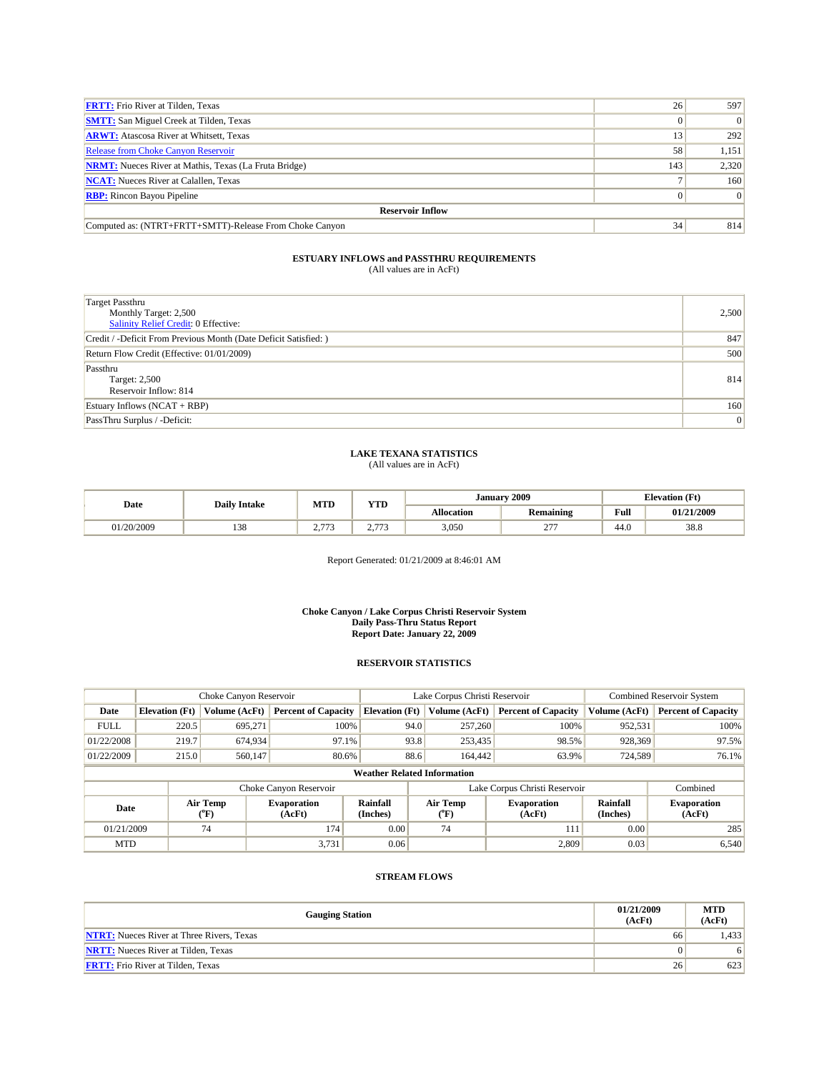| <b>FRTT:</b> Frio River at Tilden, Texas                     | 26  | 597      |  |  |  |  |
|--------------------------------------------------------------|-----|----------|--|--|--|--|
| <b>SMTT:</b> San Miguel Creek at Tilden, Texas               |     | $\Omega$ |  |  |  |  |
| <b>ARWT:</b> Atascosa River at Whitsett, Texas               | 13  | 292      |  |  |  |  |
| <b>Release from Choke Canyon Reservoir</b>                   | 58  | 1,151    |  |  |  |  |
| <b>NRMT:</b> Nueces River at Mathis, Texas (La Fruta Bridge) | 143 | 2,320    |  |  |  |  |
| <b>NCAT:</b> Nueces River at Calallen, Texas                 |     | 160      |  |  |  |  |
| <b>RBP:</b> Rincon Bayou Pipeline                            |     | 0        |  |  |  |  |
| <b>Reservoir Inflow</b>                                      |     |          |  |  |  |  |
| Computed as: (NTRT+FRTT+SMTT)-Release From Choke Canyon      | 34  | 814      |  |  |  |  |

| <b>Target Passthru</b><br>Monthly Target: 2,500<br><b>Salinity Relief Credit: 0 Effective:</b> | 2,500          |
|------------------------------------------------------------------------------------------------|----------------|
| Credit / -Deficit From Previous Month (Date Deficit Satisfied: )                               | 847            |
| Return Flow Credit (Effective: 01/01/2009)                                                     | 500            |
| Passthru<br><b>Target: 2,500</b><br>Reservoir Inflow: 814                                      | 814            |
| Estuary Inflows $(NCAT + RBP)$                                                                 | 160            |
| PassThru Surplus / -Deficit:                                                                   | $\overline{0}$ |

# **LAKE TEXANA STATISTICS** (All values are in AcFt)

| Date     | <b>Daily Intake</b> | <b>MTD</b>         | YTD                             | <b>January</b>    | 2009             | <b>Elevation</b> (Ft) |            |
|----------|---------------------|--------------------|---------------------------------|-------------------|------------------|-----------------------|------------|
|          |                     |                    |                                 | <b>Allocation</b> | <b>Remaining</b> | Full                  | 01/21/2009 |
| /20/2009 | 138                 | $\sim$<br><u>.</u> | $-$<br>$\sim$<br>. . <i>. .</i> | 3,050             | $\sim$           | 44.0                  | 38.8       |

Report Generated: 01/21/2009 at 8:46:01 AM

#### **Choke Canyon / Lake Corpus Christi Reservoir System Daily Pass-Thru Status Report Report Date: January 22, 2009**

### **RESERVOIR STATISTICS**

|             | Choke Canyon Reservoir             |                  |                              |                       | Lake Corpus Christi Reservoir |                  |                               |                      | <b>Combined Reservoir System</b> |  |
|-------------|------------------------------------|------------------|------------------------------|-----------------------|-------------------------------|------------------|-------------------------------|----------------------|----------------------------------|--|
| Date        | <b>Elevation</b> (Ft)              | Volume (AcFt)    | <b>Percent of Capacity</b>   | <b>Elevation</b> (Ft) |                               | Volume (AcFt)    | <b>Percent of Capacity</b>    | Volume (AcFt)        | <b>Percent of Capacity</b>       |  |
| <b>FULL</b> | 220.5                              | 695.271          | 100%                         |                       | 94.0                          | 257,260          | 100%                          | 952,531              | 100%                             |  |
| 01/22/2008  | 219.7                              | 674,934          | 97.1%                        |                       | 93.8                          | 253,435          | 98.5%                         | 928,369              | 97.5%                            |  |
| 01/22/2009  | 215.0                              | 560,147          | 80.6%                        |                       | 88.6                          | 164,442          | 63.9%                         | 724,589              | 76.1%                            |  |
|             | <b>Weather Related Information</b> |                  |                              |                       |                               |                  |                               |                      |                                  |  |
|             |                                    |                  | Choke Canyon Reservoir       |                       |                               |                  | Lake Corpus Christi Reservoir |                      | Combined                         |  |
| Date        |                                    | Air Temp<br>(°F) | <b>Evaporation</b><br>(AcFt) | Rainfall<br>(Inches)  |                               | Air Temp<br>("F) | <b>Evaporation</b><br>(AcFt)  | Rainfall<br>(Inches) | <b>Evaporation</b><br>(AcFt)     |  |
| 01/21/2009  |                                    | 74               | 174                          | 0.00                  |                               | 74               | 111                           | 0.00                 | 285                              |  |
| <b>MTD</b>  |                                    |                  | 3,731                        | 0.06                  |                               |                  | 2,809                         | 0.03                 | 6,540                            |  |

| <b>Gauging Station</b>                           | 01/21/2009<br>(AcFt) | <b>MTD</b><br>(AcFt) |
|--------------------------------------------------|----------------------|----------------------|
| <b>NTRT:</b> Nueces River at Three Rivers, Texas | 66                   | 1,433                |
| <b>NRTT:</b> Nueces River at Tilden, Texas       |                      | 6                    |
| <b>FRTT:</b> Frio River at Tilden, Texas         | 26                   | 623                  |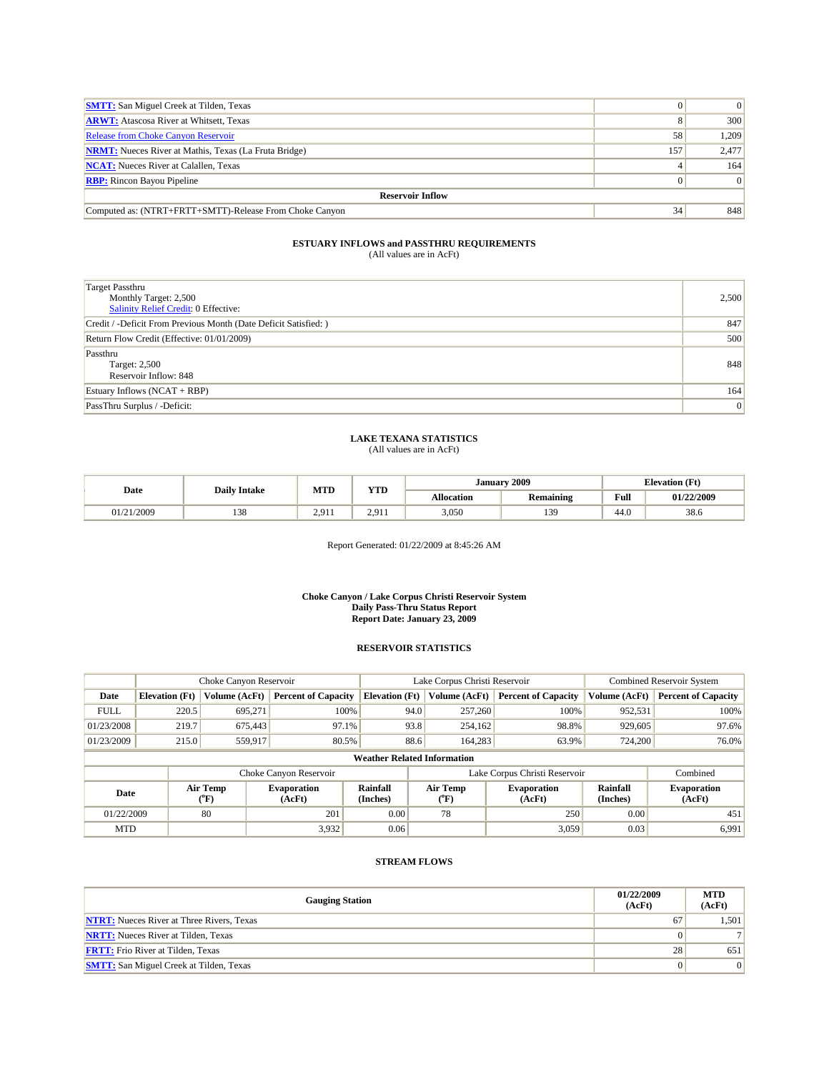| <b>SMTT:</b> San Miguel Creek at Tilden, Texas               |     | $\sigma$ |  |  |  |  |  |
|--------------------------------------------------------------|-----|----------|--|--|--|--|--|
| <b>ARWT:</b> Atascosa River at Whitsett, Texas               |     | 300      |  |  |  |  |  |
| <b>Release from Choke Canyon Reservoir</b>                   | 58  | 1.209    |  |  |  |  |  |
| <b>NRMT:</b> Nueces River at Mathis, Texas (La Fruta Bridge) | 157 | 2,477    |  |  |  |  |  |
| <b>NCAT:</b> Nueces River at Calallen, Texas                 |     | 164      |  |  |  |  |  |
| <b>RBP:</b> Rincon Bayou Pipeline                            |     | $\Omega$ |  |  |  |  |  |
| <b>Reservoir Inflow</b>                                      |     |          |  |  |  |  |  |
| Computed as: (NTRT+FRTT+SMTT)-Release From Choke Canyon      | 34  | 848      |  |  |  |  |  |

| <b>Target Passthru</b><br>Monthly Target: 2,500<br>Salinity Relief Credit: 0 Effective: | 2,500           |
|-----------------------------------------------------------------------------------------|-----------------|
| Credit / -Deficit From Previous Month (Date Deficit Satisfied: )                        | 847             |
| Return Flow Credit (Effective: 01/01/2009)                                              | 500             |
| Passthru<br>Target: 2,500<br>Reservoir Inflow: 848                                      | 848             |
| Estuary Inflows $(NCAT + RBP)$                                                          | 164             |
| PassThru Surplus / -Deficit:                                                            | $\vert 0 \vert$ |

### **LAKE TEXANA STATISTICS**

(All values are in AcFt)

| Date       | <b>Daily Intake</b> | <b>MTD</b>         | <b>YTD</b>   | January    |                                     | <b>Elevation</b> (Ft) |            |
|------------|---------------------|--------------------|--------------|------------|-------------------------------------|-----------------------|------------|
|            |                     |                    |              | Allocation | $\cdot$ $\cdot$<br><b>Remaining</b> | Full<br>_____         | 01/22/2009 |
| 01/21/2009 | 138                 | 2.911<br>$\sim 71$ | 201<br>2.711 | 3,050      | 139                                 | 44.0                  | 38.6       |

Report Generated: 01/22/2009 at 8:45:26 AM

#### **Choke Canyon / Lake Corpus Christi Reservoir System Daily Pass-Thru Status Report Report Date: January 23, 2009**

#### **RESERVOIR STATISTICS**

|             | Choke Canyon Reservoir             |                                |                              |                       | Lake Corpus Christi Reservoir |                          |                               |                      | <b>Combined Reservoir System</b> |  |  |
|-------------|------------------------------------|--------------------------------|------------------------------|-----------------------|-------------------------------|--------------------------|-------------------------------|----------------------|----------------------------------|--|--|
| Date        | <b>Elevation</b> (Ft)              | Volume (AcFt)                  | <b>Percent of Capacity</b>   | <b>Elevation</b> (Ft) |                               | Volume (AcFt)            | <b>Percent of Capacity</b>    | Volume (AcFt)        | <b>Percent of Capacity</b>       |  |  |
| <b>FULL</b> | 220.5                              | 695,271                        | 100%                         |                       | 94.0                          | 257,260                  | 100%                          | 952,531              | 100%                             |  |  |
| 01/23/2008  | 219.7                              | 675,443                        | 97.1%                        |                       | 93.8                          | 254,162                  | 98.8%                         | 929,605              | 97.6%                            |  |  |
| 01/23/2009  | 215.0                              | 559,917                        | 80.5%                        |                       | 88.6                          | 164,283                  | 63.9%                         | 724,200              | 76.0%                            |  |  |
|             | <b>Weather Related Information</b> |                                |                              |                       |                               |                          |                               |                      |                                  |  |  |
|             |                                    |                                | Choke Canyon Reservoir       |                       |                               |                          | Lake Corpus Christi Reservoir |                      | Combined                         |  |  |
| Date        |                                    | Air Temp<br>$({}^o\mathrm{F})$ | <b>Evaporation</b><br>(AcFt) | Rainfall<br>(Inches)  |                               | Air Temp<br>$\rm ^{o}F)$ | <b>Evaporation</b><br>(AcFt)  | Rainfall<br>(Inches) | <b>Evaporation</b><br>(AcFt)     |  |  |
| 01/22/2009  |                                    | 80                             | 201                          | 0.00                  |                               | 78                       | 250                           | 0.00                 | 451                              |  |  |
| <b>MTD</b>  |                                    |                                | 3,932                        | 0.06                  |                               |                          | 3,059                         | 0.03                 | 6,991                            |  |  |

#### **STREAM FLOWS**

l.

| <b>Gauging Station</b>                           | 01/22/2009<br>(AcFt) | <b>MTD</b><br>(AcFt) |  |
|--------------------------------------------------|----------------------|----------------------|--|
| <b>NTRT:</b> Nueces River at Three Rivers, Texas | 67                   | 1.501                |  |
| <b>NRTT:</b> Nueces River at Tilden, Texas       |                      |                      |  |
| <b>FRTT:</b> Frio River at Tilden, Texas         | 28                   | 651                  |  |
| <b>SMTT:</b> San Miguel Creek at Tilden, Texas   | $\overline{0}$       | 0                    |  |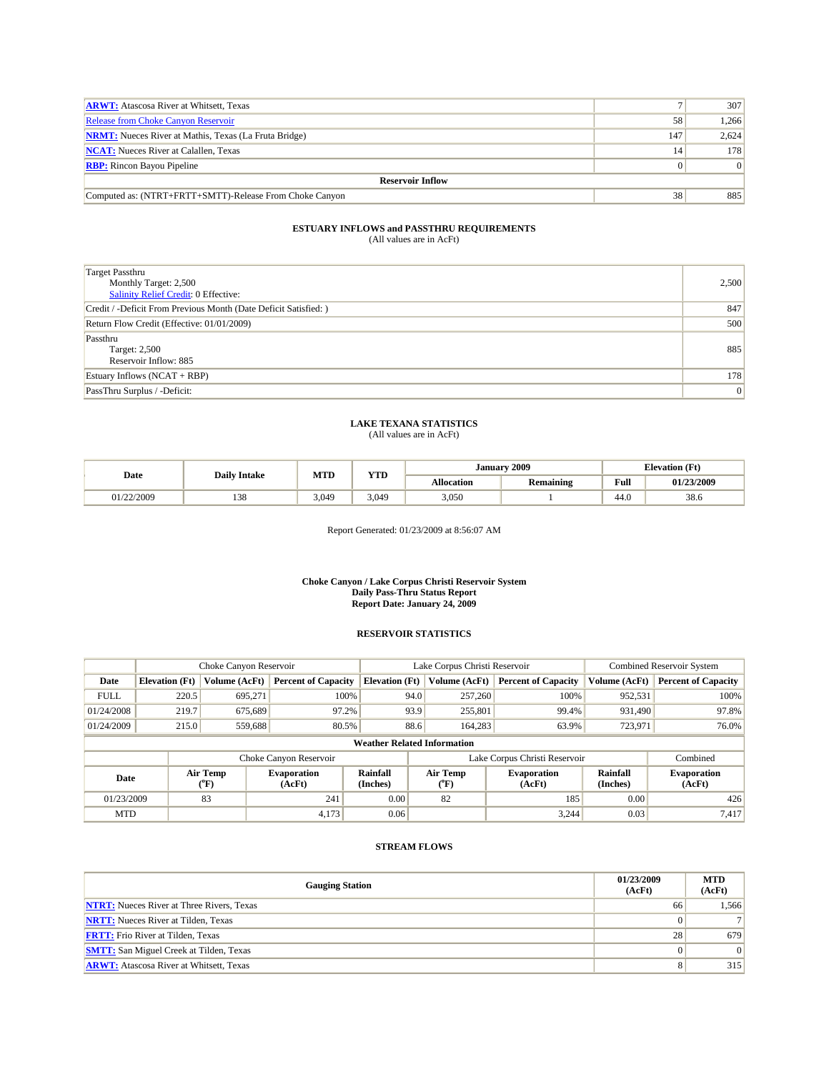| <b>ARWT:</b> Atascosa River at Whitsett, Texas               |     | 307      |  |  |  |  |
|--------------------------------------------------------------|-----|----------|--|--|--|--|
| Release from Choke Canyon Reservoir                          | 58  | 1.266    |  |  |  |  |
| <b>NRMT:</b> Nueces River at Mathis, Texas (La Fruta Bridge) | 147 | 2,624    |  |  |  |  |
| <b>NCAT:</b> Nueces River at Calallen, Texas                 | 14  | 178      |  |  |  |  |
| <b>RBP:</b> Rincon Bayou Pipeline                            |     | $\Omega$ |  |  |  |  |
| <b>Reservoir Inflow</b>                                      |     |          |  |  |  |  |
| Computed as: (NTRT+FRTT+SMTT)-Release From Choke Canyon      | 38  | 885      |  |  |  |  |

| <b>Target Passthru</b><br>Monthly Target: 2,500<br>Salinity Relief Credit: 0 Effective: | 2,500          |
|-----------------------------------------------------------------------------------------|----------------|
| Credit / -Deficit From Previous Month (Date Deficit Satisfied: )                        | 847            |
| Return Flow Credit (Effective: 01/01/2009)                                              | 500            |
| Passthru<br>Target: 2,500<br>Reservoir Inflow: 885                                      | 885            |
| Estuary Inflows (NCAT + RBP)                                                            | 178            |
| PassThru Surplus / -Deficit:                                                            | $\overline{0}$ |

### **LAKE TEXANA STATISTICS** (All values are in AcFt)

| Date       | <b>Daily Intake</b>   | MTD   | YTD   | Januarv           | 2009                                | <b>Elevation</b> (Ft) |            |
|------------|-----------------------|-------|-------|-------------------|-------------------------------------|-----------------------|------------|
|            |                       |       |       | <b>Allocation</b> | $\cdot$ $\cdot$<br><b>Remaining</b> | Full                  | 01/23/2009 |
| 01/22/2009 | 0 <sup>0</sup><br>120 | 3.049 | 3.049 | 3,050             |                                     | 44.0                  | 38.6       |

Report Generated: 01/23/2009 at 8:56:07 AM

#### **Choke Canyon / Lake Corpus Christi Reservoir System Daily Pass-Thru Status Report Report Date: January 24, 2009**

#### **RESERVOIR STATISTICS**

|             | Choke Canyon Reservoir             |                  |                              |                       | Lake Corpus Christi Reservoir |                           |                               |                      | <b>Combined Reservoir System</b> |  |
|-------------|------------------------------------|------------------|------------------------------|-----------------------|-------------------------------|---------------------------|-------------------------------|----------------------|----------------------------------|--|
| Date        | <b>Elevation</b> (Ft)              | Volume (AcFt)    | <b>Percent of Capacity</b>   | <b>Elevation</b> (Ft) |                               | Volume (AcFt)             | <b>Percent of Capacity</b>    | Volume (AcFt)        | <b>Percent of Capacity</b>       |  |
| <b>FULL</b> | 220.5                              | 695.271          | 100%                         |                       | 94.0                          | 257,260                   | 100%                          | 952,531              | 100%                             |  |
| 01/24/2008  | 219.7                              | 675,689          | 97.2%                        |                       | 93.9                          | 255,801                   | 99.4%                         | 931,490              | 97.8%                            |  |
| 01/24/2009  | 215.0                              | 559,688          | 80.5%                        |                       | 88.6                          | 164,283                   | 63.9%                         | 723,971              | 76.0%                            |  |
|             | <b>Weather Related Information</b> |                  |                              |                       |                               |                           |                               |                      |                                  |  |
|             |                                    |                  | Choke Canyon Reservoir       |                       |                               |                           | Lake Corpus Christi Reservoir |                      | Combined                         |  |
| Date        |                                    | Air Temp<br>(°F) | <b>Evaporation</b><br>(AcFt) | Rainfall<br>(Inches)  |                               | Air Temp<br>$(^{\circ}F)$ | <b>Evaporation</b><br>(AcFt)  | Rainfall<br>(Inches) | <b>Evaporation</b><br>(AcFt)     |  |
| 01/23/2009  |                                    | 83               | 241                          | 0.00                  |                               | 82                        | 185                           | 0.00                 | 426                              |  |
| <b>MTD</b>  |                                    |                  | 4,173                        | 0.06                  |                               |                           | 3,244                         | 0.03                 | 7,417                            |  |

| <b>Gauging Station</b>                           | 01/23/2009<br>(AcFt) | <b>MTD</b><br>(AcFt) |
|--------------------------------------------------|----------------------|----------------------|
| <b>NTRT:</b> Nueces River at Three Rivers, Texas | 66                   | 1,566                |
| <b>NRTT:</b> Nueces River at Tilden, Texas       | $\Omega$             | 7 <sup>1</sup>       |
| <b>FRTT:</b> Frio River at Tilden, Texas         | 28                   | 679                  |
| <b>SMTT:</b> San Miguel Creek at Tilden, Texas   | $\Omega$             | 0                    |
| <b>ARWT:</b> Atascosa River at Whitsett, Texas   |                      | 315                  |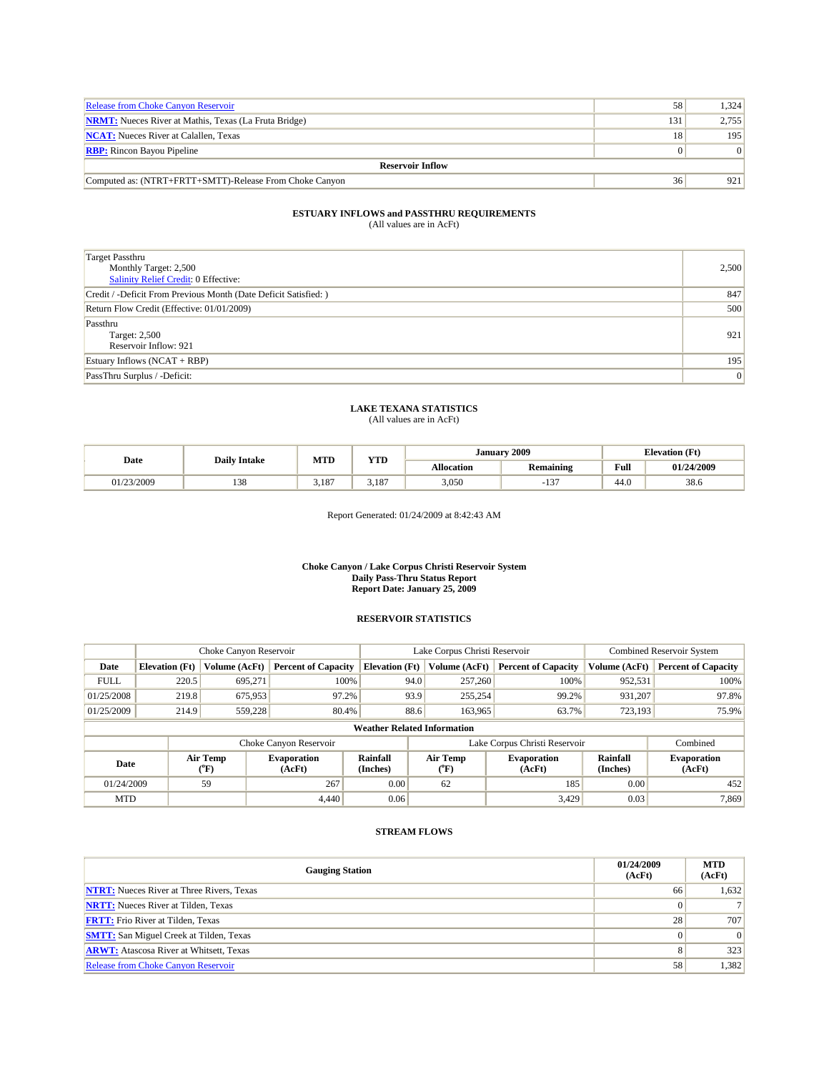| <b>Release from Choke Canyon Reservoir</b>                   | 58              | 1.324 |  |  |  |  |
|--------------------------------------------------------------|-----------------|-------|--|--|--|--|
| <b>NRMT:</b> Nueces River at Mathis, Texas (La Fruta Bridge) | 131             | 2.755 |  |  |  |  |
| <b>NCAT:</b> Nueces River at Calallen, Texas                 | 18 <sub>1</sub> | 195   |  |  |  |  |
| <b>RBP:</b> Rincon Bayou Pipeline                            |                 | 01    |  |  |  |  |
| <b>Reservoir Inflow</b>                                      |                 |       |  |  |  |  |
| Computed as: (NTRT+FRTT+SMTT)-Release From Choke Canyon      | 36              | 921   |  |  |  |  |

| <b>Target Passthru</b><br>Monthly Target: 2,500<br>Salinity Relief Credit: 0 Effective: | 2,500 |
|-----------------------------------------------------------------------------------------|-------|
| Credit / -Deficit From Previous Month (Date Deficit Satisfied: )                        | 847   |
| Return Flow Credit (Effective: 01/01/2009)                                              | 500   |
| Passthru<br>Target: 2,500<br>Reservoir Inflow: 921                                      | 921   |
| Estuary Inflows (NCAT + RBP)                                                            | 195   |
| PassThru Surplus / -Deficit:                                                            | 0     |

### **LAKE TEXANA STATISTICS** (All values are in AcFt)

|            | <b>Daily Intake</b> | <b>MTD</b> | <b>YTD</b>  | <b>January</b> | 2009                    | <b>Elevation</b> (Ft) |            |
|------------|---------------------|------------|-------------|----------------|-------------------------|-----------------------|------------|
| Date       |                     |            |             | Allocation     | <b>Remaining</b>        | Full                  | 01/24/2009 |
| 01/23/2009 | 138                 | 3.187      | 107<br>5.18 | 3,050          | $\sim$<br>$\mathbf{15}$ | 44.0                  | 38.6       |

Report Generated: 01/24/2009 at 8:42:43 AM

#### **Choke Canyon / Lake Corpus Christi Reservoir System Daily Pass-Thru Status Report Report Date: January 25, 2009**

#### **RESERVOIR STATISTICS**

|             |                       | Choke Canyon Reservoir      |                              |                                    |      | Lake Corpus Christi Reservoir  | <b>Combined Reservoir System</b> |                      |                              |
|-------------|-----------------------|-----------------------------|------------------------------|------------------------------------|------|--------------------------------|----------------------------------|----------------------|------------------------------|
| Date        | <b>Elevation</b> (Ft) | Volume (AcFt)               | <b>Percent of Capacity</b>   | <b>Elevation</b> (Ft)              |      | Volume (AcFt)                  | <b>Percent of Capacity</b>       | Volume (AcFt)        | <b>Percent of Capacity</b>   |
| <b>FULL</b> | 220.5                 | 695.271                     |                              | 100%                               | 94.0 | 257,260                        | 100%                             | 952,531              | 100%                         |
| 01/25/2008  | 219.8                 | 675,953                     | 97.2%                        |                                    | 93.9 | 255,254                        | 99.2%                            | 931,207              | 97.8%                        |
| 01/25/2009  | 214.9                 | 559,228                     | 80.4%                        |                                    | 88.6 | 163,965                        | 63.7%                            | 723,193              | 75.9%                        |
|             |                       |                             |                              | <b>Weather Related Information</b> |      |                                |                                  |                      |                              |
|             |                       |                             | Choke Canyon Reservoir       |                                    |      |                                | Lake Corpus Christi Reservoir    |                      | Combined                     |
| Date        |                       | Air Temp<br>$({}^{\circ}F)$ | <b>Evaporation</b><br>(AcFt) | Rainfall<br>(Inches)               |      | Air Temp<br>$({}^o\mathrm{F})$ | <b>Evaporation</b><br>(AcFt)     | Rainfall<br>(Inches) | <b>Evaporation</b><br>(AcFt) |
| 01/24/2009  |                       | 59                          | 267                          | 0.00                               |      | 62                             | 185                              | 0.00                 | 452                          |
| <b>MTD</b>  |                       |                             | 4.440                        | 0.06                               |      |                                | 3,429                            | 0.03                 | 7,869                        |

| <b>Gauging Station</b>                           | 01/24/2009<br>(AcFt) | <b>MTD</b><br>(AcFt) |
|--------------------------------------------------|----------------------|----------------------|
| <b>NTRT:</b> Nueces River at Three Rivers, Texas | 66                   | 1,632                |
| <b>NRTT:</b> Nueces River at Tilden, Texas       |                      |                      |
| <b>FRTT:</b> Frio River at Tilden, Texas         | 28                   | 707                  |
| <b>SMTT:</b> San Miguel Creek at Tilden, Texas   |                      | 0                    |
| <b>ARWT:</b> Atascosa River at Whitsett, Texas   |                      | 323                  |
| <b>Release from Choke Canyon Reservoir</b>       | 58                   | 1,382                |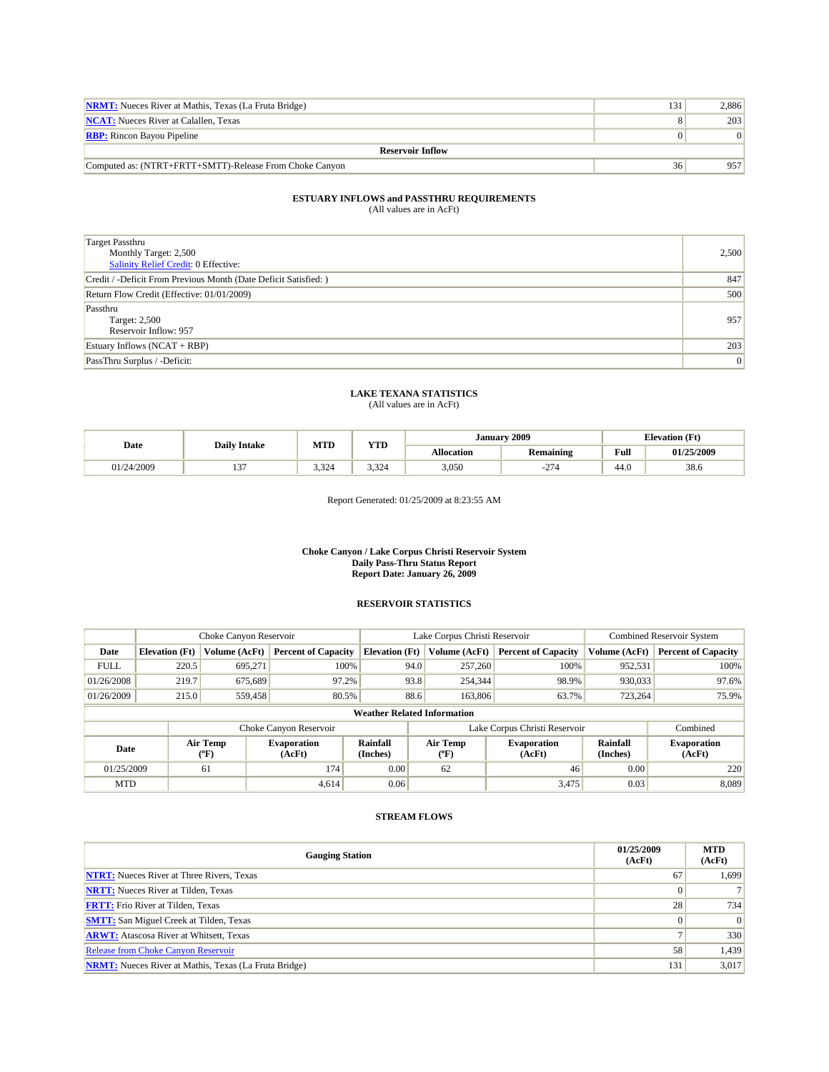| <b>NRMT:</b> Nueces River at Mathis, Texas (La Fruta Bridge) | 131 | 2.886 |  |  |  |  |
|--------------------------------------------------------------|-----|-------|--|--|--|--|
| <b>NCAT:</b> Nueces River at Calallen, Texas                 |     | 203   |  |  |  |  |
| <b>RBP:</b> Rincon Bayou Pipeline                            |     |       |  |  |  |  |
| <b>Reservoir Inflow</b>                                      |     |       |  |  |  |  |
| Computed as: (NTRT+FRTT+SMTT)-Release From Choke Canyon      | 36  | 957   |  |  |  |  |

| <b>Target Passthru</b><br>Monthly Target: 2,500<br><b>Salinity Relief Credit: 0 Effective:</b> | 2,500           |
|------------------------------------------------------------------------------------------------|-----------------|
| Credit / -Deficit From Previous Month (Date Deficit Satisfied: )                               | 847             |
| Return Flow Credit (Effective: 01/01/2009)                                                     | 500             |
| Passthru<br>Target: 2,500<br>Reservoir Inflow: 957                                             | 957             |
| Estuary Inflows $(NCAT + RBP)$                                                                 | 203             |
| PassThru Surplus / -Deficit:                                                                   | $\vert 0 \vert$ |

### **LAKE TEXANA STATISTICS**

(All values are in AcFt)

| Date       | <b>Daily Intake</b> | <b>MTD</b><br><b>YTD</b> | January           | 2009              | <b>Elevation</b> (Ft)        |      |            |
|------------|---------------------|--------------------------|-------------------|-------------------|------------------------------|------|------------|
|            |                     |                          |                   | <b>Allocation</b> | <b>Remaining</b>             | Full | 01/25/2009 |
| 01/24/2009 | $\sim$<br>          | $-22$<br>3.324           | $\sim$<br>سے بہ ب | 3,050             | $\sim$<br>- 1<br><b>سم</b> د | 44.0 | 38.6       |

Report Generated: 01/25/2009 at 8:23:55 AM

#### **Choke Canyon / Lake Corpus Christi Reservoir System Daily Pass-Thru Status Report Report Date: January 26, 2009**

#### **RESERVOIR STATISTICS**

|             |                       | Choke Canyon Reservoir |                              |                                    | Lake Corpus Christi Reservoir | <b>Combined Reservoir System</b> |                      |                              |
|-------------|-----------------------|------------------------|------------------------------|------------------------------------|-------------------------------|----------------------------------|----------------------|------------------------------|
| Date        | <b>Elevation</b> (Ft) | Volume (AcFt)          | <b>Percent of Capacity</b>   | <b>Elevation (Ft)</b>              | Volume (AcFt)                 | <b>Percent of Capacity</b>       | Volume (AcFt)        | <b>Percent of Capacity</b>   |
| <b>FULL</b> | 220.5                 | 695,271                | 100%                         | 94.0                               | 257,260                       | 100%                             | 952,531              | 100%                         |
| 01/26/2008  | 219.7                 | 675,689                | 97.2%                        |                                    | 93.8<br>254,344               | 98.9%                            | 930,033              | 97.6%                        |
| 01/26/2009  | 215.0                 | 559,458                | 80.5%                        |                                    | 88.6<br>163,806               | 63.7%                            | 723,264              | 75.9%                        |
|             |                       |                        |                              | <b>Weather Related Information</b> |                               |                                  |                      |                              |
|             |                       |                        | Choke Canyon Reservoir       |                                    |                               | Lake Corpus Christi Reservoir    |                      | Combined                     |
| Date        |                       | Air Temp<br>(°F)       | <b>Evaporation</b><br>(AcFt) | Rainfall<br>(Inches)               | Air Temp<br>("F)              | <b>Evaporation</b><br>(AcFt)     | Rainfall<br>(Inches) | <b>Evaporation</b><br>(AcFt) |
| 01/25/2009  |                       | 61                     | 174                          | 0.00                               | 62                            | 46                               | 0.00                 | 220                          |
| <b>MTD</b>  |                       |                        | 4.614                        | 0.06                               |                               | 3,475                            | 0.03                 | 8,089                        |

| <b>Gauging Station</b>                                       | 01/25/2009<br>(AcFt) | <b>MTD</b><br>(AcFt) |
|--------------------------------------------------------------|----------------------|----------------------|
| <b>NTRT:</b> Nueces River at Three Rivers, Texas             | 67                   | 1,699                |
| <b>NRTT:</b> Nueces River at Tilden, Texas                   |                      |                      |
| <b>FRTT:</b> Frio River at Tilden, Texas                     | 28                   | 734                  |
| <b>SMTT:</b> San Miguel Creek at Tilden, Texas               |                      | 0                    |
| <b>ARWT:</b> Atascosa River at Whitsett, Texas               |                      | 330                  |
| <b>Release from Choke Canyon Reservoir</b>                   | 58                   | 1,439                |
| <b>NRMT:</b> Nueces River at Mathis, Texas (La Fruta Bridge) | 131                  | 3,017                |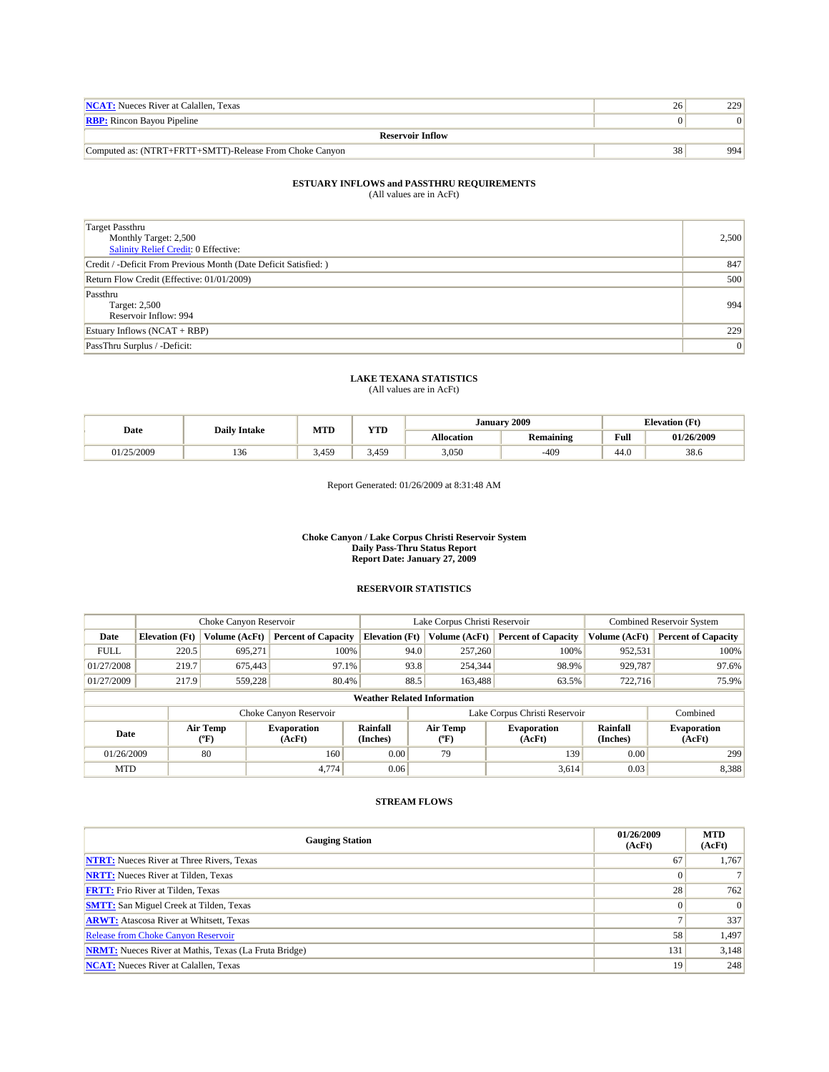| <b>NCAT:</b> Nueces River at Calallen. Texas            | 229 |
|---------------------------------------------------------|-----|
| <b>RBP:</b> Rincon Bayou Pipeline                       | 01  |
| <b>Reservoir Inflow</b>                                 |     |
| Computed as: (NTRT+FRTT+SMTT)-Release From Choke Canyon | 994 |

| <b>Target Passthru</b><br>Monthly Target: 2,500<br>Salinity Relief Credit: 0 Effective: | 2,500 |
|-----------------------------------------------------------------------------------------|-------|
| Credit / -Deficit From Previous Month (Date Deficit Satisfied: )                        | 847   |
| Return Flow Credit (Effective: 01/01/2009)                                              | 500   |
| Passthru<br>Target: 2,500<br>Reservoir Inflow: 994                                      | 994   |
| Estuary Inflows $(NCAT + RBP)$                                                          | 229   |
| PassThru Surplus / -Deficit:                                                            | 0     |

### **LAKE TEXANA STATISTICS**

(All values are in AcFt)

|          | <b>Daily Intake</b> | <b>MTD</b> | <b>YTD</b>     | 2009<br>January |                                                             |      | <b>Elevation</b> (Ft) |
|----------|---------------------|------------|----------------|-----------------|-------------------------------------------------------------|------|-----------------------|
| Date     |                     |            |                | Allocation      | Full<br><b>Remaining</b><br>the contract of the contract of |      | 01/26/2009            |
| /25/2009 | 136                 | 3.459      | $3,45^{\circ}$ | 3,050           | $-409$                                                      | 44.0 | 38.6                  |

Report Generated: 01/26/2009 at 8:31:48 AM

#### **Choke Canyon / Lake Corpus Christi Reservoir System Daily Pass-Thru Status Report Report Date: January 27, 2009**

### **RESERVOIR STATISTICS**

|             | Choke Canyon Reservoir |                  |                              |                                    | Lake Corpus Christi Reservoir |                  |                                                      |               | <b>Combined Reservoir System</b> |  |  |
|-------------|------------------------|------------------|------------------------------|------------------------------------|-------------------------------|------------------|------------------------------------------------------|---------------|----------------------------------|--|--|
| Date        | <b>Elevation</b> (Ft)  | Volume (AcFt)    | <b>Percent of Capacity</b>   | <b>Elevation</b> (Ft)              |                               | Volume (AcFt)    | <b>Percent of Capacity</b>                           | Volume (AcFt) | <b>Percent of Capacity</b>       |  |  |
| <b>FULL</b> | 220.5                  | 695.271          | 100%                         |                                    | 94.0                          | 257,260          | 100%                                                 | 952,531       | 100%                             |  |  |
| 01/27/2008  | 219.7                  | 675,443          | 97.1%                        |                                    | 93.8                          | 254,344          | 98.9%                                                | 929,787       | 97.6%                            |  |  |
| 01/27/2009  | 217.9                  | 559.228          | 80.4%                        |                                    | 88.5                          |                  | 163,488<br>63.5%                                     | 722.716       | 75.9%                            |  |  |
|             |                        |                  |                              | <b>Weather Related Information</b> |                               |                  |                                                      |               |                                  |  |  |
|             |                        |                  | Choke Canyon Reservoir       |                                    |                               |                  | Lake Corpus Christi Reservoir                        |               | Combined                         |  |  |
| Date        |                        | Air Temp<br>(°F) | <b>Evaporation</b><br>(AcFt) | Rainfall<br>(Inches)               |                               | Air Temp<br>("F) | <b>Evaporation</b><br>Rainfall<br>(Inches)<br>(AcFt) |               | <b>Evaporation</b><br>(AcFt)     |  |  |
| 01/26/2009  |                        | 80               | 160                          | 0.00                               |                               | 79               | 139                                                  | 0.00          | 299                              |  |  |
| <b>MTD</b>  |                        |                  | 4,774                        | 0.06                               |                               |                  | 3,614                                                | 0.03          | 8,388                            |  |  |

| <b>Gauging Station</b>                                       | 01/26/2009<br>(AcFt) | <b>MTD</b><br>(AcFt) |
|--------------------------------------------------------------|----------------------|----------------------|
| <b>NTRT:</b> Nueces River at Three Rivers, Texas             | 67                   | 1,767                |
| <b>NRTT:</b> Nueces River at Tilden, Texas                   |                      |                      |
| <b>FRTT:</b> Frio River at Tilden, Texas                     | 28                   | 762                  |
| <b>SMTT:</b> San Miguel Creek at Tilden, Texas               |                      | $\Omega$             |
| <b>ARWT:</b> Atascosa River at Whitsett, Texas               |                      | 337                  |
| <b>Release from Choke Canyon Reservoir</b>                   | 58                   | 1,497                |
| <b>NRMT:</b> Nueces River at Mathis, Texas (La Fruta Bridge) | 131                  | 3,148                |
| <b>NCAT:</b> Nueces River at Calallen, Texas                 | 19                   | 248                  |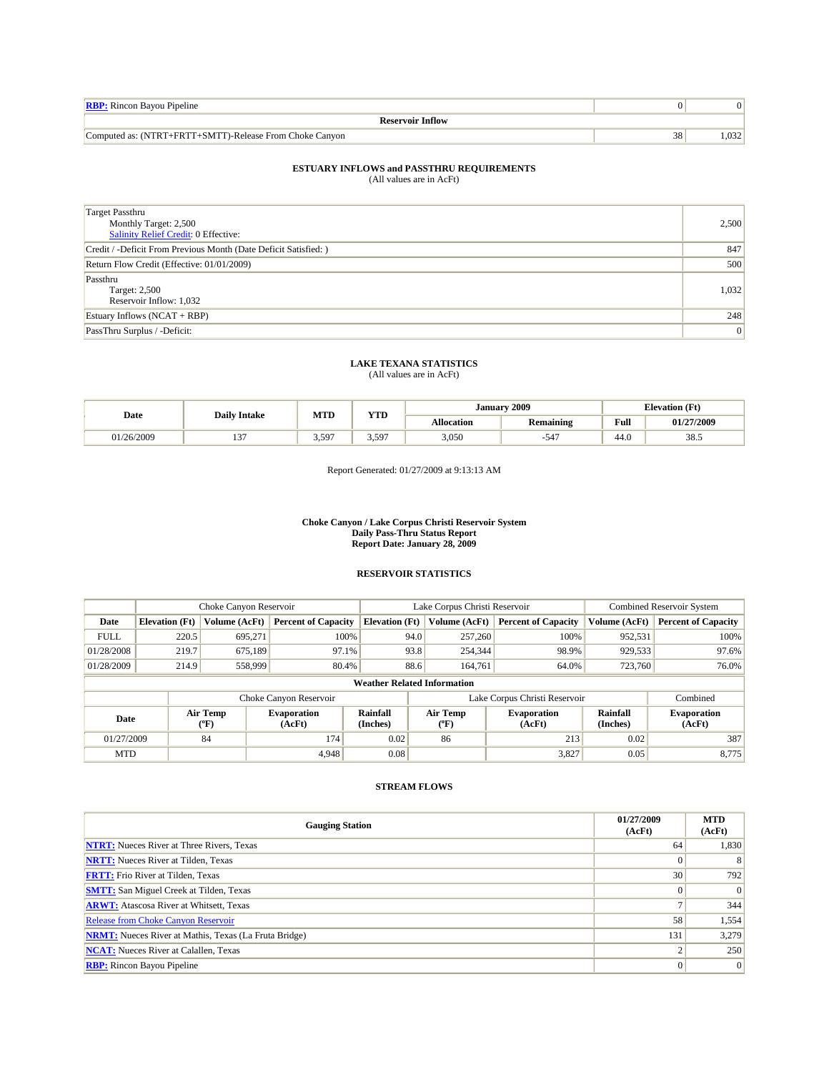| <b>RBP:</b> Rincon Bayou Pipeline                                                 |                 |                  |
|-----------------------------------------------------------------------------------|-----------------|------------------|
| <b>Reservoir Inflow</b>                                                           |                 |                  |
| $. +$ FRT $7$<br>+SMTT<br>T)-Release From Choke Canyon<br>Computed as: 0<br>(NTRT | $\Omega$<br>38. | $\Omega$<br>,U32 |

#### **ESTUARY INFLOWS and PASSTHRU REQUIREMENTS**

(All values are in AcFt)

| Target Passthru<br>Monthly Target: 2,500<br>Salinity Relief Credit: 0 Effective: | 2,500 |
|----------------------------------------------------------------------------------|-------|
| Credit / -Deficit From Previous Month (Date Deficit Satisfied: )                 | 847   |
| Return Flow Credit (Effective: 01/01/2009)                                       | 500   |
| Passthru<br>Target: 2,500<br>Reservoir Inflow: 1,032                             | 1,032 |
| Estuary Inflows $(NCAT + RBP)$                                                   | 248   |
| PassThru Surplus / -Deficit:                                                     | 0     |

## **LAKE TEXANA STATISTICS** (All values are in AcFt)

| Date     | <b>Daily Intake</b> | MTD         | YTD                 | January 2009 |                  |                                         | <b>Elevation</b> (Ft) |
|----------|---------------------|-------------|---------------------|--------------|------------------|-----------------------------------------|-----------------------|
|          |                     |             |                     | Allocation   | <b>Remaining</b> | Full<br>the contract of the contract of | 01/27/2009            |
| /26/2009 | $\sim$<br>. .       | 597<br>J.J. | 597<br>J.J <i>J</i> | 3,050        | $-54^{\circ}$    | 44.U                                    | 38.5                  |

Report Generated: 01/27/2009 at 9:13:13 AM

#### **Choke Canyon / Lake Corpus Christi Reservoir System Daily Pass-Thru Status Report Report Date: January 28, 2009**

### **RESERVOIR STATISTICS**

|             | Choke Canyon Reservoir |                  |                              |                                    | Lake Corpus Christi Reservoir |                  |                               |                      | <b>Combined Reservoir System</b> |  |  |
|-------------|------------------------|------------------|------------------------------|------------------------------------|-------------------------------|------------------|-------------------------------|----------------------|----------------------------------|--|--|
| Date        | <b>Elevation</b> (Ft)  | Volume (AcFt)    | <b>Percent of Capacity</b>   | <b>Elevation</b> (Ft)              |                               | Volume (AcFt)    | <b>Percent of Capacity</b>    | Volume (AcFt)        | <b>Percent of Capacity</b>       |  |  |
| <b>FULL</b> | 220.5                  | 695.271          |                              | 100%                               | 94.0                          | 257,260          | 100%                          | 952,531              | 100%                             |  |  |
| 01/28/2008  | 219.7                  | 675,189          |                              | 97.1%                              | 93.8                          |                  | 98.9%<br>254,344              | 929,533              | 97.6%                            |  |  |
| 01/28/2009  | 214.9                  | 558,999          |                              | 80.4%                              | 88.6                          |                  | 164,761<br>64.0%              | 723,760              | 76.0%                            |  |  |
|             |                        |                  |                              | <b>Weather Related Information</b> |                               |                  |                               |                      |                                  |  |  |
|             |                        |                  | Choke Canyon Reservoir       |                                    |                               |                  | Lake Corpus Christi Reservoir |                      | Combined                         |  |  |
| Date        |                        | Air Temp<br>(°F) | <b>Evaporation</b><br>(AcFt) | Rainfall<br>(Inches)               |                               | Air Temp<br>("F) | <b>Evaporation</b><br>(AcFt)  | Rainfall<br>(Inches) |                                  |  |  |
| 01/27/2009  |                        | 84               | 174                          | 0.02                               |                               | 86               | 213                           | 0.02                 | 387                              |  |  |
| <b>MTD</b>  |                        |                  | 4.948                        | 0.08                               |                               |                  | 3,827                         | 0.05                 | 8,775                            |  |  |

| <b>Gauging Station</b>                                       | 01/27/2009<br>(AcFt) | <b>MTD</b><br>(AcFt) |
|--------------------------------------------------------------|----------------------|----------------------|
| <b>NTRT:</b> Nueces River at Three Rivers, Texas             | 64                   | 1,830                |
| <b>NRTT:</b> Nueces River at Tilden, Texas                   |                      | 8                    |
| <b>FRTT:</b> Frio River at Tilden, Texas                     | 30                   | 792                  |
| <b>SMTT:</b> San Miguel Creek at Tilden, Texas               |                      | $\vert$ 0            |
| <b>ARWT:</b> Atascosa River at Whitsett, Texas               |                      | 344                  |
| <b>Release from Choke Canyon Reservoir</b>                   | 58                   | 1,554                |
| <b>NRMT:</b> Nueces River at Mathis, Texas (La Fruta Bridge) | 131                  | 3,279                |
| <b>NCAT:</b> Nueces River at Calallen, Texas                 |                      | 250                  |
| <b>RBP:</b> Rincon Bayou Pipeline                            |                      | $\overline{0}$       |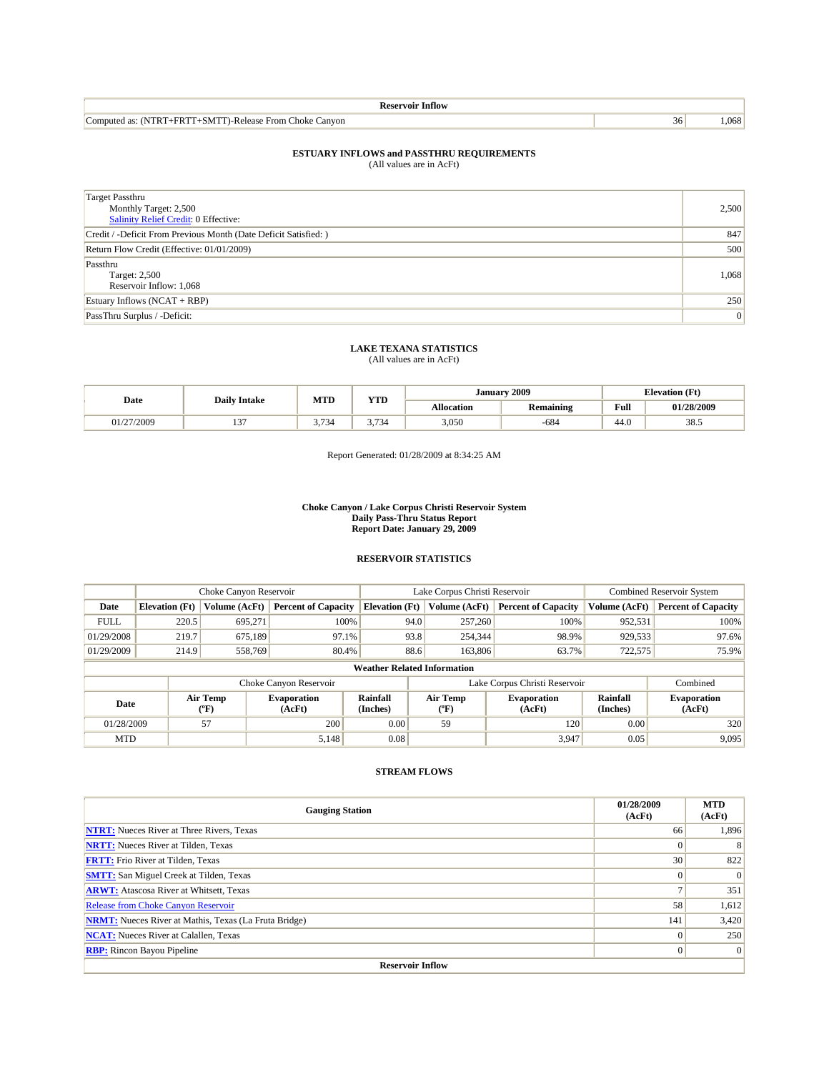| Intiow                                                                                   |     |     |
|------------------------------------------------------------------------------------------|-----|-----|
| -<br><b>ATTEL</b><br>∠anvon<br>. .omputec<br>hoke<br>∺rom ⊹<br>)-Release<br>. as:<br>NM. | 36' | 068 |

| Target Passthru<br>Monthly Target: 2,500<br>Salinity Relief Credit: 0 Effective: | 2,500 |
|----------------------------------------------------------------------------------|-------|
| Credit / -Deficit From Previous Month (Date Deficit Satisfied: )                 | 847   |
| Return Flow Credit (Effective: 01/01/2009)                                       | 500   |
| Passthru<br>Target: 2,500<br>Reservoir Inflow: 1,068                             | 1,068 |
| Estuary Inflows $(NCAT + RBP)$                                                   | 250   |
| PassThru Surplus / -Deficit:                                                     | 0     |

### **LAKE TEXANA STATISTICS** (All values are in AcFt)

| Date     | <b>Daily Intake</b>      | <b>MTD</b>                          | <b>YTD</b>        | January    | 2009                    |                                         | <b>Elevation (Ft)</b> |
|----------|--------------------------|-------------------------------------|-------------------|------------|-------------------------|-----------------------------------------|-----------------------|
|          |                          |                                     |                   | Allocation | . .<br><b>Remaining</b> | Full<br>the contract of the contract of | 01/28/2009            |
| /27/2009 | $\sim$<br>$\overline{ }$ | $\sim$ $\sim$<br>$\sim$<br><u>.</u> | $\sim$<br>ر ، ، ، | 3,050      | $-684$                  | 44.U                                    | 38.5                  |

Report Generated: 01/28/2009 at 8:34:25 AM

#### **Choke Canyon / Lake Corpus Christi Reservoir System Daily Pass-Thru Status Report Report Date: January 29, 2009**

#### **RESERVOIR STATISTICS**

|             | Choke Canyon Reservoir             |                  | Lake Corpus Christi Reservoir |                             |                               |                  | <b>Combined Reservoir System</b> |                      |                              |
|-------------|------------------------------------|------------------|-------------------------------|-----------------------------|-------------------------------|------------------|----------------------------------|----------------------|------------------------------|
| Date        | <b>Elevation</b> (Ft)              | Volume (AcFt)    | <b>Percent of Capacity</b>    | <b>Elevation</b> (Ft)       |                               | Volume (AcFt)    | <b>Percent of Capacity</b>       | Volume (AcFt)        | <b>Percent of Capacity</b>   |
| <b>FULL</b> | 220.5                              | 695.271          | 100%                          |                             | 94.0                          | 257,260          | 100%                             | 952,531              | 100%                         |
| 01/29/2008  | 219.7                              | 675,189          | 97.1%                         |                             | 93.8                          | 254,344          | 98.9%                            | 929,533              | 97.6%                        |
| 01/29/2009  | 214.9                              | 558,769          | 80.4%                         |                             | 88.6                          | 163,806          | 63.7%                            | 722,575              | 75.9%                        |
|             | <b>Weather Related Information</b> |                  |                               |                             |                               |                  |                                  |                      |                              |
|             |                                    |                  | Choke Canyon Reservoir        |                             | Lake Corpus Christi Reservoir |                  |                                  |                      | Combined                     |
| Date        |                                    | Air Temp<br>(°F) | <b>Evaporation</b><br>(AcFt)  | <b>Rainfall</b><br>(Inches) |                               | Air Temp<br>(°F) | <b>Evaporation</b><br>(AcFt)     | Rainfall<br>(Inches) | <b>Evaporation</b><br>(AcFt) |
| 01/28/2009  |                                    | 57               | 200                           | 0.00                        |                               | 59               | 120                              | 0.00                 | 320                          |
| <b>MTD</b>  |                                    |                  | 5.148                         | 0.08                        |                               |                  | 3,947                            | 0.05                 | 9,095                        |

| <b>Gauging Station</b>                                       | 01/28/2009<br>(AcFt) | <b>MTD</b><br>(AcFt) |  |  |  |  |  |  |
|--------------------------------------------------------------|----------------------|----------------------|--|--|--|--|--|--|
| <b>NTRT:</b> Nueces River at Three Rivers, Texas             | 66                   | 1,896                |  |  |  |  |  |  |
| <b>NRTT:</b> Nueces River at Tilden, Texas                   |                      | 8                    |  |  |  |  |  |  |
| <b>FRTT:</b> Frio River at Tilden, Texas                     | 30                   | 822                  |  |  |  |  |  |  |
| <b>SMTT:</b> San Miguel Creek at Tilden, Texas               |                      | $\Omega$             |  |  |  |  |  |  |
| <b>ARWT:</b> Atascosa River at Whitsett, Texas               |                      | 351                  |  |  |  |  |  |  |
| <b>Release from Choke Canyon Reservoir</b>                   | 58                   | 1,612                |  |  |  |  |  |  |
| <b>NRMT:</b> Nueces River at Mathis, Texas (La Fruta Bridge) | 141                  | 3,420                |  |  |  |  |  |  |
| <b>NCAT:</b> Nueces River at Calallen, Texas                 |                      | 250                  |  |  |  |  |  |  |
| <b>RBP:</b> Rincon Bayou Pipeline                            | $\Omega$             | $\vert 0 \vert$      |  |  |  |  |  |  |
| <b>Reservoir Inflow</b>                                      |                      |                      |  |  |  |  |  |  |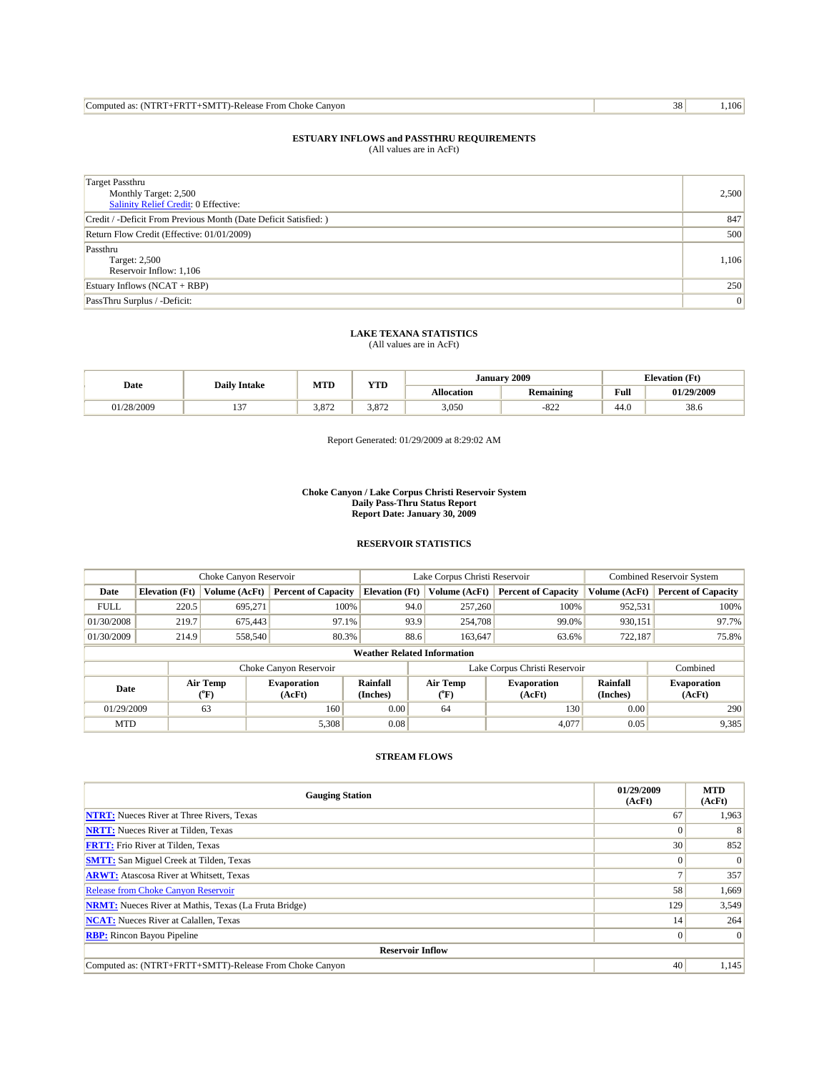| Computed as: (NTRT+FRTT+SMTT)-Release From Choke Q<br>≅ Canvon | 38 | 106 |
|----------------------------------------------------------------|----|-----|
|----------------------------------------------------------------|----|-----|

| <b>Target Passthru</b><br>Monthly Target: 2,500<br>Salinity Relief Credit: 0 Effective: | 2,500           |
|-----------------------------------------------------------------------------------------|-----------------|
| Credit / -Deficit From Previous Month (Date Deficit Satisfied: )                        | 847             |
| Return Flow Credit (Effective: 01/01/2009)                                              | 500             |
| Passthru<br>Target: 2,500<br>Reservoir Inflow: 1,106                                    | 1,106           |
| Estuary Inflows (NCAT + RBP)                                                            | 250             |
| PassThru Surplus / -Deficit:                                                            | $\vert 0 \vert$ |

### **LAKE TEXANA STATISTICS** (All values are in AcFt)

| Date       | <b>Daily Intake</b> | MTD   | <b>YTD</b> | January    | 2009             | <b>Elevation</b> (Ft)                       |            |
|------------|---------------------|-------|------------|------------|------------------|---------------------------------------------|------------|
|            |                     |       |            | Allocation | <b>Remaining</b> | Full<br>the contract of the contract of the | 01/29/2009 |
| 01/28/2009 | $\sim$<br>"         | 3.872 | 3.872      | 3,050      | $-822$           | 44.0                                        | 38.6       |

Report Generated: 01/29/2009 at 8:29:02 AM

#### **Choke Canyon / Lake Corpus Christi Reservoir System Daily Pass-Thru Status Report Report Date: January 30, 2009**

#### **RESERVOIR STATISTICS**

|             | Choke Canyon Reservoir             |                                           |                              |                       | Lake Corpus Christi Reservoir |                                  |                              |                      | <b>Combined Reservoir System</b> |  |
|-------------|------------------------------------|-------------------------------------------|------------------------------|-----------------------|-------------------------------|----------------------------------|------------------------------|----------------------|----------------------------------|--|
| Date        | <b>Elevation</b> (Ft)              | Volume (AcFt)                             | <b>Percent of Capacity</b>   | <b>Elevation</b> (Ft) |                               | Volume (AcFt)                    | <b>Percent of Capacity</b>   | Volume (AcFt)        | <b>Percent of Capacity</b>       |  |
| <b>FULL</b> | 220.5                              | 695,271                                   | 100%                         |                       | 94.0                          | 257,260                          | 100%                         | 952,531              | 100%                             |  |
| 01/30/2008  | 219.7                              | 675,443                                   | 97.1%                        |                       | 93.9                          | 254,708                          | 99.0%                        | 930,151              | 97.7%                            |  |
| 01/30/2009  | 214.9                              | 558,540                                   | 80.3%                        |                       | 88.6                          | 163,647                          | 63.6%                        | 722,187              | 75.8%                            |  |
|             | <b>Weather Related Information</b> |                                           |                              |                       |                               |                                  |                              |                      |                                  |  |
|             |                                    |                                           | Choke Canyon Reservoir       |                       | Lake Corpus Christi Reservoir |                                  |                              | Combined             |                                  |  |
| Date        |                                    | Air Temp<br>$({}^{\mathrm{o}}\mathrm{F})$ | <b>Evaporation</b><br>(AcFt) | Rainfall<br>(Inches)  |                               | <b>Air Temp</b><br>$(^{\circ}F)$ | <b>Evaporation</b><br>(AcFt) | Rainfall<br>(Inches) | <b>Evaporation</b><br>(AcFt)     |  |
| 01/29/2009  |                                    | 63                                        | 160                          | 0.00                  |                               | 64                               | 130                          | 0.00                 | 290                              |  |
| <b>MTD</b>  |                                    |                                           | 5,308                        | 0.08                  |                               |                                  | 4,077                        | 0.05                 | 9,385                            |  |

| <b>Gauging Station</b>                                       | 01/29/2009<br>(AcFt) | <b>MTD</b><br>(AcFt) |  |  |  |  |
|--------------------------------------------------------------|----------------------|----------------------|--|--|--|--|
| <b>NTRT:</b> Nueces River at Three Rivers, Texas             | 67                   | 1,963                |  |  |  |  |
| <b>NRTT:</b> Nueces River at Tilden, Texas                   |                      | 8                    |  |  |  |  |
| <b>FRTT:</b> Frio River at Tilden, Texas                     | 30                   | 852                  |  |  |  |  |
| <b>SMTT:</b> San Miguel Creek at Tilden, Texas               |                      | $\Omega$             |  |  |  |  |
| <b>ARWT:</b> Atascosa River at Whitsett, Texas               |                      | 357                  |  |  |  |  |
| <b>Release from Choke Canyon Reservoir</b>                   | 58                   | 1,669                |  |  |  |  |
| <b>NRMT:</b> Nueces River at Mathis, Texas (La Fruta Bridge) | 129                  | 3,549                |  |  |  |  |
| <b>NCAT:</b> Nueces River at Calallen, Texas                 | 14                   | 264                  |  |  |  |  |
| <b>RBP:</b> Rincon Bayou Pipeline                            |                      | $\Omega$             |  |  |  |  |
| <b>Reservoir Inflow</b>                                      |                      |                      |  |  |  |  |
| Computed as: (NTRT+FRTT+SMTT)-Release From Choke Canyon      | 40                   | 1,145                |  |  |  |  |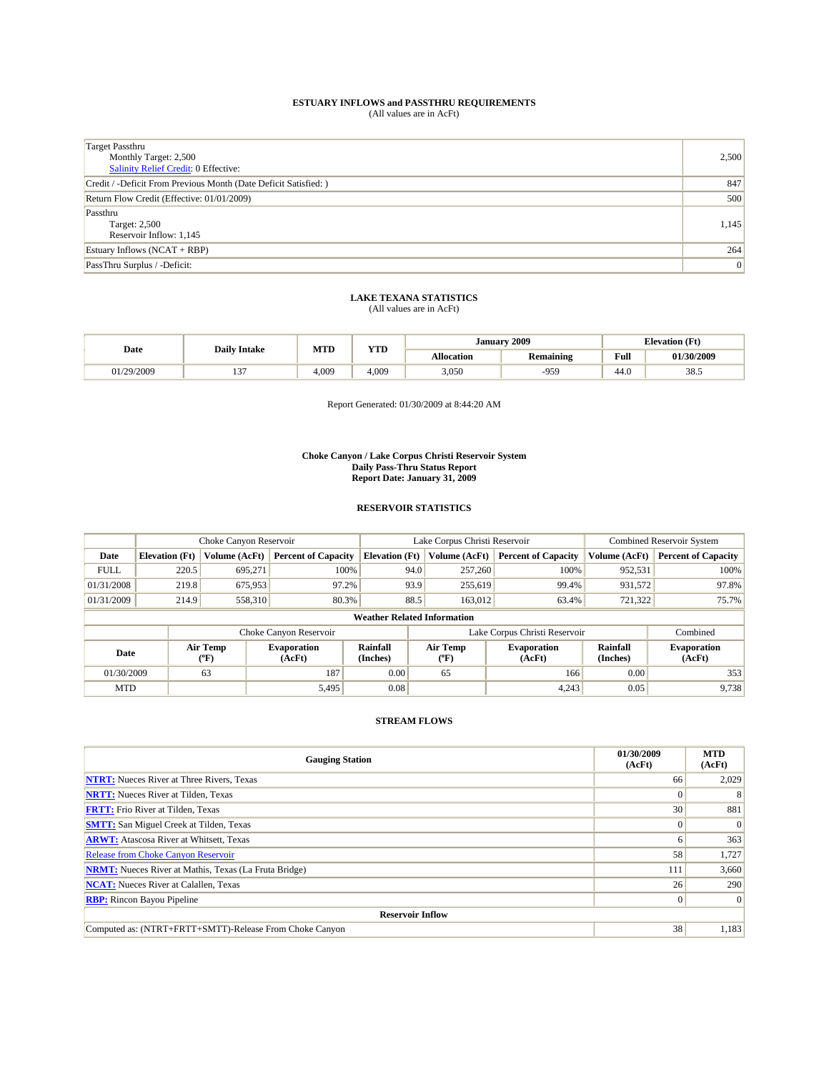| Target Passthru                                                  |                 |
|------------------------------------------------------------------|-----------------|
| Monthly Target: 2,500                                            | 2,500           |
| <b>Salinity Relief Credit: 0 Effective:</b>                      |                 |
| Credit / -Deficit From Previous Month (Date Deficit Satisfied: ) | 847             |
| Return Flow Credit (Effective: 01/01/2009)                       | 500             |
| Passthru                                                         |                 |
| Target: 2,500                                                    | 1,145           |
| Reservoir Inflow: 1,145                                          |                 |
| Estuary Inflows $(NCAT + RBP)$                                   | 264             |
| PassThru Surplus / -Deficit:                                     | $\vert 0 \vert$ |

# **LAKE TEXANA STATISTICS** (All values are in AcFt)

|            |                     | <b>MTD</b> | $\mathbf{r}$<br>1 I D | Januarv           | 2009             | <b>Elevation</b> (Ft) |            |
|------------|---------------------|------------|-----------------------|-------------------|------------------|-----------------------|------------|
| Date       | <b>Daily Intake</b> |            |                       | <b>Allocation</b> | <b>Remaining</b> | Full                  | 01/30/2009 |
| 01/29/2009 | . .                 | 4.009      | 4.009                 | 3,050             | $-959$           | 44.U                  | 38.5       |

Report Generated: 01/30/2009 at 8:44:20 AM

#### **Choke Canyon / Lake Corpus Christi Reservoir System Daily Pass-Thru Status Report Report Date: January 31, 2009**

#### **RESERVOIR STATISTICS**

|             |                                    | Choke Canyon Reservoir         |                              |                                                                                                           | Lake Corpus Christi Reservoir | Combined Reservoir System  |                              |                            |  |  |
|-------------|------------------------------------|--------------------------------|------------------------------|-----------------------------------------------------------------------------------------------------------|-------------------------------|----------------------------|------------------------------|----------------------------|--|--|
| Date        | <b>Elevation</b> (Ft)              | Volume (AcFt)                  | <b>Percent of Capacity</b>   | <b>Elevation</b> (Ft)                                                                                     | Volume (AcFt)                 | <b>Percent of Capacity</b> | Volume (AcFt)                | <b>Percent of Capacity</b> |  |  |
| <b>FULL</b> | 220.5                              | 695.271                        | 100%                         | 94.0                                                                                                      | 257,260                       | 100%                       | 952,531                      | 100%                       |  |  |
| 01/31/2008  | 219.8                              | 675,953                        | 97.2%                        | 93.9                                                                                                      | 255,619                       | 99.4%                      | 931,572                      | 97.8%                      |  |  |
| 01/31/2009  | 214.9                              | 558,310                        | 80.3%                        | 88.5                                                                                                      | 163,012                       | 63.4%                      | 721,322                      | 75.7%                      |  |  |
|             | <b>Weather Related Information</b> |                                |                              |                                                                                                           |                               |                            |                              |                            |  |  |
|             |                                    |                                | Choke Canyon Reservoir       |                                                                                                           | Lake Corpus Christi Reservoir |                            |                              | Combined                   |  |  |
| Date        |                                    | Air Temp<br>$(^{o}\mathrm{F})$ | <b>Evaporation</b><br>(AcFt) | Rainfall<br>Air Temp<br>Rainfall<br><b>Evaporation</b><br>(Inches)<br>(AcFt)<br>(Inches)<br>$(^{\circ}F)$ |                               |                            | <b>Evaporation</b><br>(AcFt) |                            |  |  |
| 01/30/2009  |                                    | 63                             | 187                          | 0.00                                                                                                      | 65                            | 166                        | 0.00                         | 353                        |  |  |
| <b>MTD</b>  |                                    |                                | 5,495                        | 0.08                                                                                                      |                               | 4.243                      | 0.05                         | 9,738                      |  |  |

| <b>Gauging Station</b>                                       | 01/30/2009<br>(AcFt) | <b>MTD</b><br>(AcFt) |
|--------------------------------------------------------------|----------------------|----------------------|
| <b>NTRT:</b> Nueces River at Three Rivers, Texas             | 66                   | 2,029                |
| <b>NRTT:</b> Nueces River at Tilden, Texas                   |                      | 8                    |
| <b>FRTT:</b> Frio River at Tilden, Texas                     | 30                   | 881                  |
| <b>SMTT:</b> San Miguel Creek at Tilden, Texas               |                      | $\Omega$             |
| <b>ARWT:</b> Atascosa River at Whitsett, Texas               |                      | 363                  |
| <b>Release from Choke Canyon Reservoir</b>                   | 58                   | 1,727                |
| <b>NRMT:</b> Nueces River at Mathis, Texas (La Fruta Bridge) | 111                  | 3,660                |
| <b>NCAT:</b> Nueces River at Calallen, Texas                 | 26                   | <b>290</b>           |
| <b>RBP:</b> Rincon Bayou Pipeline                            |                      | $\Omega$             |
| <b>Reservoir Inflow</b>                                      |                      |                      |
| Computed as: (NTRT+FRTT+SMTT)-Release From Choke Canvon      | 38                   | 1,183                |